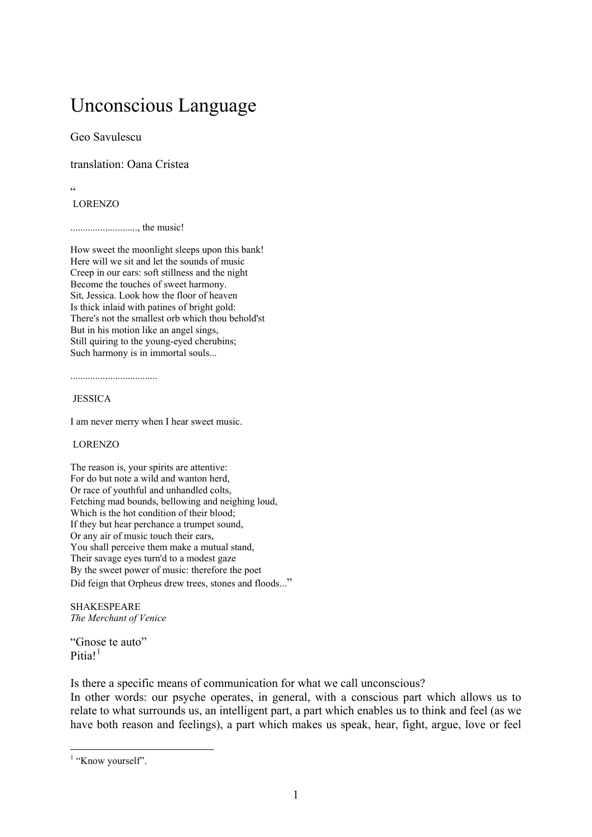# Unconscious Language

Geo Savulescu

translation: Oana Cristea

 $\epsilon$ 

### LORENZO

..........................., the music!

How sweet the moonlight sleeps upon this bank! Here will we sit and let the sounds of music Creep in our ears: soft stillness and the night Become the touches of sweet harmony. Sit, Jessica. Look how the floor of heaven Is thick inlaid with patines of bright gold: There's not the smallest orb which thou behold'st But in his motion like an angel sings, Still quiring to the young-eyed cherubins; Such harmony is in immortal souls...

...................................

### **JESSICA**

I am never merry when I hear sweet music.

### LORENZO

The reason is, your spirits are attentive: For do but note a wild and wanton herd, Or race of youthful and unhandled colts, Fetching mad bounds, bellowing and neighing loud, Which is the hot condition of their blood; If they but hear perchance a trumpet sound, Or any air of music touch their ears, You shall perceive them make a mutual stand, Their savage eyes turn'd to a modest gaze By the sweet power of music: therefore the poet Did feign that Orpheus drew trees, stones and floods..."

**SHAKESPEARE** *The Merchant of Venice* 

"Gnose te auto" Pitia! $1$ 

Is there a specific means of communication for what we call unconscious?

In other words: our psyche operates, in general, with a conscious part which allows us to relate to what surrounds us, an intelligent part, a part which enables us to think and feel (as we have both reason and feelings), a part which makes us speak, hear, fight, argue, love or feel

<span id="page-0-0"></span><sup>&</sup>lt;sup>1</sup> "Know yourself".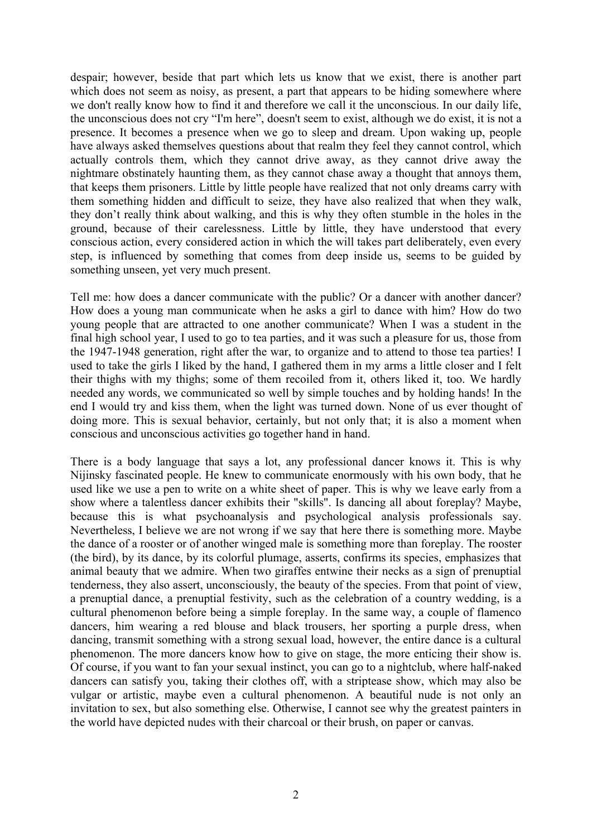despair; however, beside that part which lets us know that we exist, there is another part which does not seem as noisy, as present, a part that appears to be hiding somewhere where we don't really know how to find it and therefore we call it the unconscious. In our daily life, the unconscious does not cry "I'm here", doesn't seem to exist, although we do exist, it is not a presence. It becomes a presence when we go to sleep and dream. Upon waking up, people have always asked themselves questions about that realm they feel they cannot control, which actually controls them, which they cannot drive away, as they cannot drive away the nightmare obstinately haunting them, as they cannot chase away a thought that annoys them, that keeps them prisoners. Little by little people have realized that not only dreams carry with them something hidden and difficult to seize, they have also realized that when they walk, they don't really think about walking, and this is why they often stumble in the holes in the ground, because of their carelessness. Little by little, they have understood that every conscious action, every considered action in which the will takes part deliberately, even every step, is influenced by something that comes from deep inside us, seems to be guided by something unseen, yet very much present.

Tell me: how does a dancer communicate with the public? Or a dancer with another dancer? How does a young man communicate when he asks a girl to dance with him? How do two young people that are attracted to one another communicate? When I was a student in the final high school year, I used to go to tea parties, and it was such a pleasure for us, those from the 1947-1948 generation, right after the war, to organize and to attend to those tea parties! I used to take the girls I liked by the hand, I gathered them in my arms a little closer and I felt their thighs with my thighs; some of them recoiled from it, others liked it, too. We hardly needed any words, we communicated so well by simple touches and by holding hands! In the end I would try and kiss them, when the light was turned down. None of us ever thought of doing more. This is sexual behavior, certainly, but not only that; it is also a moment when conscious and unconscious activities go together hand in hand.

There is a body language that says a lot, any professional dancer knows it. This is why Nijinsky fascinated people. He knew to communicate enormously with his own body, that he used like we use a pen to write on a white sheet of paper. This is why we leave early from a show where a talentless dancer exhibits their "skills". Is dancing all about foreplay? Maybe, because this is what psychoanalysis and psychological analysis professionals say. Nevertheless, I believe we are not wrong if we say that here there is something more. Maybe the dance of a rooster or of another winged male is something more than foreplay. The rooster (the bird), by its dance, by its colorful plumage, asserts, confirms its species, emphasizes that animal beauty that we admire. When two giraffes entwine their necks as a sign of prenuptial tenderness, they also assert, unconsciously, the beauty of the species. From that point of view, a prenuptial dance, a prenuptial festivity, such as the celebration of a country wedding, is a cultural phenomenon before being a simple foreplay. In the same way, a couple of flamenco dancers, him wearing a red blouse and black trousers, her sporting a purple dress, when dancing, transmit something with a strong sexual load, however, the entire dance is a cultural phenomenon. The more dancers know how to give on stage, the more enticing their show is. Of course, if you want to fan your sexual instinct, you can go to a nightclub, where half-naked dancers can satisfy you, taking their clothes off, with a striptease show, which may also be vulgar or artistic, maybe even a cultural phenomenon. A beautiful nude is not only an invitation to sex, but also something else. Otherwise, I cannot see why the greatest painters in the world have depicted nudes with their charcoal or their brush, on paper or canvas.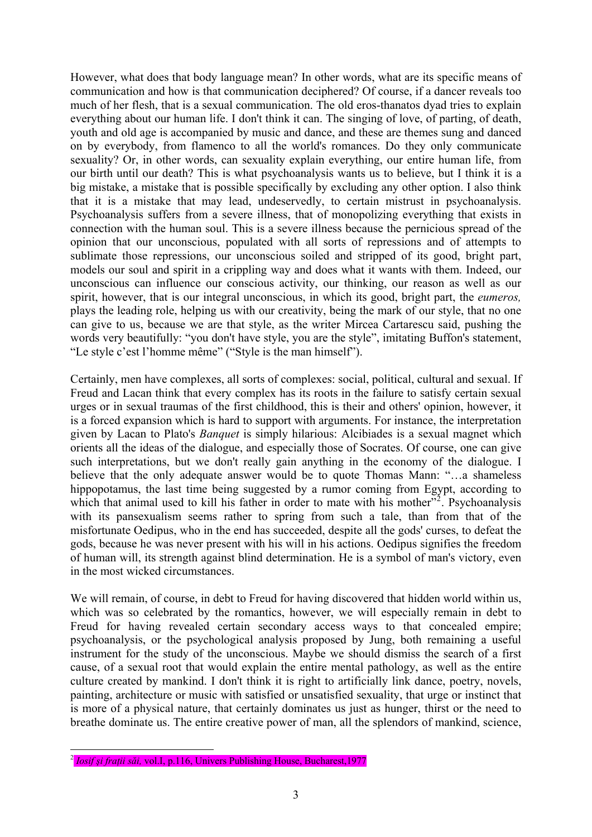However, what does that body language mean? In other words, what are its specific means of communication and how is that communication deciphered? Of course, if a dancer reveals too much of her flesh, that is a sexual communication. The old eros-thanatos dyad tries to explain everything about our human life. I don't think it can. The singing of love, of parting, of death, youth and old age is accompanied by music and dance, and these are themes sung and danced on by everybody, from flamenco to all the world's romances. Do they only communicate sexuality? Or, in other words, can sexuality explain everything, our entire human life, from our birth until our death? This is what psychoanalysis wants us to believe, but I think it is a big mistake, a mistake that is possible specifically by excluding any other option. I also think that it is a mistake that may lead, undeservedly, to certain mistrust in psychoanalysis. Psychoanalysis suffers from a severe illness, that of monopolizing everything that exists in connection with the human soul. This is a severe illness because the pernicious spread of the opinion that our unconscious, populated with all sorts of repressions and of attempts to sublimate those repressions, our unconscious soiled and stripped of its good, bright part, models our soul and spirit in a crippling way and does what it wants with them. Indeed, our unconscious can influence our conscious activity, our thinking, our reason as well as our spirit, however, that is our integral unconscious, in which its good, bright part, the *eumeros,*  plays the leading role, helping us with our creativity, being the mark of our style, that no one can give to us, because we are that style, as the writer Mircea Cartarescu said, pushing the words very beautifully: "you don't have style, you are the style", imitating Buffon's statement, "Le style c'est l'homme même" ("Style is the man himself").

Certainly, men have complexes, all sorts of complexes: social, political, cultural and sexual. If Freud and Lacan think that every complex has its roots in the failure to satisfy certain sexual urges or in sexual traumas of the first childhood, this is their and others' opinion, however, it is a forced expansion which is hard to support with arguments. For instance, the interpretation given by Lacan to Plato's *Banquet* is simply hilarious: Alcibiades is a sexual magnet which orients all the ideas of the dialogue, and especially those of Socrates. Of course, one can give such interpretations, but we don't really gain anything in the economy of the dialogue. I believe that the only adequate answer would be to quote Thomas Mann: "…a shameless hippopotamus, the last time being suggested by a rumor coming from Egypt, according to which that animal used to kill his father in order to mate with his mother"<sup>[2](#page-2-0)</sup>. Psychoanalysis with its pansexualism seems rather to spring from such a tale, than from that of the misfortunate Oedipus, who in the end has succeeded, despite all the gods' curses, to defeat the gods, because he was never present with his will in his actions. Oedipus signifies the freedom of human will, its strength against blind determination. He is a symbol of man's victory, even in the most wicked circumstances.

We will remain, of course, in debt to Freud for having discovered that hidden world within us, which was so celebrated by the romantics, however, we will especially remain in debt to Freud for having revealed certain secondary access ways to that concealed empire; psychoanalysis, or the psychological analysis proposed by Jung, both remaining a useful instrument for the study of the unconscious. Maybe we should dismiss the search of a first cause, of a sexual root that would explain the entire mental pathology, as well as the entire culture created by mankind. I don't think it is right to artificially link dance, poetry, novels, painting, architecture or music with satisfied or unsatisfied sexuality, that urge or instinct that is more of a physical nature, that certainly dominates us just as hunger, thirst or the need to breathe dominate us. The entire creative power of man, all the splendors of mankind, science,

<span id="page-2-0"></span><sup>2</sup> *Iosif şi fraţii săi,* vol.I, p.116, Univers Publishing House, Bucharest,1977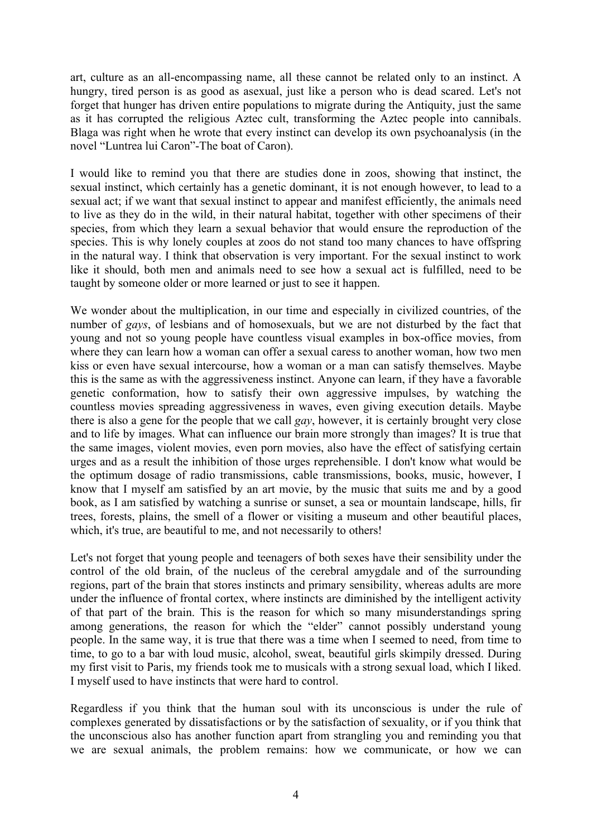art, culture as an all-encompassing name, all these cannot be related only to an instinct. A hungry, tired person is as good as asexual, just like a person who is dead scared. Let's not forget that hunger has driven entire populations to migrate during the Antiquity, just the same as it has corrupted the religious Aztec cult, transforming the Aztec people into cannibals. Blaga was right when he wrote that every instinct can develop its own psychoanalysis (in the novel "Luntrea lui Caron"-The boat of Caron).

I would like to remind you that there are studies done in zoos, showing that instinct, the sexual instinct, which certainly has a genetic dominant, it is not enough however, to lead to a sexual act; if we want that sexual instinct to appear and manifest efficiently, the animals need to live as they do in the wild, in their natural habitat, together with other specimens of their species, from which they learn a sexual behavior that would ensure the reproduction of the species. This is why lonely couples at zoos do not stand too many chances to have offspring in the natural way. I think that observation is very important. For the sexual instinct to work like it should, both men and animals need to see how a sexual act is fulfilled, need to be taught by someone older or more learned or just to see it happen.

We wonder about the multiplication, in our time and especially in civilized countries, of the number of *gays*, of lesbians and of homosexuals, but we are not disturbed by the fact that young and not so young people have countless visual examples in box-office movies, from where they can learn how a woman can offer a sexual caress to another woman, how two men kiss or even have sexual intercourse, how a woman or a man can satisfy themselves. Maybe this is the same as with the aggressiveness instinct. Anyone can learn, if they have a favorable genetic conformation, how to satisfy their own aggressive impulses, by watching the countless movies spreading aggressiveness in waves, even giving execution details. Maybe there is also a gene for the people that we call *gay*, however, it is certainly brought very close and to life by images. What can influence our brain more strongly than images? It is true that the same images, violent movies, even porn movies, also have the effect of satisfying certain urges and as a result the inhibition of those urges reprehensible. I don't know what would be the optimum dosage of radio transmissions, cable transmissions, books, music, however, I know that I myself am satisfied by an art movie, by the music that suits me and by a good book, as I am satisfied by watching a sunrise or sunset, a sea or mountain landscape, hills, fir trees, forests, plains, the smell of a flower or visiting a museum and other beautiful places, which, it's true, are beautiful to me, and not necessarily to others!

Let's not forget that young people and teenagers of both sexes have their sensibility under the control of the old brain, of the nucleus of the cerebral amygdale and of the surrounding regions, part of the brain that stores instincts and primary sensibility, whereas adults are more under the influence of frontal cortex, where instincts are diminished by the intelligent activity of that part of the brain. This is the reason for which so many misunderstandings spring among generations, the reason for which the "elder" cannot possibly understand young people. In the same way, it is true that there was a time when I seemed to need, from time to time, to go to a bar with loud music, alcohol, sweat, beautiful girls skimpily dressed. During my first visit to Paris, my friends took me to musicals with a strong sexual load, which I liked. I myself used to have instincts that were hard to control.

Regardless if you think that the human soul with its unconscious is under the rule of complexes generated by dissatisfactions or by the satisfaction of sexuality, or if you think that the unconscious also has another function apart from strangling you and reminding you that we are sexual animals, the problem remains: how we communicate, or how we can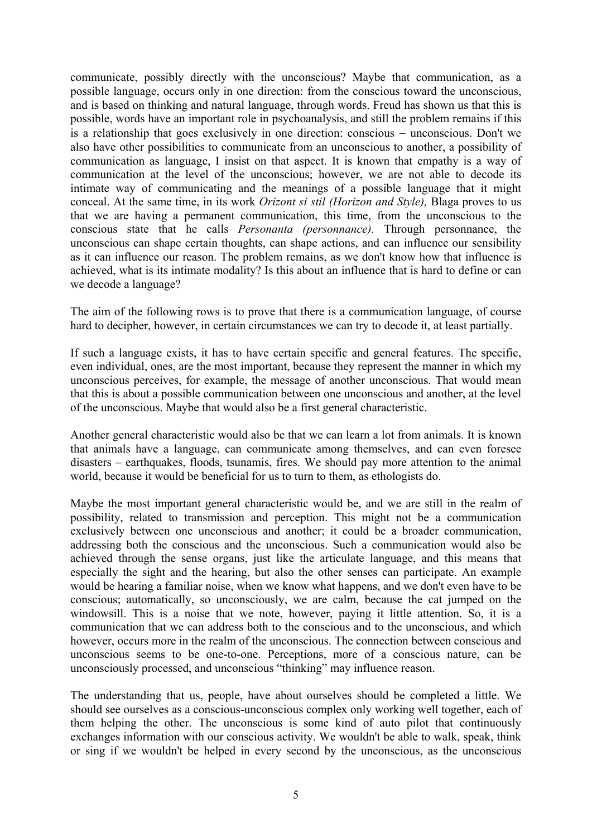communicate, possibly directly with the unconscious? Maybe that communication, as a possible language, occurs only in one direction: from the conscious toward the unconscious, and is based on thinking and natural language, through words. Freud has shown us that this is possible, words have an important role in psychoanalysis, and still the problem remains if this is a relationship that goes exclusively in one direction: conscious − unconscious. Don't we also have other possibilities to communicate from an unconscious to another, a possibility of communication as language, I insist on that aspect. It is known that empathy is a way of communication at the level of the unconscious; however, we are not able to decode its intimate way of communicating and the meanings of a possible language that it might conceal. At the same time, in its work *Orizont si stil (Horizon and Style),* Blaga proves to us that we are having a permanent communication, this time, from the unconscious to the conscious state that he calls *Personanta (personnance).* Through personnance, the unconscious can shape certain thoughts, can shape actions, and can influence our sensibility as it can influence our reason. The problem remains, as we don't know how that influence is achieved, what is its intimate modality? Is this about an influence that is hard to define or can we decode a language?

The aim of the following rows is to prove that there is a communication language, of course hard to decipher, however, in certain circumstances we can try to decode it, at least partially.

If such a language exists, it has to have certain specific and general features. The specific, even individual, ones, are the most important, because they represent the manner in which my unconscious perceives, for example, the message of another unconscious. That would mean that this is about a possible communication between one unconscious and another, at the level of the unconscious. Maybe that would also be a first general characteristic.

Another general characteristic would also be that we can learn a lot from animals. It is known that animals have a language, can communicate among themselves, and can even foresee disasters – earthquakes, floods, tsunamis, fires. We should pay more attention to the animal world, because it would be beneficial for us to turn to them, as ethologists do.

Maybe the most important general characteristic would be, and we are still in the realm of possibility, related to transmission and perception. This might not be a communication exclusively between one unconscious and another; it could be a broader communication, addressing both the conscious and the unconscious. Such a communication would also be achieved through the sense organs, just like the articulate language, and this means that especially the sight and the hearing, but also the other senses can participate. An example would be hearing a familiar noise, when we know what happens, and we don't even have to be conscious; automatically, so unconsciously, we are calm, because the cat jumped on the windowsill. This is a noise that we note, however, paying it little attention. So, it is a communication that we can address both to the conscious and to the unconscious, and which however, occurs more in the realm of the unconscious. The connection between conscious and unconscious seems to be one-to-one. Perceptions, more of a conscious nature, can be unconsciously processed, and unconscious "thinking" may influence reason.

The understanding that us, people, have about ourselves should be completed a little. We should see ourselves as a conscious-unconscious complex only working well together, each of them helping the other. The unconscious is some kind of auto pilot that continuously exchanges information with our conscious activity. We wouldn't be able to walk, speak, think or sing if we wouldn't be helped in every second by the unconscious, as the unconscious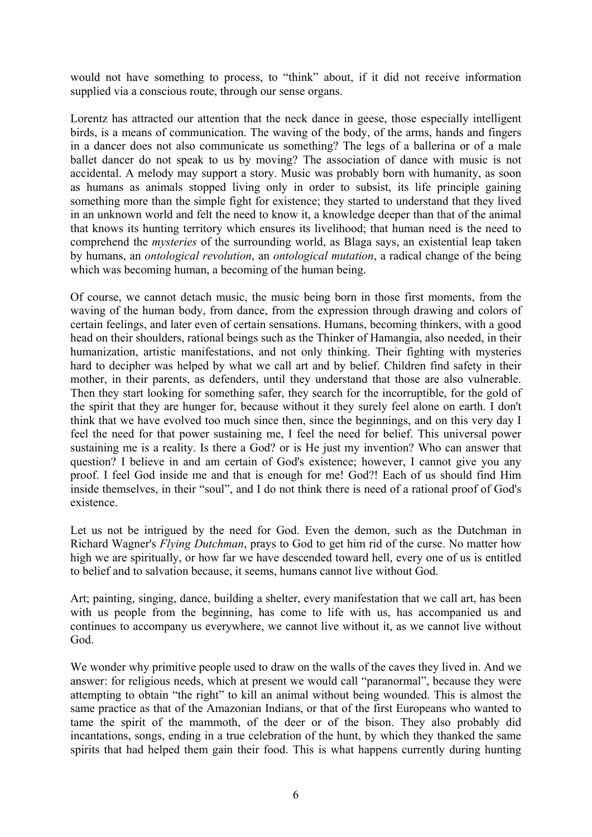would not have something to process, to "think" about, if it did not receive information supplied via a conscious route, through our sense organs.

Lorentz has attracted our attention that the neck dance in geese, those especially intelligent birds, is a means of communication. The waving of the body, of the arms, hands and fingers in a dancer does not also communicate us something? The legs of a ballerina or of a male ballet dancer do not speak to us by moving? The association of dance with music is not accidental. A melody may support a story. Music was probably born with humanity, as soon as humans as animals stopped living only in order to subsist, its life principle gaining something more than the simple fight for existence; they started to understand that they lived in an unknown world and felt the need to know it, a knowledge deeper than that of the animal that knows its hunting territory which ensures its livelihood; that human need is the need to comprehend the *mysteries* of the surrounding world, as Blaga says, an existential leap taken by humans, an *ontological revolution*, an *ontological mutation*, a radical change of the being which was becoming human, a becoming of the human being.

Of course, we cannot detach music, the music being born in those first moments, from the waving of the human body, from dance, from the expression through drawing and colors of certain feelings, and later even of certain sensations. Humans, becoming thinkers, with a good head on their shoulders, rational beings such as the Thinker of Hamangia, also needed, in their humanization, artistic manifestations, and not only thinking. Their fighting with mysteries hard to decipher was helped by what we call art and by belief. Children find safety in their mother, in their parents, as defenders, until they understand that those are also vulnerable. Then they start looking for something safer, they search for the incorruptible, for the gold of the spirit that they are hunger for, because without it they surely feel alone on earth. I don't think that we have evolved too much since then, since the beginnings, and on this very day I feel the need for that power sustaining me, I feel the need for belief. This universal power sustaining me is a reality. Is there a God? or is He just my invention? Who can answer that question? I believe in and am certain of God's existence; however, I cannot give you any proof. I feel God inside me and that is enough for me! God?! Each of us should find Him inside themselves, in their "soul", and I do not think there is need of a rational proof of God's existence.

Let us not be intrigued by the need for God. Even the demon, such as the Dutchman in Richard Wagner's *Flying Dutchman*, prays to God to get him rid of the curse. No matter how high we are spiritually, or how far we have descended toward hell, every one of us is entitled to belief and to salvation because, it seems, humans cannot live without God.

Art; painting, singing, dance, building a shelter, every manifestation that we call art, has been with us people from the beginning, has come to life with us, has accompanied us and continues to accompany us everywhere, we cannot live without it, as we cannot live without God.

We wonder why primitive people used to draw on the walls of the caves they lived in. And we answer: for religious needs, which at present we would call "paranormal", because they were attempting to obtain "the right" to kill an animal without being wounded. This is almost the same practice as that of the Amazonian Indians, or that of the first Europeans who wanted to tame the spirit of the mammoth, of the deer or of the bison. They also probably did incantations, songs, ending in a true celebration of the hunt, by which they thanked the same spirits that had helped them gain their food. This is what happens currently during hunting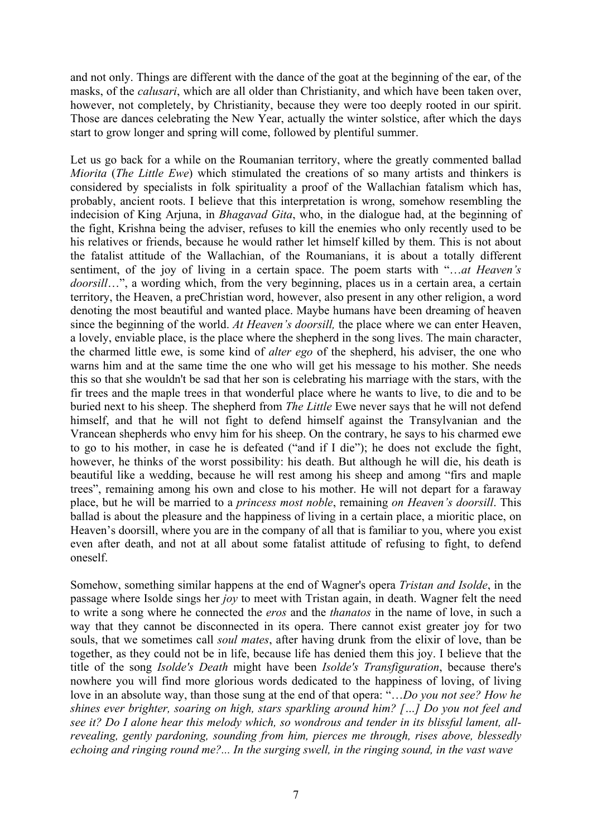and not only. Things are different with the dance of the goat at the beginning of the ear, of the masks, of the *calusari*, which are all older than Christianity, and which have been taken over, however, not completely, by Christianity, because they were too deeply rooted in our spirit. Those are dances celebrating the New Year, actually the winter solstice, after which the days start to grow longer and spring will come, followed by plentiful summer.

Let us go back for a while on the Roumanian territory, where the greatly commented ballad *Miorita* (*The Little Ewe*) which stimulated the creations of so many artists and thinkers is considered by specialists in folk spirituality a proof of the Wallachian fatalism which has, probably, ancient roots. I believe that this interpretation is wrong, somehow resembling the indecision of King Arjuna, in *Bhagavad Gita*, who, in the dialogue had, at the beginning of the fight, Krishna being the adviser, refuses to kill the enemies who only recently used to be his relatives or friends, because he would rather let himself killed by them. This is not about the fatalist attitude of the Wallachian, of the Roumanians, it is about a totally different sentiment, of the joy of living in a certain space. The poem starts with "…*at Heaven's doorsill*…", a wording which, from the very beginning, places us in a certain area, a certain territory, the Heaven, a preChristian word, however, also present in any other religion, a word denoting the most beautiful and wanted place. Maybe humans have been dreaming of heaven since the beginning of the world. *At Heaven's doorsill,* the place where we can enter Heaven, a lovely, enviable place, is the place where the shepherd in the song lives. The main character, the charmed little ewe, is some kind of *alter ego* of the shepherd, his adviser, the one who warns him and at the same time the one who will get his message to his mother. She needs this so that she wouldn't be sad that her son is celebrating his marriage with the stars, with the fir trees and the maple trees in that wonderful place where he wants to live, to die and to be buried next to his sheep. The shepherd from *The Little* Ewe never says that he will not defend himself, and that he will not fight to defend himself against the Transylvanian and the Vrancean shepherds who envy him for his sheep. On the contrary, he says to his charmed ewe to go to his mother, in case he is defeated ("and if I die"); he does not exclude the fight, however, he thinks of the worst possibility: his death. But although he will die, his death is beautiful like a wedding, because he will rest among his sheep and among "firs and maple trees", remaining among his own and close to his mother. He will not depart for a faraway place, but he will be married to a *princess most noble*, remaining *on Heaven's doorsill*. This ballad is about the pleasure and the happiness of living in a certain place, a mioritic place, on Heaven's doorsill, where you are in the company of all that is familiar to you, where you exist even after death, and not at all about some fatalist attitude of refusing to fight, to defend oneself.

Somehow, something similar happens at the end of Wagner's opera *Tristan and Isolde*, in the passage where Isolde sings her *joy* to meet with Tristan again, in death. Wagner felt the need to write a song where he connected the *eros* and the *thanatos* in the name of love, in such a way that they cannot be disconnected in its opera. There cannot exist greater joy for two souls, that we sometimes call *soul mates*, after having drunk from the elixir of love, than be together, as they could not be in life, because life has denied them this joy. I believe that the title of the song *Isolde's Death* might have been *Isolde's Transfiguration*, because there's nowhere you will find more glorious words dedicated to the happiness of loving, of living love in an absolute way, than those sung at the end of that opera: "…*Do you not see? How he shines ever brighter, soaring on high, stars sparkling around him? […] Do you not feel and see it? Do I alone hear this melody which, so wondrous and tender in its blissful lament, allrevealing, gently pardoning, sounding from him, pierces me through, rises above, blessedly echoing and ringing round me?... In the surging swell, in the ringing sound, in the vast wave*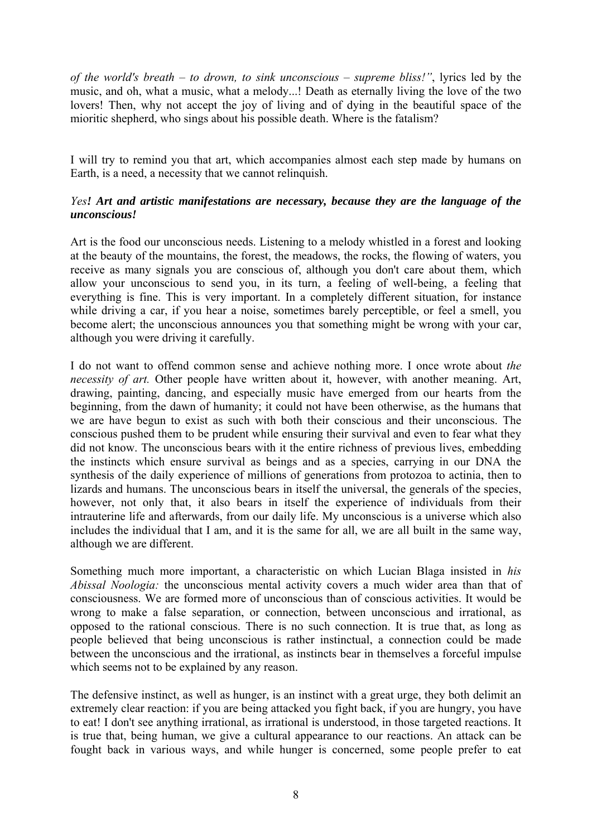*of the world's breath – to drown, to sink unconscious – supreme bliss!"*, lyrics led by the music, and oh, what a music, what a melody...! Death as eternally living the love of the two lovers! Then, why not accept the joy of living and of dying in the beautiful space of the mioritic shepherd, who sings about his possible death. Where is the fatalism?

I will try to remind you that art, which accompanies almost each step made by humans on Earth, is a need, a necessity that we cannot relinquish.

# *Yes! Art and artistic manifestations are necessary, because they are the language of the unconscious!*

Art is the food our unconscious needs. Listening to a melody whistled in a forest and looking at the beauty of the mountains, the forest, the meadows, the rocks, the flowing of waters, you receive as many signals you are conscious of, although you don't care about them, which allow your unconscious to send you, in its turn, a feeling of well-being, a feeling that everything is fine. This is very important. In a completely different situation, for instance while driving a car, if you hear a noise, sometimes barely perceptible, or feel a smell, you become alert; the unconscious announces you that something might be wrong with your car, although you were driving it carefully.

I do not want to offend common sense and achieve nothing more. I once wrote about *the necessity of art.* Other people have written about it, however, with another meaning. Art, drawing, painting, dancing, and especially music have emerged from our hearts from the beginning, from the dawn of humanity; it could not have been otherwise, as the humans that we are have begun to exist as such with both their conscious and their unconscious. The conscious pushed them to be prudent while ensuring their survival and even to fear what they did not know. The unconscious bears with it the entire richness of previous lives, embedding the instincts which ensure survival as beings and as a species, carrying in our DNA the synthesis of the daily experience of millions of generations from protozoa to actinia, then to lizards and humans. The unconscious bears in itself the universal, the generals of the species, however, not only that, it also bears in itself the experience of individuals from their intrauterine life and afterwards, from our daily life. My unconscious is a universe which also includes the individual that I am, and it is the same for all, we are all built in the same way, although we are different.

Something much more important, a characteristic on which Lucian Blaga insisted in *his Abissal Noologia:* the unconscious mental activity covers a much wider area than that of consciousness. We are formed more of unconscious than of conscious activities. It would be wrong to make a false separation, or connection, between unconscious and irrational, as opposed to the rational conscious. There is no such connection. It is true that, as long as people believed that being unconscious is rather instinctual, a connection could be made between the unconscious and the irrational, as instincts bear in themselves a forceful impulse which seems not to be explained by any reason.

The defensive instinct, as well as hunger, is an instinct with a great urge, they both delimit an extremely clear reaction: if you are being attacked you fight back, if you are hungry, you have to eat! I don't see anything irrational, as irrational is understood, in those targeted reactions. It is true that, being human, we give a cultural appearance to our reactions. An attack can be fought back in various ways, and while hunger is concerned, some people prefer to eat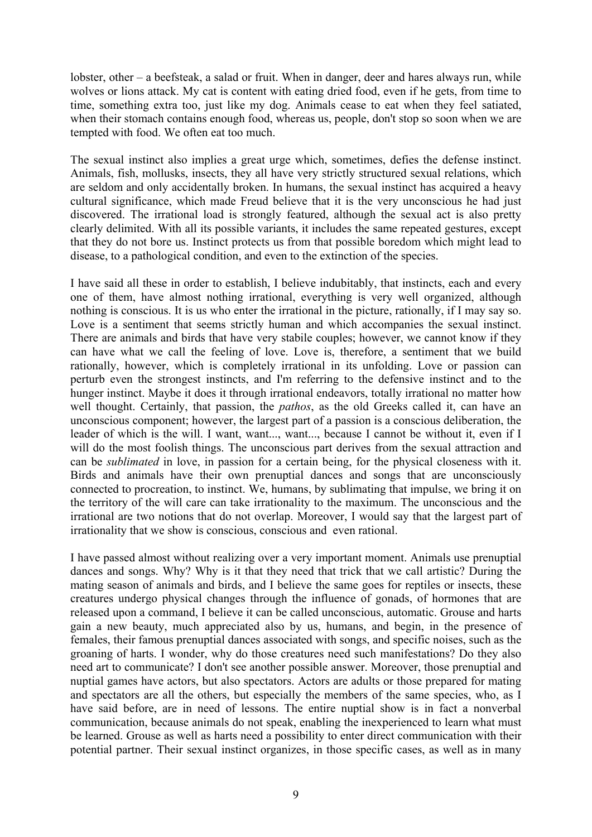lobster, other – a beefsteak, a salad or fruit. When in danger, deer and hares always run, while wolves or lions attack. My cat is content with eating dried food, even if he gets, from time to time, something extra too, just like my dog. Animals cease to eat when they feel satiated, when their stomach contains enough food, whereas us, people, don't stop so soon when we are tempted with food. We often eat too much.

The sexual instinct also implies a great urge which, sometimes, defies the defense instinct. Animals, fish, mollusks, insects, they all have very strictly structured sexual relations, which are seldom and only accidentally broken. In humans, the sexual instinct has acquired a heavy cultural significance, which made Freud believe that it is the very unconscious he had just discovered. The irrational load is strongly featured, although the sexual act is also pretty clearly delimited. With all its possible variants, it includes the same repeated gestures, except that they do not bore us. Instinct protects us from that possible boredom which might lead to disease, to a pathological condition, and even to the extinction of the species.

I have said all these in order to establish, I believe indubitably, that instincts, each and every one of them, have almost nothing irrational, everything is very well organized, although nothing is conscious. It is us who enter the irrational in the picture, rationally, if I may say so. Love is a sentiment that seems strictly human and which accompanies the sexual instinct. There are animals and birds that have very stabile couples; however, we cannot know if they can have what we call the feeling of love. Love is, therefore, a sentiment that we build rationally, however, which is completely irrational in its unfolding. Love or passion can perturb even the strongest instincts, and I'm referring to the defensive instinct and to the hunger instinct. Maybe it does it through irrational endeavors, totally irrational no matter how well thought. Certainly, that passion, the *pathos*, as the old Greeks called it, can have an unconscious component; however, the largest part of a passion is a conscious deliberation, the leader of which is the will. I want, want..., want..., because I cannot be without it, even if I will do the most foolish things. The unconscious part derives from the sexual attraction and can be *sublimated* in love, in passion for a certain being, for the physical closeness with it. Birds and animals have their own prenuptial dances and songs that are unconsciously connected to procreation, to instinct. We, humans, by sublimating that impulse, we bring it on the territory of the will care can take irrationality to the maximum. The unconscious and the irrational are two notions that do not overlap. Moreover, I would say that the largest part of irrationality that we show is conscious, conscious and even rational.

I have passed almost without realizing over a very important moment. Animals use prenuptial dances and songs. Why? Why is it that they need that trick that we call artistic? During the mating season of animals and birds, and I believe the same goes for reptiles or insects, these creatures undergo physical changes through the influence of gonads, of hormones that are released upon a command, I believe it can be called unconscious, automatic. Grouse and harts gain a new beauty, much appreciated also by us, humans, and begin, in the presence of females, their famous prenuptial dances associated with songs, and specific noises, such as the groaning of harts. I wonder, why do those creatures need such manifestations? Do they also need art to communicate? I don't see another possible answer. Moreover, those prenuptial and nuptial games have actors, but also spectators. Actors are adults or those prepared for mating and spectators are all the others, but especially the members of the same species, who, as I have said before, are in need of lessons. The entire nuptial show is in fact a nonverbal communication, because animals do not speak, enabling the inexperienced to learn what must be learned. Grouse as well as harts need a possibility to enter direct communication with their potential partner. Their sexual instinct organizes, in those specific cases, as well as in many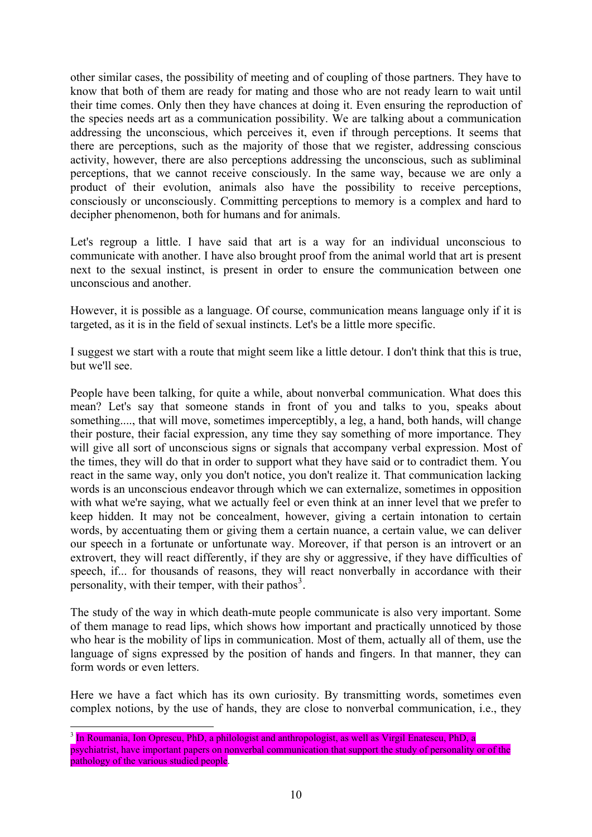other similar cases, the possibility of meeting and of coupling of those partners. They have to know that both of them are ready for mating and those who are not ready learn to wait until their time comes. Only then they have chances at doing it. Even ensuring the reproduction of the species needs art as a communication possibility. We are talking about a communication addressing the unconscious, which perceives it, even if through perceptions. It seems that there are perceptions, such as the majority of those that we register, addressing conscious activity, however, there are also perceptions addressing the unconscious, such as subliminal perceptions, that we cannot receive consciously. In the same way, because we are only a product of their evolution, animals also have the possibility to receive perceptions, consciously or unconsciously. Committing perceptions to memory is a complex and hard to decipher phenomenon, both for humans and for animals.

Let's regroup a little. I have said that art is a way for an individual unconscious to communicate with another. I have also brought proof from the animal world that art is present next to the sexual instinct, is present in order to ensure the communication between one unconscious and another.

However, it is possible as a language. Of course, communication means language only if it is targeted, as it is in the field of sexual instincts. Let's be a little more specific.

I suggest we start with a route that might seem like a little detour. I don't think that this is true, but we'll see.

People have been talking, for quite a while, about nonverbal communication. What does this mean? Let's say that someone stands in front of you and talks to you, speaks about something...., that will move, sometimes imperceptibly, a leg, a hand, both hands, will change their posture, their facial expression, any time they say something of more importance. They will give all sort of unconscious signs or signals that accompany verbal expression. Most of the times, they will do that in order to support what they have said or to contradict them. You react in the same way, only you don't notice, you don't realize it. That communication lacking words is an unconscious endeavor through which we can externalize, sometimes in opposition with what we're saying, what we actually feel or even think at an inner level that we prefer to keep hidden. It may not be concealment, however, giving a certain intonation to certain words, by accentuating them or giving them a certain nuance, a certain value, we can deliver our speech in a fortunate or unfortunate way. Moreover, if that person is an introvert or an extrovert, they will react differently, if they are shy or aggressive, if they have difficulties of speech, if... for thousands of reasons, they will react nonverbally in accordance with their personality, with their temper, with their pathos<sup>[3](#page-9-0)</sup>.

The study of the way in which death-mute people communicate is also very important. Some of them manage to read lips, which shows how important and practically unnoticed by those who hear is the mobility of lips in communication. Most of them, actually all of them, use the language of signs expressed by the position of hands and fingers. In that manner, they can form words or even letters.

Here we have a fact which has its own curiosity. By transmitting words, sometimes even complex notions, by the use of hands, they are close to nonverbal communication, i.e., they

<span id="page-9-0"></span><sup>&</sup>lt;sup>3</sup> In Roumania, Ion Oprescu, PhD, a philologist and anthropologist, as well as Virgil Enatescu, PhD, a psychiatrist, have important papers on nonverbal communication that support the study of personality or of the pathology of the various studied people.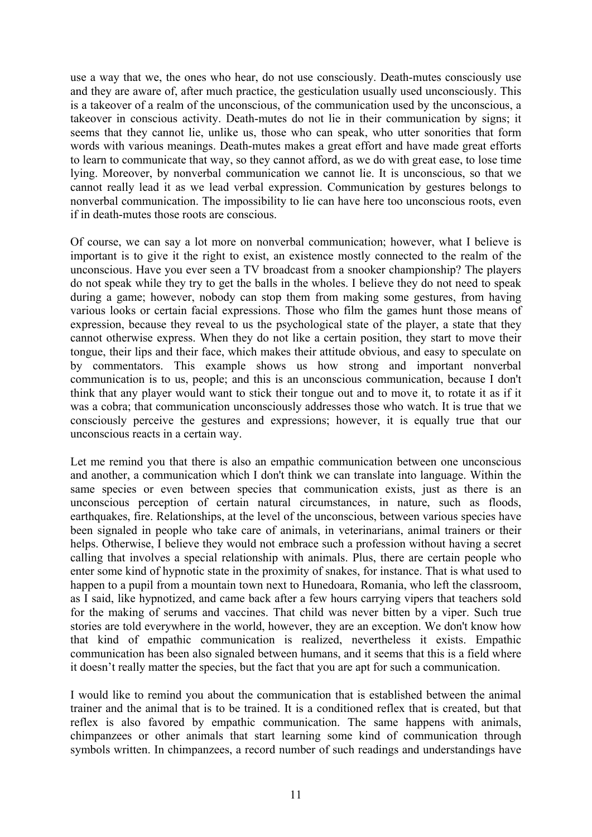use a way that we, the ones who hear, do not use consciously. Death-mutes consciously use and they are aware of, after much practice, the gesticulation usually used unconsciously. This is a takeover of a realm of the unconscious, of the communication used by the unconscious, a takeover in conscious activity. Death-mutes do not lie in their communication by signs; it seems that they cannot lie, unlike us, those who can speak, who utter sonorities that form words with various meanings. Death-mutes makes a great effort and have made great efforts to learn to communicate that way, so they cannot afford, as we do with great ease, to lose time lying. Moreover, by nonverbal communication we cannot lie. It is unconscious, so that we cannot really lead it as we lead verbal expression. Communication by gestures belongs to nonverbal communication. The impossibility to lie can have here too unconscious roots, even if in death-mutes those roots are conscious.

Of course, we can say a lot more on nonverbal communication; however, what I believe is important is to give it the right to exist, an existence mostly connected to the realm of the unconscious. Have you ever seen a TV broadcast from a snooker championship? The players do not speak while they try to get the balls in the wholes. I believe they do not need to speak during a game; however, nobody can stop them from making some gestures, from having various looks or certain facial expressions. Those who film the games hunt those means of expression, because they reveal to us the psychological state of the player, a state that they cannot otherwise express. When they do not like a certain position, they start to move their tongue, their lips and their face, which makes their attitude obvious, and easy to speculate on by commentators. This example shows us how strong and important nonverbal communication is to us, people; and this is an unconscious communication, because I don't think that any player would want to stick their tongue out and to move it, to rotate it as if it was a cobra; that communication unconsciously addresses those who watch. It is true that we consciously perceive the gestures and expressions; however, it is equally true that our unconscious reacts in a certain way.

Let me remind you that there is also an empathic communication between one unconscious and another, a communication which I don't think we can translate into language. Within the same species or even between species that communication exists, just as there is an unconscious perception of certain natural circumstances, in nature, such as floods, earthquakes, fire. Relationships, at the level of the unconscious, between various species have been signaled in people who take care of animals, in veterinarians, animal trainers or their helps. Otherwise, I believe they would not embrace such a profession without having a secret calling that involves a special relationship with animals. Plus, there are certain people who enter some kind of hypnotic state in the proximity of snakes, for instance. That is what used to happen to a pupil from a mountain town next to Hunedoara, Romania, who left the classroom, as I said, like hypnotized, and came back after a few hours carrying vipers that teachers sold for the making of serums and vaccines. That child was never bitten by a viper. Such true stories are told everywhere in the world, however, they are an exception. We don't know how that kind of empathic communication is realized, nevertheless it exists. Empathic communication has been also signaled between humans, and it seems that this is a field where it doesn't really matter the species, but the fact that you are apt for such a communication.

I would like to remind you about the communication that is established between the animal trainer and the animal that is to be trained. It is a conditioned reflex that is created, but that reflex is also favored by empathic communication. The same happens with animals, chimpanzees or other animals that start learning some kind of communication through symbols written. In chimpanzees, a record number of such readings and understandings have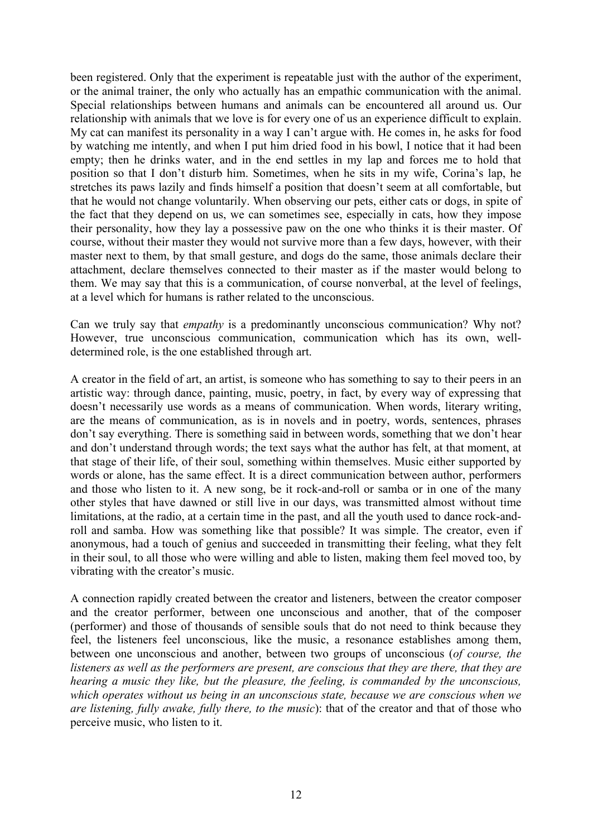been registered. Only that the experiment is repeatable just with the author of the experiment, or the animal trainer, the only who actually has an empathic communication with the animal. Special relationships between humans and animals can be encountered all around us. Our relationship with animals that we love is for every one of us an experience difficult to explain. My cat can manifest its personality in a way I can't argue with. He comes in, he asks for food by watching me intently, and when I put him dried food in his bowl, I notice that it had been empty; then he drinks water, and in the end settles in my lap and forces me to hold that position so that I don't disturb him. Sometimes, when he sits in my wife, Corina's lap, he stretches its paws lazily and finds himself a position that doesn't seem at all comfortable, but that he would not change voluntarily. When observing our pets, either cats or dogs, in spite of the fact that they depend on us, we can sometimes see, especially in cats, how they impose their personality, how they lay a possessive paw on the one who thinks it is their master. Of course, without their master they would not survive more than a few days, however, with their master next to them, by that small gesture, and dogs do the same, those animals declare their attachment, declare themselves connected to their master as if the master would belong to them. We may say that this is a communication, of course nonverbal, at the level of feelings, at a level which for humans is rather related to the unconscious.

Can we truly say that *empathy* is a predominantly unconscious communication? Why not? However, true unconscious communication, communication which has its own, welldetermined role, is the one established through art.

A creator in the field of art, an artist, is someone who has something to say to their peers in an artistic way: through dance, painting, music, poetry, in fact, by every way of expressing that doesn't necessarily use words as a means of communication. When words, literary writing, are the means of communication, as is in novels and in poetry, words, sentences, phrases don't say everything. There is something said in between words, something that we don't hear and don't understand through words; the text says what the author has felt, at that moment, at that stage of their life, of their soul, something within themselves. Music either supported by words or alone, has the same effect. It is a direct communication between author, performers and those who listen to it. A new song, be it rock-and-roll or samba or in one of the many other styles that have dawned or still live in our days, was transmitted almost without time limitations, at the radio, at a certain time in the past, and all the youth used to dance rock-androll and samba. How was something like that possible? It was simple. The creator, even if anonymous, had a touch of genius and succeeded in transmitting their feeling, what they felt in their soul, to all those who were willing and able to listen, making them feel moved too, by vibrating with the creator's music.

A connection rapidly created between the creator and listeners, between the creator composer and the creator performer, between one unconscious and another, that of the composer (performer) and those of thousands of sensible souls that do not need to think because they feel, the listeners feel unconscious, like the music, a resonance establishes among them, between one unconscious and another, between two groups of unconscious (*of course, the listeners as well as the performers are present, are conscious that they are there, that they are hearing a music they like, but the pleasure, the feeling, is commanded by the unconscious, which operates without us being in an unconscious state, because we are conscious when we are listening, fully awake, fully there, to the music*): that of the creator and that of those who perceive music, who listen to it.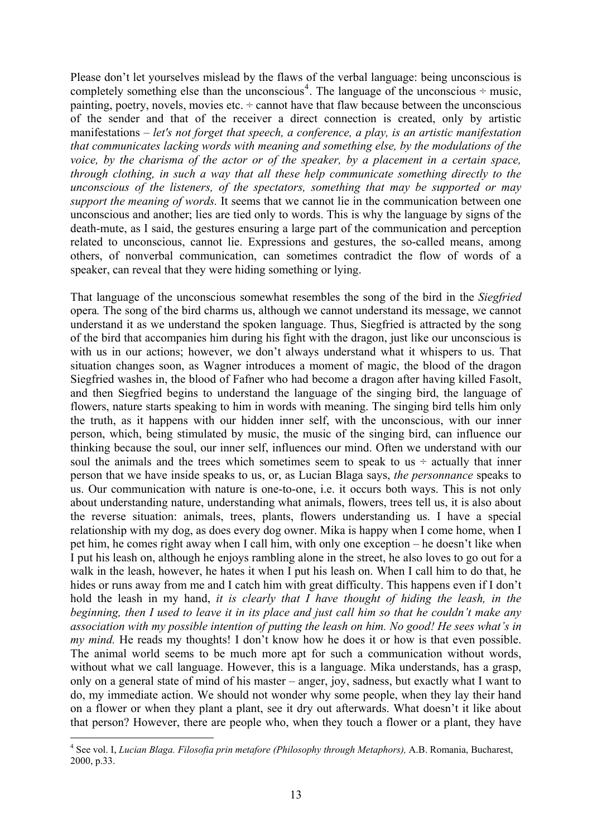Please don't let yourselves mislead by the flaws of the verbal language: being unconscious is completely something else than the unconscious<sup>[4](#page-12-0)</sup>. The language of the unconscious  $\div$  music, painting, poetry, novels, movies etc.  $\div$  cannot have that flaw because between the unconscious of the sender and that of the receiver a direct connection is created, only by artistic manifestations – *let's not forget that speech, a conference, a play, is an artistic manifestation that communicates lacking words with meaning and something else, by the modulations of the voice, by the charisma of the actor or of the speaker, by a placement in a certain space, through clothing, in such a way that all these help communicate something directly to the unconscious of the listeners, of the spectators, something that may be supported or may support the meaning of words.* It seems that we cannot lie in the communication between one unconscious and another; lies are tied only to words. This is why the language by signs of the death-mute, as I said, the gestures ensuring a large part of the communication and perception related to unconscious, cannot lie. Expressions and gestures, the so-called means, among others, of nonverbal communication, can sometimes contradict the flow of words of a speaker, can reveal that they were hiding something or lying.

That language of the unconscious somewhat resembles the song of the bird in the *Siegfried*  opera*.* The song of the bird charms us, although we cannot understand its message, we cannot understand it as we understand the spoken language. Thus, Siegfried is attracted by the song of the bird that accompanies him during his fight with the dragon, just like our unconscious is with us in our actions; however, we don't always understand what it whispers to us. That situation changes soon, as Wagner introduces a moment of magic, the blood of the dragon Siegfried washes in, the blood of Fafner who had become a dragon after having killed Fasolt, and then Siegfried begins to understand the language of the singing bird, the language of flowers, nature starts speaking to him in words with meaning. The singing bird tells him only the truth, as it happens with our hidden inner self, with the unconscious, with our inner person, which, being stimulated by music, the music of the singing bird, can influence our thinking because the soul, our inner self, influences our mind. Often we understand with our soul the animals and the trees which sometimes seem to speak to us  $\div$  actually that inner person that we have inside speaks to us, or, as Lucian Blaga says, *the personnance* speaks to us. Our communication with nature is one-to-one, i.e. it occurs both ways. This is not only about understanding nature, understanding what animals, flowers, trees tell us, it is also about the reverse situation: animals, trees, plants, flowers understanding us. I have a special relationship with my dog, as does every dog owner. Mika is happy when I come home, when I pet him, he comes right away when I call him, with only one exception – he doesn't like when I put his leash on, although he enjoys rambling alone in the street, he also loves to go out for a walk in the leash, however, he hates it when I put his leash on. When I call him to do that, he hides or runs away from me and I catch him with great difficulty. This happens even if I don't hold the leash in my hand, *it is clearly that I have thought of hiding the leash, in the beginning, then I used to leave it in its place and just call him so that he couldn't make any association with my possible intention of putting the leash on him. No good! He sees what's in my mind.* He reads my thoughts! I don't know how he does it or how is that even possible. The animal world seems to be much more apt for such a communication without words, without what we call language. However, this is a language. Mika understands, has a grasp, only on a general state of mind of his master – anger, joy, sadness, but exactly what I want to do, my immediate action. We should not wonder why some people, when they lay their hand on a flower or when they plant a plant, see it dry out afterwards. What doesn't it like about that person? However, there are people who, when they touch a flower or a plant, they have

<span id="page-12-0"></span><sup>&</sup>lt;sup>4</sup> See vol. I, *Lucian Blaga. Filosofia prin metafore (Philosophy through Metaphors)*, A.B. Romania, Bucharest, 2000, p.33.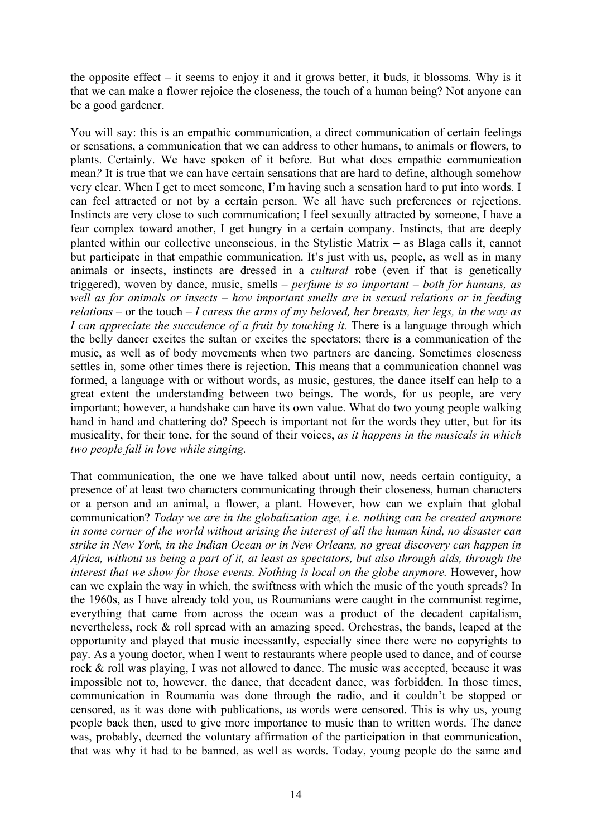the opposite effect – it seems to enjoy it and it grows better, it buds, it blossoms. Why is it that we can make a flower rejoice the closeness, the touch of a human being? Not anyone can be a good gardener.

You will say: this is an empathic communication, a direct communication of certain feelings or sensations, a communication that we can address to other humans, to animals or flowers, to plants. Certainly. We have spoken of it before. But what does empathic communication mean*?* It is true that we can have certain sensations that are hard to define, although somehow very clear. When I get to meet someone, I'm having such a sensation hard to put into words. I can feel attracted or not by a certain person. We all have such preferences or rejections. Instincts are very close to such communication; I feel sexually attracted by someone, I have a fear complex toward another, I get hungry in a certain company. Instincts, that are deeply planted within our collective unconscious, in the Stylistic Matrix − as Blaga calls it, cannot but participate in that empathic communication. It's just with us, people, as well as in many animals or insects, instincts are dressed in a *cultural* robe (even if that is genetically triggered), woven by dance, music, smells – *perfume is so important – both for humans, as well as for animals or insects – how important smells are in sexual relations or in feeding relations* – or the touch – *I caress the arms of my beloved, her breasts, her legs, in the way as I can appreciate the succulence of a fruit by touching it. There is a language through which* the belly dancer excites the sultan or excites the spectators; there is a communication of the music, as well as of body movements when two partners are dancing. Sometimes closeness settles in, some other times there is rejection. This means that a communication channel was formed, a language with or without words, as music, gestures, the dance itself can help to a great extent the understanding between two beings. The words, for us people, are very important; however, a handshake can have its own value. What do two young people walking hand in hand and chattering do? Speech is important not for the words they utter, but for its musicality, for their tone, for the sound of their voices, *as it happens in the musicals in which two people fall in love while singing.*

That communication, the one we have talked about until now, needs certain contiguity, a presence of at least two characters communicating through their closeness, human characters or a person and an animal, a flower, a plant. However, how can we explain that global communication? *Today we are in the globalization age, i.e. nothing can be created anymore in some corner of the world without arising the interest of all the human kind, no disaster can strike in New York, in the Indian Ocean or in New Orleans, no great discovery can happen in Africa, without us being a part of it, at least as spectators, but also through aids, through the interest that we show for those events. Nothing is local on the globe anymore. However, how* can we explain the way in which, the swiftness with which the music of the youth spreads? In the 1960s, as I have already told you, us Roumanians were caught in the communist regime, everything that came from across the ocean was a product of the decadent capitalism, nevertheless, rock & roll spread with an amazing speed. Orchestras, the bands, leaped at the opportunity and played that music incessantly, especially since there were no copyrights to pay. As a young doctor, when I went to restaurants where people used to dance, and of course rock & roll was playing, I was not allowed to dance. The music was accepted, because it was impossible not to, however, the dance, that decadent dance, was forbidden. In those times, communication in Roumania was done through the radio, and it couldn't be stopped or censored, as it was done with publications, as words were censored. This is why us, young people back then, used to give more importance to music than to written words. The dance was, probably, deemed the voluntary affirmation of the participation in that communication, that was why it had to be banned, as well as words. Today, young people do the same and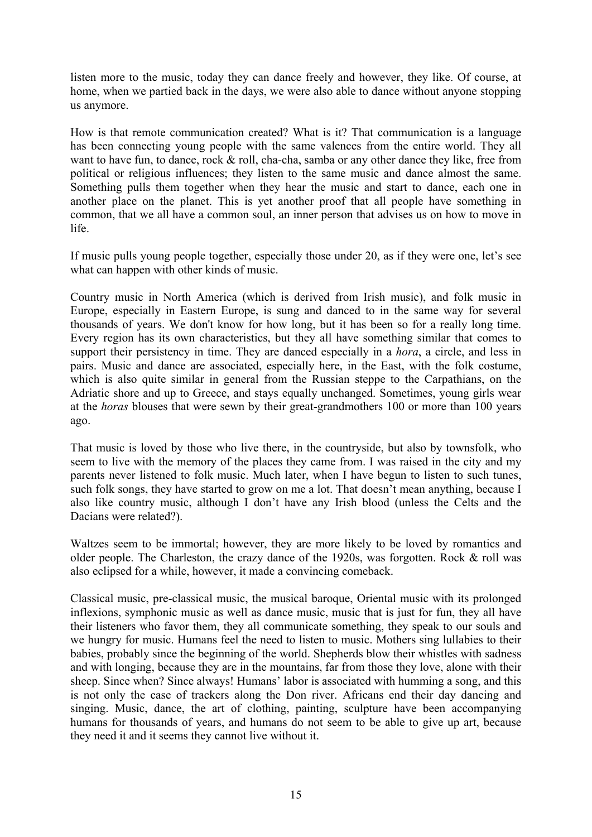listen more to the music, today they can dance freely and however, they like. Of course, at home, when we partied back in the days, we were also able to dance without anyone stopping us anymore.

How is that remote communication created? What is it? That communication is a language has been connecting young people with the same valences from the entire world. They all want to have fun, to dance, rock & roll, cha-cha, samba or any other dance they like, free from political or religious influences; they listen to the same music and dance almost the same. Something pulls them together when they hear the music and start to dance, each one in another place on the planet. This is yet another proof that all people have something in common, that we all have a common soul, an inner person that advises us on how to move in life.

If music pulls young people together, especially those under 20, as if they were one, let's see what can happen with other kinds of music.

Country music in North America (which is derived from Irish music), and folk music in Europe, especially in Eastern Europe, is sung and danced to in the same way for several thousands of years. We don't know for how long, but it has been so for a really long time. Every region has its own characteristics, but they all have something similar that comes to support their persistency in time. They are danced especially in a *hora*, a circle, and less in pairs. Music and dance are associated, especially here, in the East, with the folk costume, which is also quite similar in general from the Russian steppe to the Carpathians, on the Adriatic shore and up to Greece, and stays equally unchanged. Sometimes, young girls wear at the *horas* blouses that were sewn by their great-grandmothers 100 or more than 100 years ago.

That music is loved by those who live there, in the countryside, but also by townsfolk, who seem to live with the memory of the places they came from. I was raised in the city and my parents never listened to folk music. Much later, when I have begun to listen to such tunes, such folk songs, they have started to grow on me a lot. That doesn't mean anything, because I also like country music, although I don't have any Irish blood (unless the Celts and the Dacians were related?).

Waltzes seem to be immortal; however, they are more likely to be loved by romantics and older people. The Charleston, the crazy dance of the 1920s, was forgotten. Rock & roll was also eclipsed for a while, however, it made a convincing comeback.

Classical music, pre-classical music, the musical baroque, Oriental music with its prolonged inflexions, symphonic music as well as dance music, music that is just for fun, they all have their listeners who favor them, they all communicate something, they speak to our souls and we hungry for music. Humans feel the need to listen to music. Mothers sing lullabies to their babies, probably since the beginning of the world. Shepherds blow their whistles with sadness and with longing, because they are in the mountains, far from those they love, alone with their sheep. Since when? Since always! Humans' labor is associated with humming a song, and this is not only the case of trackers along the Don river. Africans end their day dancing and singing. Music, dance, the art of clothing, painting, sculpture have been accompanying humans for thousands of years, and humans do not seem to be able to give up art, because they need it and it seems they cannot live without it.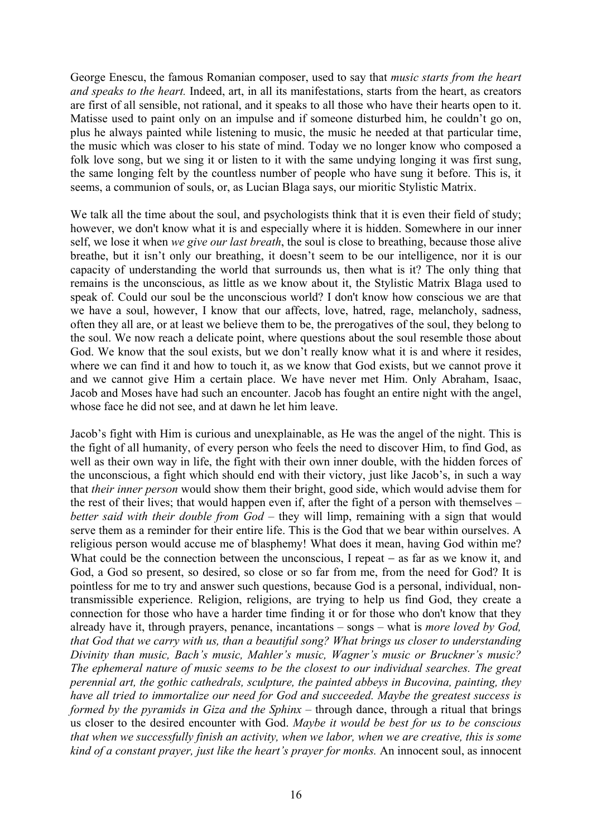George Enescu, the famous Romanian composer, used to say that *music starts from the heart and speaks to the heart.* Indeed, art, in all its manifestations, starts from the heart, as creators are first of all sensible, not rational, and it speaks to all those who have their hearts open to it. Matisse used to paint only on an impulse and if someone disturbed him, he couldn't go on, plus he always painted while listening to music, the music he needed at that particular time, the music which was closer to his state of mind. Today we no longer know who composed a folk love song, but we sing it or listen to it with the same undying longing it was first sung, the same longing felt by the countless number of people who have sung it before. This is, it seems, a communion of souls, or, as Lucian Blaga says, our mioritic Stylistic Matrix.

We talk all the time about the soul, and psychologists think that it is even their field of study; however, we don't know what it is and especially where it is hidden. Somewhere in our inner self, we lose it when *we give our last breath*, the soul is close to breathing, because those alive breathe, but it isn't only our breathing, it doesn't seem to be our intelligence, nor it is our capacity of understanding the world that surrounds us, then what is it? The only thing that remains is the unconscious, as little as we know about it, the Stylistic Matrix Blaga used to speak of. Could our soul be the unconscious world? I don't know how conscious we are that we have a soul, however, I know that our affects, love, hatred, rage, melancholy, sadness, often they all are, or at least we believe them to be, the prerogatives of the soul, they belong to the soul. We now reach a delicate point, where questions about the soul resemble those about God. We know that the soul exists, but we don't really know what it is and where it resides, where we can find it and how to touch it, as we know that God exists, but we cannot prove it and we cannot give Him a certain place. We have never met Him. Only Abraham, Isaac, Jacob and Moses have had such an encounter. Jacob has fought an entire night with the angel, whose face he did not see, and at dawn he let him leave.

Jacob's fight with Him is curious and unexplainable, as He was the angel of the night. This is the fight of all humanity, of every person who feels the need to discover Him, to find God, as well as their own way in life, the fight with their own inner double, with the hidden forces of the unconscious, a fight which should end with their victory, just like Jacob's, in such a way that *their inner person* would show them their bright, good side, which would advise them for the rest of their lives; that would happen even if, after the fight of a person with themselves – *better said with their double from God – they will limp, remaining with a sign that would* serve them as a reminder for their entire life. This is the God that we bear within ourselves. A religious person would accuse me of blasphemy! What does it mean, having God within me? What could be the connection between the unconscious, I repeat − as far as we know it, and God, a God so present, so desired, so close or so far from me, from the need for God? It is pointless for me to try and answer such questions, because God is a personal, individual, nontransmissible experience. Religion, religions, are trying to help us find God, they create a connection for those who have a harder time finding it or for those who don't know that they already have it, through prayers, penance, incantations – songs – what is *more loved by God, that God that we carry with us, than a beautiful song? What brings us closer to understanding Divinity than music, Bach's music, Mahler's music, Wagner's music or Bruckner's music? The ephemeral nature of music seems to be the closest to our individual searches. The great perennial art, the gothic cathedrals, sculpture, the painted abbeys in Bucovina, painting, they have all tried to immortalize our need for God and succeeded. Maybe the greatest success is formed by the pyramids in Giza and the Sphinx – through dance, through a ritual that brings* us closer to the desired encounter with God. *Maybe it would be best for us to be conscious that when we successfully finish an activity, when we labor, when we are creative, this is some kind of a constant prayer, just like the heart's prayer for monks.* An innocent soul, as innocent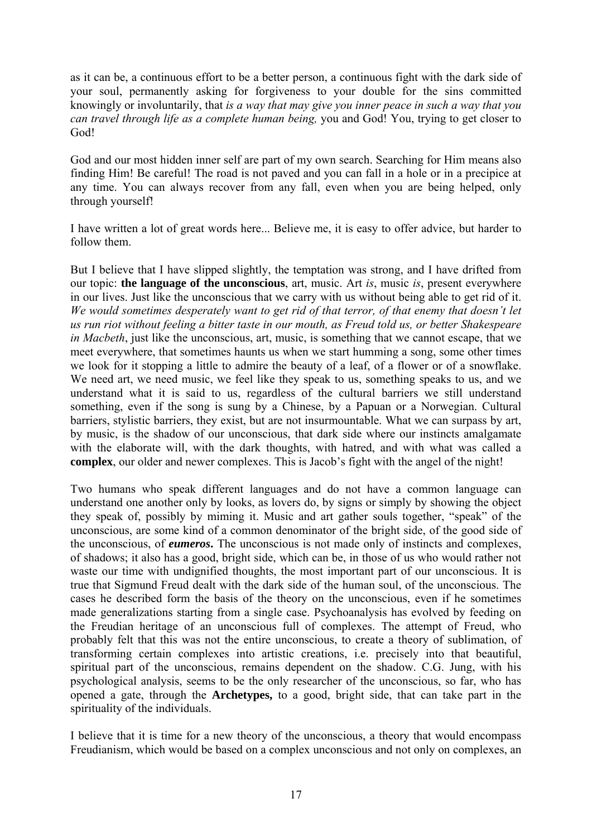as it can be, a continuous effort to be a better person, a continuous fight with the dark side of your soul, permanently asking for forgiveness to your double for the sins committed knowingly or involuntarily, that *is a way that may give you inner peace in such a way that you can travel through life as a complete human being,* you and God! You, trying to get closer to God!

God and our most hidden inner self are part of my own search. Searching for Him means also finding Him! Be careful! The road is not paved and you can fall in a hole or in a precipice at any time. You can always recover from any fall, even when you are being helped, only through yourself!

I have written a lot of great words here... Believe me, it is easy to offer advice, but harder to follow them.

But I believe that I have slipped slightly, the temptation was strong, and I have drifted from our topic: **the language of the unconscious**, art, music. Art *is*, music *is*, present everywhere in our lives. Just like the unconscious that we carry with us without being able to get rid of it. *We would sometimes desperately want to get rid of that terror, of that enemy that doesn't let us run riot without feeling a bitter taste in our mouth, as Freud told us, or better Shakespeare in Macbeth*, just like the unconscious, art, music, is something that we cannot escape, that we meet everywhere, that sometimes haunts us when we start humming a song, some other times we look for it stopping a little to admire the beauty of a leaf, of a flower or of a snowflake. We need art, we need music, we feel like they speak to us, something speaks to us, and we understand what it is said to us, regardless of the cultural barriers we still understand something, even if the song is sung by a Chinese, by a Papuan or a Norwegian. Cultural barriers, stylistic barriers, they exist, but are not insurmountable. What we can surpass by art, by music, is the shadow of our unconscious, that dark side where our instincts amalgamate with the elaborate will, with the dark thoughts, with hatred, and with what was called a **complex**, our older and newer complexes. This is Jacob's fight with the angel of the night!

Two humans who speak different languages and do not have a common language can understand one another only by looks, as lovers do, by signs or simply by showing the object they speak of, possibly by miming it. Music and art gather souls together, "speak" of the unconscious, are some kind of a common denominator of the bright side, of the good side of the unconscious, of *eumeros***.** The unconscious is not made only of instincts and complexes, of shadows; it also has a good, bright side, which can be, in those of us who would rather not waste our time with undignified thoughts, the most important part of our unconscious. It is true that Sigmund Freud dealt with the dark side of the human soul, of the unconscious. The cases he described form the basis of the theory on the unconscious, even if he sometimes made generalizations starting from a single case. Psychoanalysis has evolved by feeding on the Freudian heritage of an unconscious full of complexes. The attempt of Freud, who probably felt that this was not the entire unconscious, to create a theory of sublimation, of transforming certain complexes into artistic creations, i.e. precisely into that beautiful, spiritual part of the unconscious, remains dependent on the shadow. C.G. Jung, with his psychological analysis, seems to be the only researcher of the unconscious, so far, who has opened a gate, through the **Archetypes,** to a good, bright side, that can take part in the spirituality of the individuals.

I believe that it is time for a new theory of the unconscious, a theory that would encompass Freudianism, which would be based on a complex unconscious and not only on complexes, an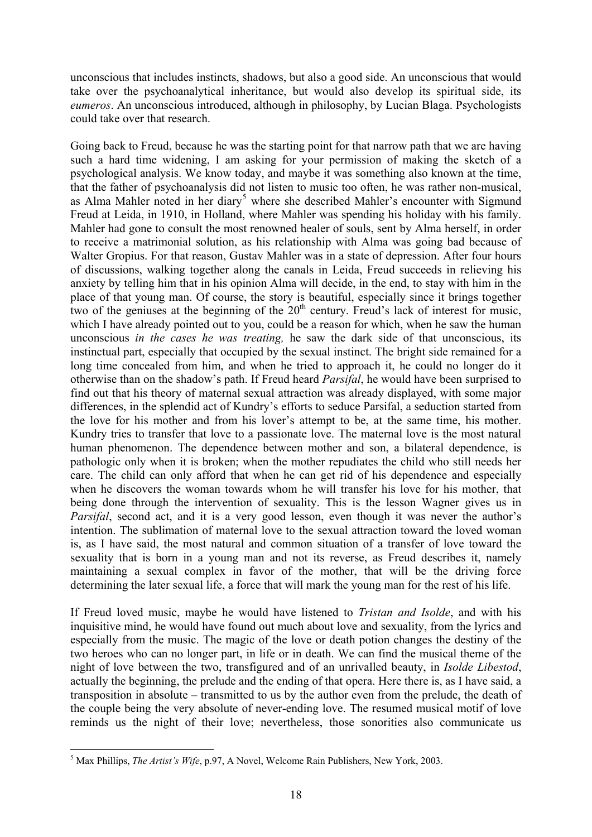unconscious that includes instincts, shadows, but also a good side. An unconscious that would take over the psychoanalytical inheritance, but would also develop its spiritual side, its *eumeros*. An unconscious introduced, although in philosophy, by Lucian Blaga. Psychologists could take over that research.

Going back to Freud, because he was the starting point for that narrow path that we are having such a hard time widening, I am asking for your permission of making the sketch of a psychological analysis. We know today, and maybe it was something also known at the time, that the father of psychoanalysis did not listen to music too often, he was rather non-musical, as Alma Mahler noted in her diary<sup>[5](#page-17-0)</sup> where she described Mahler's encounter with Sigmund Freud at Leida, in 1910, in Holland, where Mahler was spending his holiday with his family. Mahler had gone to consult the most renowned healer of souls, sent by Alma herself, in order to receive a matrimonial solution, as his relationship with Alma was going bad because of Walter Gropius. For that reason, Gustav Mahler was in a state of depression. After four hours of discussions, walking together along the canals in Leida, Freud succeeds in relieving his anxiety by telling him that in his opinion Alma will decide, in the end, to stay with him in the place of that young man. Of course, the story is beautiful, especially since it brings together two of the geniuses at the beginning of the  $20<sup>th</sup>$  century. Freud's lack of interest for music, which I have already pointed out to you, could be a reason for which, when he saw the human unconscious *in the cases he was treating,* he saw the dark side of that unconscious, its instinctual part, especially that occupied by the sexual instinct. The bright side remained for a long time concealed from him, and when he tried to approach it, he could no longer do it otherwise than on the shadow's path. If Freud heard *Parsifal*, he would have been surprised to find out that his theory of maternal sexual attraction was already displayed, with some major differences, in the splendid act of Kundry's efforts to seduce Parsifal, a seduction started from the love for his mother and from his lover's attempt to be, at the same time, his mother. Kundry tries to transfer that love to a passionate love. The maternal love is the most natural human phenomenon. The dependence between mother and son, a bilateral dependence, is pathologic only when it is broken; when the mother repudiates the child who still needs her care. The child can only afford that when he can get rid of his dependence and especially when he discovers the woman towards whom he will transfer his love for his mother, that being done through the intervention of sexuality. This is the lesson Wagner gives us in *Parsifal*, second act, and it is a very good lesson, even though it was never the author's intention. The sublimation of maternal love to the sexual attraction toward the loved woman is, as I have said, the most natural and common situation of a transfer of love toward the sexuality that is born in a young man and not its reverse, as Freud describes it, namely maintaining a sexual complex in favor of the mother, that will be the driving force determining the later sexual life, a force that will mark the young man for the rest of his life.

If Freud loved music, maybe he would have listened to *Tristan and Isolde*, and with his inquisitive mind, he would have found out much about love and sexuality, from the lyrics and especially from the music. The magic of the love or death potion changes the destiny of the two heroes who can no longer part, in life or in death. We can find the musical theme of the night of love between the two, transfigured and of an unrivalled beauty, in *Isolde Libestod*, actually the beginning, the prelude and the ending of that opera. Here there is, as I have said, a transposition in absolute – transmitted to us by the author even from the prelude, the death of the couple being the very absolute of never-ending love. The resumed musical motif of love reminds us the night of their love; nevertheless, those sonorities also communicate us

<span id="page-17-0"></span><sup>1</sup> 5 Max Phillips, *The Artist's Wife*, p.97, A Novel, Welcome Rain Publishers, New York, 2003.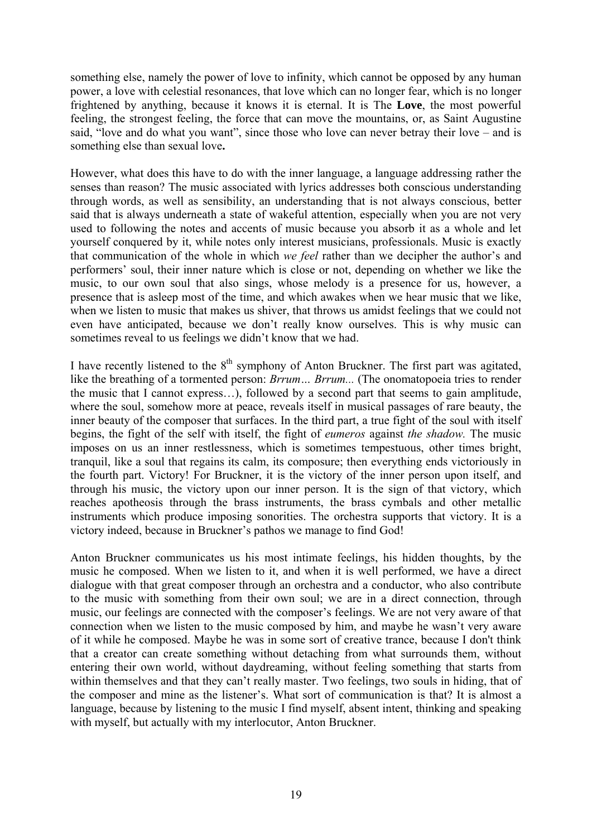something else, namely the power of love to infinity, which cannot be opposed by any human power, a love with celestial resonances, that love which can no longer fear, which is no longer frightened by anything, because it knows it is eternal. It is The **Love**, the most powerful feeling, the strongest feeling, the force that can move the mountains, or, as Saint Augustine said, "love and do what you want", since those who love can never betray their love – and is something else than sexual love**.** 

However, what does this have to do with the inner language, a language addressing rather the senses than reason? The music associated with lyrics addresses both conscious understanding through words, as well as sensibility, an understanding that is not always conscious, better said that is always underneath a state of wakeful attention, especially when you are not very used to following the notes and accents of music because you absorb it as a whole and let yourself conquered by it, while notes only interest musicians, professionals. Music is exactly that communication of the whole in which *we feel* rather than we decipher the author's and performers' soul, their inner nature which is close or not, depending on whether we like the music, to our own soul that also sings, whose melody is a presence for us, however, a presence that is asleep most of the time, and which awakes when we hear music that we like, when we listen to music that makes us shiver, that throws us amidst feelings that we could not even have anticipated, because we don't really know ourselves. This is why music can sometimes reveal to us feelings we didn't know that we had.

I have recently listened to the  $8<sup>th</sup>$  symphony of Anton Bruckner. The first part was agitated, like the breathing of a tormented person: *Brrum... Brrum...* (The onomatopoeia tries to render the music that I cannot express…), followed by a second part that seems to gain amplitude, where the soul, somehow more at peace, reveals itself in musical passages of rare beauty, the inner beauty of the composer that surfaces. In the third part, a true fight of the soul with itself begins, the fight of the self with itself, the fight of *eumeros* against *the shadow.* The music imposes on us an inner restlessness, which is sometimes tempestuous, other times bright, tranquil, like a soul that regains its calm, its composure; then everything ends victoriously in the fourth part. Victory! For Bruckner, it is the victory of the inner person upon itself, and through his music, the victory upon our inner person. It is the sign of that victory, which reaches apotheosis through the brass instruments, the brass cymbals and other metallic instruments which produce imposing sonorities. The orchestra supports that victory. It is a victory indeed, because in Bruckner's pathos we manage to find God!

Anton Bruckner communicates us his most intimate feelings, his hidden thoughts, by the music he composed. When we listen to it, and when it is well performed, we have a direct dialogue with that great composer through an orchestra and a conductor, who also contribute to the music with something from their own soul; we are in a direct connection, through music, our feelings are connected with the composer's feelings. We are not very aware of that connection when we listen to the music composed by him, and maybe he wasn't very aware of it while he composed. Maybe he was in some sort of creative trance, because I don't think that a creator can create something without detaching from what surrounds them, without entering their own world, without daydreaming, without feeling something that starts from within themselves and that they can't really master. Two feelings, two souls in hiding, that of the composer and mine as the listener's. What sort of communication is that? It is almost a language, because by listening to the music I find myself, absent intent, thinking and speaking with myself, but actually with my interlocutor, Anton Bruckner.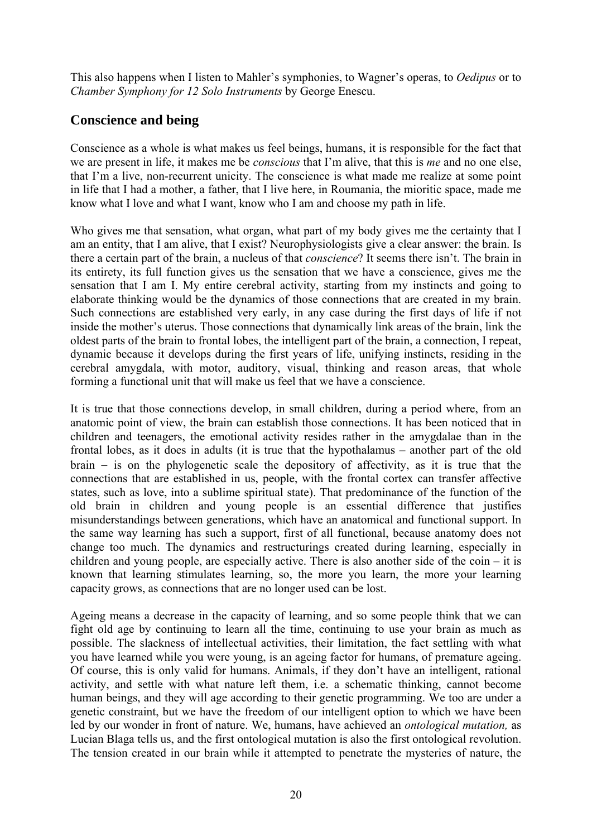This also happens when I listen to Mahler's symphonies, to Wagner's operas, to *Oedipus* or to *Chamber Symphony for 12 Solo Instruments* by George Enescu.

# **Conscience and being**

Conscience as a whole is what makes us feel beings, humans, it is responsible for the fact that we are present in life, it makes me be *conscious* that I'm alive, that this is *me* and no one else, that I'm a live, non-recurrent unicity. The conscience is what made me realize at some point in life that I had a mother, a father, that I live here, in Roumania, the mioritic space, made me know what I love and what I want, know who I am and choose my path in life.

Who gives me that sensation, what organ, what part of my body gives me the certainty that I am an entity, that I am alive, that I exist? Neurophysiologists give a clear answer: the brain. Is there a certain part of the brain, a nucleus of that *conscience*? It seems there isn't. The brain in its entirety, its full function gives us the sensation that we have a conscience, gives me the sensation that I am I. My entire cerebral activity, starting from my instincts and going to elaborate thinking would be the dynamics of those connections that are created in my brain. Such connections are established very early, in any case during the first days of life if not inside the mother's uterus. Those connections that dynamically link areas of the brain, link the oldest parts of the brain to frontal lobes, the intelligent part of the brain, a connection, I repeat, dynamic because it develops during the first years of life, unifying instincts, residing in the cerebral amygdala, with motor, auditory, visual, thinking and reason areas, that whole forming a functional unit that will make us feel that we have a conscience.

It is true that those connections develop, in small children, during a period where, from an anatomic point of view, the brain can establish those connections. It has been noticed that in children and teenagers, the emotional activity resides rather in the amygdalae than in the frontal lobes, as it does in adults (it is true that the hypothalamus – another part of the old brain − is on the phylogenetic scale the depository of affectivity, as it is true that the connections that are established in us, people, with the frontal cortex can transfer affective states, such as love, into a sublime spiritual state). That predominance of the function of the old brain in children and young people is an essential difference that justifies misunderstandings between generations, which have an anatomical and functional support. In the same way learning has such a support, first of all functional, because anatomy does not change too much. The dynamics and restructurings created during learning, especially in children and young people, are especially active. There is also another side of the coin – it is known that learning stimulates learning, so, the more you learn, the more your learning capacity grows, as connections that are no longer used can be lost.

Ageing means a decrease in the capacity of learning, and so some people think that we can fight old age by continuing to learn all the time, continuing to use your brain as much as possible. The slackness of intellectual activities, their limitation, the fact settling with what you have learned while you were young, is an ageing factor for humans, of premature ageing. Of course, this is only valid for humans. Animals, if they don't have an intelligent, rational activity, and settle with what nature left them, i.e. a schematic thinking, cannot become human beings, and they will age according to their genetic programming. We too are under a genetic constraint, but we have the freedom of our intelligent option to which we have been led by our wonder in front of nature. We, humans, have achieved an *ontological mutation,* as Lucian Blaga tells us, and the first ontological mutation is also the first ontological revolution. The tension created in our brain while it attempted to penetrate the mysteries of nature, the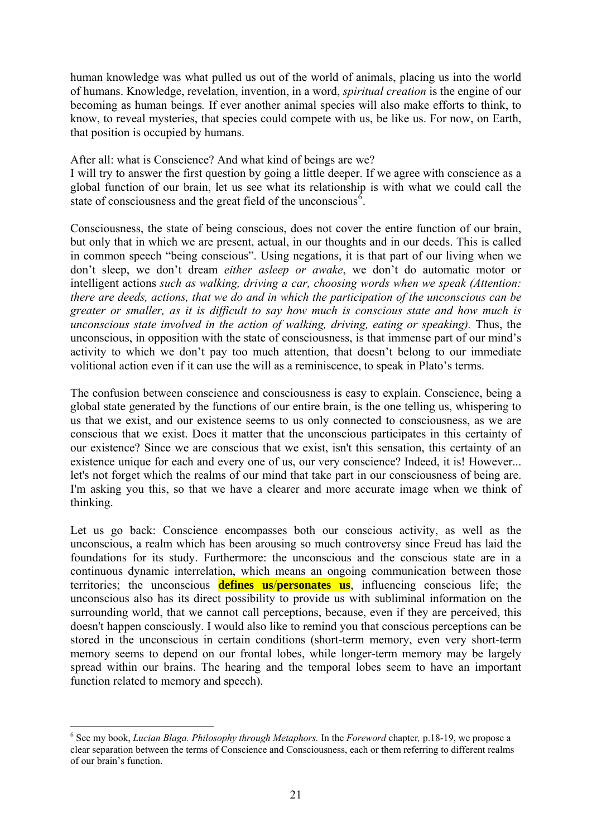human knowledge was what pulled us out of the world of animals, placing us into the world of humans. Knowledge, revelation, invention, in a word, *spiritual creation* is the engine of our becoming as human beings*.* If ever another animal species will also make efforts to think, to know, to reveal mysteries, that species could compete with us, be like us. For now, on Earth, that position is occupied by humans.

After all: what is Conscience? And what kind of beings are we?

I will try to answer the first question by going a little deeper. If we agree with conscience as a global function of our brain, let us see what its relationship is with what we could call the state of consciousness and the great field of the unconscious<sup> $6$ </sup>.

Consciousness, the state of being conscious, does not cover the entire function of our brain, but only that in which we are present, actual, in our thoughts and in our deeds. This is called in common speech "being conscious". Using negations, it is that part of our living when we don't sleep, we don't dream *either asleep or awake*, we don't do automatic motor or intelligent actions *such as walking, driving a car, choosing words when we speak (Attention: there are deeds, actions, that we do and in which the participation of the unconscious can be greater or smaller, as it is difficult to say how much is conscious state and how much is unconscious state involved in the action of walking, driving, eating or speaking).* Thus, the unconscious, in opposition with the state of consciousness, is that immense part of our mind's activity to which we don't pay too much attention, that doesn't belong to our immediate volitional action even if it can use the will as a reminiscence, to speak in Plato's terms.

The confusion between conscience and consciousness is easy to explain. Conscience, being a global state generated by the functions of our entire brain, is the one telling us, whispering to us that we exist, and our existence seems to us only connected to consciousness, as we are conscious that we exist. Does it matter that the unconscious participates in this certainty of our existence? Since we are conscious that we exist, isn't this sensation, this certainty of an existence unique for each and every one of us, our very conscience? Indeed, it is! However... let's not forget which the realms of our mind that take part in our consciousness of being are. I'm asking you this, so that we have a clearer and more accurate image when we think of thinking.

Let us go back: Conscience encompasses both our conscious activity, as well as the unconscious, a realm which has been arousing so much controversy since Freud has laid the foundations for its study. Furthermore: the unconscious and the conscious state are in a continuous dynamic interrelation, which means an ongoing communication between those territories; the unconscious **defines us**/**personates us**, influencing conscious life; the unconscious also has its direct possibility to provide us with subliminal information on the surrounding world, that we cannot call perceptions, because, even if they are perceived, this doesn't happen consciously. I would also like to remind you that conscious perceptions can be stored in the unconscious in certain conditions (short-term memory, even very short-term memory seems to depend on our frontal lobes, while longer-term memory may be largely spread within our brains. The hearing and the temporal lobes seem to have an important function related to memory and speech).

<span id="page-20-0"></span><sup>6</sup> See my book, *Lucian Blaga. Philosophy through Metaphors.* In the *Foreword* chapter*,* p.18-19, we propose a clear separation between the terms of Conscience and Consciousness, each or them referring to different realms of our brain's function.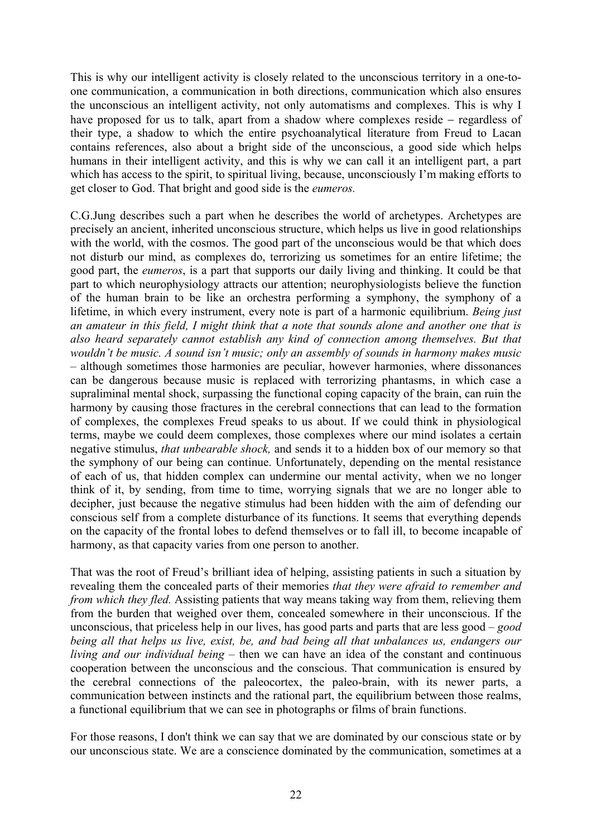This is why our intelligent activity is closely related to the unconscious territory in a one-toone communication, a communication in both directions, communication which also ensures the unconscious an intelligent activity, not only automatisms and complexes. This is why I have proposed for us to talk, apart from a shadow where complexes reside − regardless of their type, a shadow to which the entire psychoanalytical literature from Freud to Lacan contains references, also about a bright side of the unconscious, a good side which helps humans in their intelligent activity, and this is why we can call it an intelligent part, a part which has access to the spirit, to spiritual living, because, unconsciously I'm making efforts to get closer to God. That bright and good side is the *eumeros.*

C.G.Jung describes such a part when he describes the world of archetypes. Archetypes are precisely an ancient, inherited unconscious structure, which helps us live in good relationships with the world, with the cosmos. The good part of the unconscious would be that which does not disturb our mind, as complexes do, terrorizing us sometimes for an entire lifetime; the good part, the *eumeros*, is a part that supports our daily living and thinking. It could be that part to which neurophysiology attracts our attention; neurophysiologists believe the function of the human brain to be like an orchestra performing a symphony, the symphony of a lifetime, in which every instrument, every note is part of a harmonic equilibrium. *Being just an amateur in this field, I might think that a note that sounds alone and another one that is also heard separately cannot establish any kind of connection among themselves. But that wouldn't be music. A sound isn't music; only an assembly of sounds in harmony makes music –* although sometimes those harmonies are peculiar, however harmonies, where dissonances can be dangerous because music is replaced with terrorizing phantasms, in which case a supraliminal mental shock, surpassing the functional coping capacity of the brain, can ruin the harmony by causing those fractures in the cerebral connections that can lead to the formation of complexes, the complexes Freud speaks to us about. If we could think in physiological terms, maybe we could deem complexes, those complexes where our mind isolates a certain negative stimulus, *that unbearable shock,* and sends it to a hidden box of our memory so that the symphony of our being can continue. Unfortunately, depending on the mental resistance of each of us, that hidden complex can undermine our mental activity, when we no longer think of it, by sending, from time to time, worrying signals that we are no longer able to decipher, just because the negative stimulus had been hidden with the aim of defending our conscious self from a complete disturbance of its functions. It seems that everything depends on the capacity of the frontal lobes to defend themselves or to fall ill, to become incapable of harmony, as that capacity varies from one person to another.

That was the root of Freud's brilliant idea of helping, assisting patients in such a situation by revealing them the concealed parts of their memories *that they were afraid to remember and from which they fled.* Assisting patients that way means taking way from them, relieving them from the burden that weighed over them, concealed somewhere in their unconscious. If the unconscious, that priceless help in our lives, has good parts and parts that are less good – *good being all that helps us live, exist, be, and bad being all that unbalances us, endangers our living and our individual being –* then we can have an idea of the constant and continuous cooperation between the unconscious and the conscious. That communication is ensured by the cerebral connections of the paleocortex, the paleo-brain, with its newer parts, a communication between instincts and the rational part, the equilibrium between those realms, a functional equilibrium that we can see in photographs or films of brain functions.

For those reasons, I don't think we can say that we are dominated by our conscious state or by our unconscious state. We are a conscience dominated by the communication, sometimes at a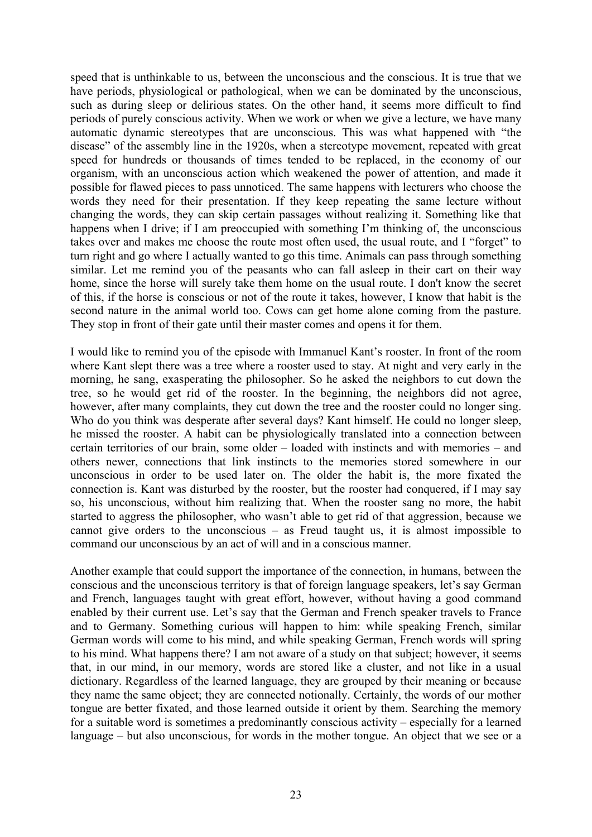speed that is unthinkable to us, between the unconscious and the conscious. It is true that we have periods, physiological or pathological, when we can be dominated by the unconscious, such as during sleep or delirious states. On the other hand, it seems more difficult to find periods of purely conscious activity. When we work or when we give a lecture, we have many automatic dynamic stereotypes that are unconscious. This was what happened with "the disease" of the assembly line in the 1920s, when a stereotype movement, repeated with great speed for hundreds or thousands of times tended to be replaced, in the economy of our organism, with an unconscious action which weakened the power of attention, and made it possible for flawed pieces to pass unnoticed. The same happens with lecturers who choose the words they need for their presentation. If they keep repeating the same lecture without changing the words, they can skip certain passages without realizing it. Something like that happens when I drive; if I am preoccupied with something I'm thinking of, the unconscious takes over and makes me choose the route most often used, the usual route, and I "forget" to turn right and go where I actually wanted to go this time. Animals can pass through something similar. Let me remind you of the peasants who can fall asleep in their cart on their way home, since the horse will surely take them home on the usual route. I don't know the secret of this, if the horse is conscious or not of the route it takes, however, I know that habit is the second nature in the animal world too. Cows can get home alone coming from the pasture. They stop in front of their gate until their master comes and opens it for them.

I would like to remind you of the episode with Immanuel Kant's rooster. In front of the room where Kant slept there was a tree where a rooster used to stay. At night and very early in the morning, he sang, exasperating the philosopher. So he asked the neighbors to cut down the tree, so he would get rid of the rooster. In the beginning, the neighbors did not agree, however, after many complaints, they cut down the tree and the rooster could no longer sing. Who do you think was desperate after several days? Kant himself. He could no longer sleep, he missed the rooster. A habit can be physiologically translated into a connection between certain territories of our brain, some older – loaded with instincts and with memories – and others newer, connections that link instincts to the memories stored somewhere in our unconscious in order to be used later on. The older the habit is, the more fixated the connection is. Kant was disturbed by the rooster, but the rooster had conquered, if I may say so, his unconscious, without him realizing that. When the rooster sang no more, the habit started to aggress the philosopher, who wasn't able to get rid of that aggression, because we cannot give orders to the unconscious – as Freud taught us, it is almost impossible to command our unconscious by an act of will and in a conscious manner.

Another example that could support the importance of the connection, in humans, between the conscious and the unconscious territory is that of foreign language speakers, let's say German and French, languages taught with great effort, however, without having a good command enabled by their current use. Let's say that the German and French speaker travels to France and to Germany. Something curious will happen to him: while speaking French, similar German words will come to his mind, and while speaking German, French words will spring to his mind. What happens there? I am not aware of a study on that subject; however, it seems that, in our mind, in our memory, words are stored like a cluster, and not like in a usual dictionary. Regardless of the learned language, they are grouped by their meaning or because they name the same object; they are connected notionally. Certainly, the words of our mother tongue are better fixated, and those learned outside it orient by them. Searching the memory for a suitable word is sometimes a predominantly conscious activity – especially for a learned language – but also unconscious, for words in the mother tongue. An object that we see or a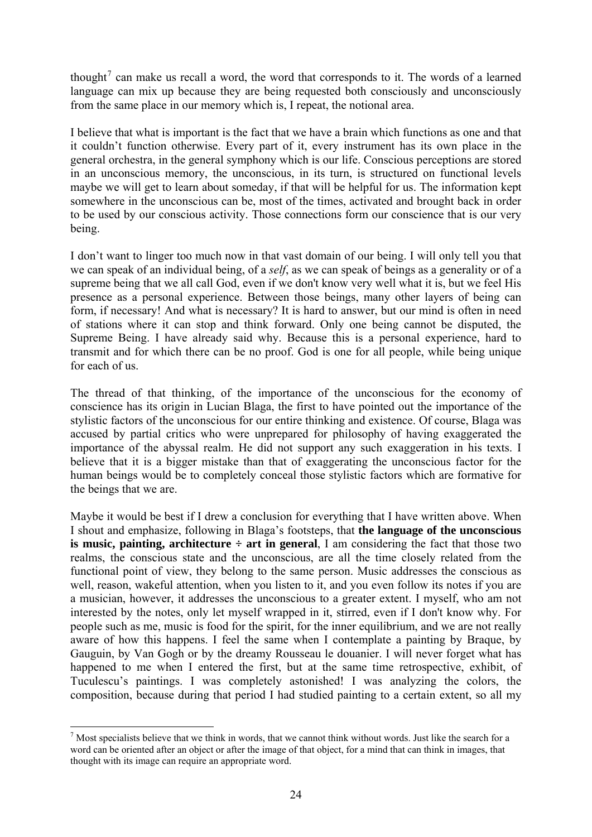thought<sup>[7](#page-23-0)</sup> can make us recall a word, the word that corresponds to it. The words of a learned language can mix up because they are being requested both consciously and unconsciously from the same place in our memory which is, I repeat, the notional area.

I believe that what is important is the fact that we have a brain which functions as one and that it couldn't function otherwise. Every part of it, every instrument has its own place in the general orchestra, in the general symphony which is our life. Conscious perceptions are stored in an unconscious memory, the unconscious, in its turn, is structured on functional levels maybe we will get to learn about someday, if that will be helpful for us. The information kept somewhere in the unconscious can be, most of the times, activated and brought back in order to be used by our conscious activity. Those connections form our conscience that is our very being.

I don't want to linger too much now in that vast domain of our being. I will only tell you that we can speak of an individual being, of a *self*, as we can speak of beings as a generality or of a supreme being that we all call God, even if we don't know very well what it is, but we feel His presence as a personal experience. Between those beings, many other layers of being can form, if necessary! And what is necessary? It is hard to answer, but our mind is often in need of stations where it can stop and think forward. Only one being cannot be disputed, the Supreme Being. I have already said why. Because this is a personal experience, hard to transmit and for which there can be no proof. God is one for all people, while being unique for each of us.

The thread of that thinking, of the importance of the unconscious for the economy of conscience has its origin in Lucian Blaga, the first to have pointed out the importance of the stylistic factors of the unconscious for our entire thinking and existence. Of course, Blaga was accused by partial critics who were unprepared for philosophy of having exaggerated the importance of the abyssal realm. He did not support any such exaggeration in his texts. I believe that it is a bigger mistake than that of exaggerating the unconscious factor for the human beings would be to completely conceal those stylistic factors which are formative for the beings that we are.

Maybe it would be best if I drew a conclusion for everything that I have written above. When I shout and emphasize, following in Blaga's footsteps, that **the language of the unconscious is music, painting, architecture**  $\div$  **art in general**, I am considering the fact that those two realms, the conscious state and the unconscious, are all the time closely related from the functional point of view, they belong to the same person. Music addresses the conscious as well, reason, wakeful attention, when you listen to it, and you even follow its notes if you are a musician, however, it addresses the unconscious to a greater extent. I myself, who am not interested by the notes, only let myself wrapped in it, stirred, even if I don't know why. For people such as me, music is food for the spirit, for the inner equilibrium, and we are not really aware of how this happens. I feel the same when I contemplate a painting by Braque, by Gauguin, by Van Gogh or by the dreamy Rousseau le douanier. I will never forget what has happened to me when I entered the first, but at the same time retrospective, exhibit, of Tuculescu's paintings. I was completely astonished! I was analyzing the colors, the composition, because during that period I had studied painting to a certain extent, so all my

<span id="page-23-0"></span> $<sup>7</sup>$  Most specialists believe that we think in words, that we cannot think without words. Just like the search for a</sup> word can be oriented after an object or after the image of that object, for a mind that can think in images, that thought with its image can require an appropriate word.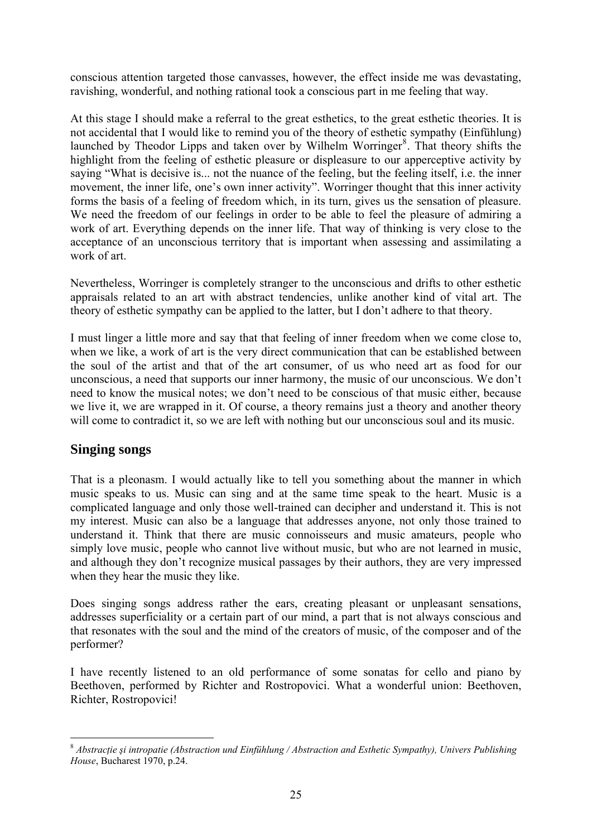conscious attention targeted those canvasses, however, the effect inside me was devastating, ravishing, wonderful, and nothing rational took a conscious part in me feeling that way.

At this stage I should make a referral to the great esthetics, to the great esthetic theories. It is not accidental that I would like to remind you of the theory of esthetic sympathy (Einfühlung) launched by Theodor Lipps and taken over by Wilhelm Worringer<sup>[8](#page-24-0)</sup>. That theory shifts the highlight from the feeling of esthetic pleasure or displeasure to our apperceptive activity by saying "What is decisive is... not the nuance of the feeling, but the feeling itself, i.e. the inner movement, the inner life, one's own inner activity". Worringer thought that this inner activity forms the basis of a feeling of freedom which, in its turn, gives us the sensation of pleasure. We need the freedom of our feelings in order to be able to feel the pleasure of admiring a work of art. Everything depends on the inner life. That way of thinking is very close to the acceptance of an unconscious territory that is important when assessing and assimilating a work of art.

Nevertheless, Worringer is completely stranger to the unconscious and drifts to other esthetic appraisals related to an art with abstract tendencies, unlike another kind of vital art. The theory of esthetic sympathy can be applied to the latter, but I don't adhere to that theory.

I must linger a little more and say that that feeling of inner freedom when we come close to, when we like, a work of art is the very direct communication that can be established between the soul of the artist and that of the art consumer, of us who need art as food for our unconscious, a need that supports our inner harmony, the music of our unconscious. We don't need to know the musical notes; we don't need to be conscious of that music either, because we live it, we are wrapped in it. Of course, a theory remains just a theory and another theory will come to contradict it, so we are left with nothing but our unconscious soul and its music.

# **Singing songs**

1

That is a pleonasm. I would actually like to tell you something about the manner in which music speaks to us. Music can sing and at the same time speak to the heart. Music is a complicated language and only those well-trained can decipher and understand it. This is not my interest. Music can also be a language that addresses anyone, not only those trained to understand it. Think that there are music connoisseurs and music amateurs, people who simply love music, people who cannot live without music, but who are not learned in music, and although they don't recognize musical passages by their authors, they are very impressed when they hear the music they like.

Does singing songs address rather the ears, creating pleasant or unpleasant sensations, addresses superficiality or a certain part of our mind, a part that is not always conscious and that resonates with the soul and the mind of the creators of music, of the composer and of the performer?

I have recently listened to an old performance of some sonatas for cello and piano by Beethoven, performed by Richter and Rostropovici. What a wonderful union: Beethoven, Richter, Rostropovici!

<span id="page-24-0"></span><sup>8</sup> *Abstracţie şi intropatie (Abstraction und Einfühlung / Abstraction and Esthetic Sympathy), Univers Publishing House*, Bucharest 1970, p.24.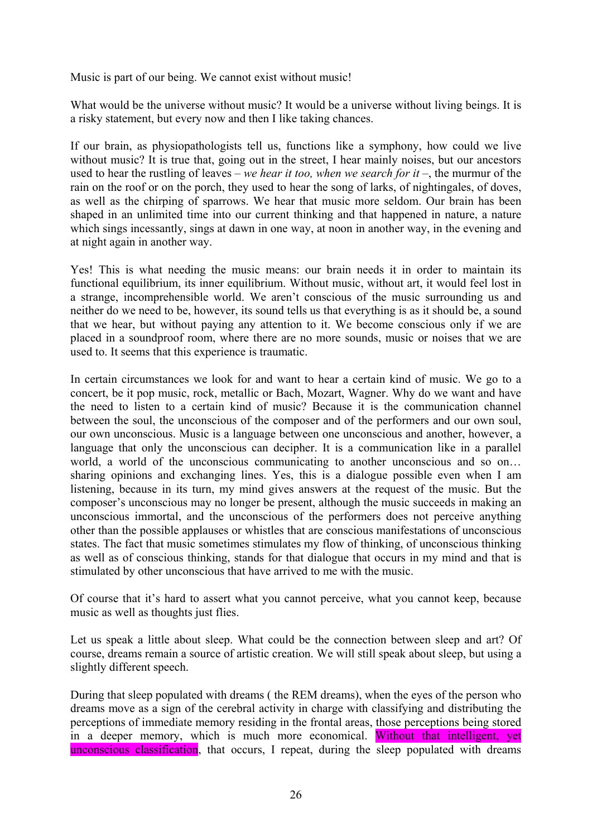Music is part of our being. We cannot exist without music!

What would be the universe without music? It would be a universe without living beings. It is a risky statement, but every now and then I like taking chances.

If our brain, as physiopathologists tell us, functions like a symphony, how could we live without music? It is true that, going out in the street, I hear mainly noises, but our ancestors used to hear the rustling of leaves – *we hear it too, when we search for it* –, the murmur of the rain on the roof or on the porch, they used to hear the song of larks, of nightingales, of doves, as well as the chirping of sparrows. We hear that music more seldom. Our brain has been shaped in an unlimited time into our current thinking and that happened in nature, a nature which sings incessantly, sings at dawn in one way, at noon in another way, in the evening and at night again in another way.

Yes! This is what needing the music means: our brain needs it in order to maintain its functional equilibrium, its inner equilibrium. Without music, without art, it would feel lost in a strange, incomprehensible world. We aren't conscious of the music surrounding us and neither do we need to be, however, its sound tells us that everything is as it should be, a sound that we hear, but without paying any attention to it. We become conscious only if we are placed in a soundproof room, where there are no more sounds, music or noises that we are used to. It seems that this experience is traumatic.

In certain circumstances we look for and want to hear a certain kind of music. We go to a concert, be it pop music, rock, metallic or Bach, Mozart, Wagner. Why do we want and have the need to listen to a certain kind of music? Because it is the communication channel between the soul, the unconscious of the composer and of the performers and our own soul, our own unconscious. Music is a language between one unconscious and another, however, a language that only the unconscious can decipher. It is a communication like in a parallel world, a world of the unconscious communicating to another unconscious and so on... sharing opinions and exchanging lines. Yes, this is a dialogue possible even when I am listening, because in its turn, my mind gives answers at the request of the music. But the composer's unconscious may no longer be present, although the music succeeds in making an unconscious immortal, and the unconscious of the performers does not perceive anything other than the possible applauses or whistles that are conscious manifestations of unconscious states. The fact that music sometimes stimulates my flow of thinking, of unconscious thinking as well as of conscious thinking, stands for that dialogue that occurs in my mind and that is stimulated by other unconscious that have arrived to me with the music.

Of course that it's hard to assert what you cannot perceive, what you cannot keep, because music as well as thoughts just flies.

Let us speak a little about sleep. What could be the connection between sleep and art? Of course, dreams remain a source of artistic creation. We will still speak about sleep, but using a slightly different speech.

During that sleep populated with dreams ( the REM dreams), when the eyes of the person who dreams move as a sign of the cerebral activity in charge with classifying and distributing the perceptions of immediate memory residing in the frontal areas, those perceptions being stored in a deeper memory, which is much more economical. Without that intelligent, yet unconscious classification, that occurs, I repeat, during the sleep populated with dreams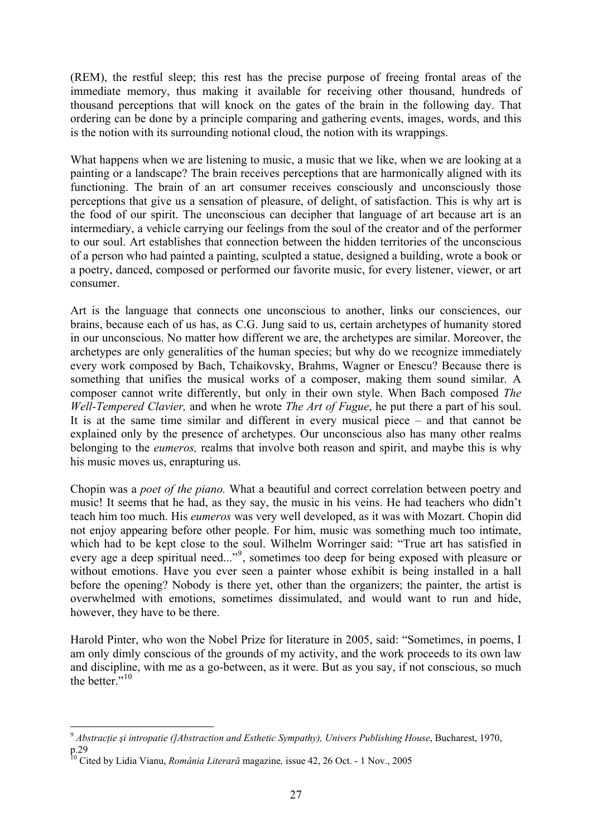(REM), the restful sleep; this rest has the precise purpose of freeing frontal areas of the immediate memory, thus making it available for receiving other thousand, hundreds of thousand perceptions that will knock on the gates of the brain in the following day. That ordering can be done by a principle comparing and gathering events, images, words, and this is the notion with its surrounding notional cloud, the notion with its wrappings.

What happens when we are listening to music, a music that we like, when we are looking at a painting or a landscape? The brain receives perceptions that are harmonically aligned with its functioning. The brain of an art consumer receives consciously and unconsciously those perceptions that give us a sensation of pleasure, of delight, of satisfaction. This is why art is the food of our spirit. The unconscious can decipher that language of art because art is an intermediary, a vehicle carrying our feelings from the soul of the creator and of the performer to our soul. Art establishes that connection between the hidden territories of the unconscious of a person who had painted a painting, sculpted a statue, designed a building, wrote a book or a poetry, danced, composed or performed our favorite music, for every listener, viewer, or art consumer.

Art is the language that connects one unconscious to another, links our consciences, our brains, because each of us has, as C.G. Jung said to us, certain archetypes of humanity stored in our unconscious. No matter how different we are, the archetypes are similar. Moreover, the archetypes are only generalities of the human species; but why do we recognize immediately every work composed by Bach, Tchaikovsky, Brahms, Wagner or Enescu? Because there is something that unifies the musical works of a composer, making them sound similar. A composer cannot write differently, but only in their own style. When Bach composed *The Well-Tempered Clavier,* and when he wrote *The Art of Fugue*, he put there a part of his soul. It is at the same time similar and different in every musical piece – and that cannot be explained only by the presence of archetypes. Our unconscious also has many other realms belonging to the *eumeros,* realms that involve both reason and spirit, and maybe this is why his music moves us, enrapturing us.

Chopin was a *poet of the piano.* What a beautiful and correct correlation between poetry and music! It seems that he had, as they say, the music in his veins. He had teachers who didn't teach him too much. His *eumeros* was very well developed, as it was with Mozart. Chopin did not enjoy appearing before other people. For him, music was something much too intimate, which had to be kept close to the soul. Wilhelm Worringer said: "True art has satisfied in every age a deep spiritual need..."<sup>[9](#page-26-0)</sup>, sometimes too deep for being exposed with pleasure or without emotions. Have you ever seen a painter whose exhibit is being installed in a hall before the opening? Nobody is there yet, other than the organizers; the painter, the artist is overwhelmed with emotions, sometimes dissimulated, and would want to run and hide, however, they have to be there.

Harold Pinter, who won the Nobel Prize for literature in 2005, said: "Sometimes, in poems, I am only dimly conscious of the grounds of my activity, and the work proceeds to its own law and discipline, with me as a go-between, as it were. But as you say, if not conscious, so much the better $\overline{1}$ <sup>[10](#page-26-1)</sup>

<span id="page-26-0"></span><sup>1</sup> <sup>9</sup> *Abstracţie şi intropatie (]Abstraction and Esthetic Sympathy), Univers Publishing House*, Bucharest, 1970, p.29

<span id="page-26-1"></span><sup>10</sup> Cited by Lidia Vianu, *România Literară* magazine*,* issue 42, 26 Oct. - 1 Nov., 2005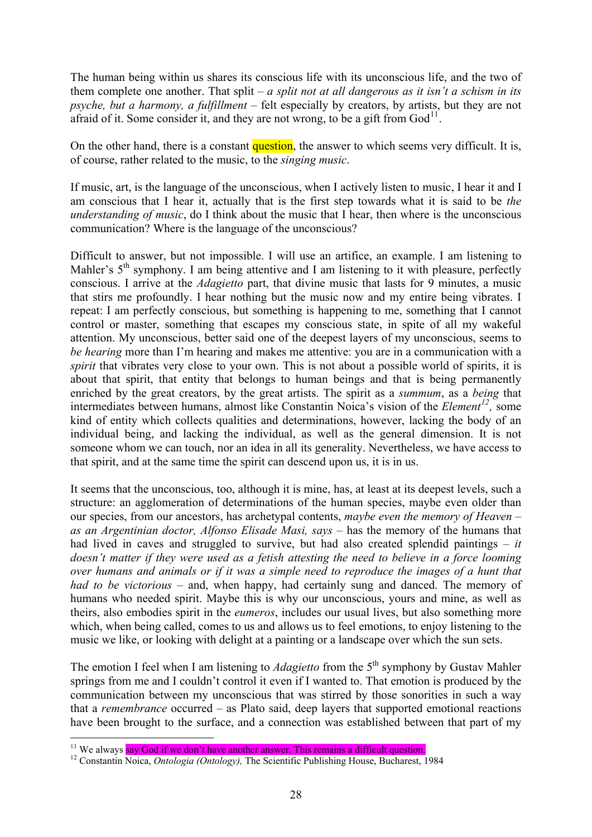The human being within us shares its conscious life with its unconscious life, and the two of them complete one another. That split –  $a$  split not at all dangerous as it isn't a schism in its *psyche, but a harmony, a fulfillment –* felt especially by creators, by artists, but they are not afraid of it. Some consider it, and they are not wrong, to be a gift from  $God^{11}$  $God^{11}$  $God^{11}$ .

On the other hand, there is a constant question, the answer to which seems very difficult. It is, of course, rather related to the music, to the *singing music*.

If music, art, is the language of the unconscious, when I actively listen to music, I hear it and I am conscious that I hear it, actually that is the first step towards what it is said to be *the understanding of music*, do I think about the music that I hear, then where is the unconscious communication? Where is the language of the unconscious?

Difficult to answer, but not impossible. I will use an artifice, an example. I am listening to Mahler's  $5<sup>th</sup>$  symphony. I am being attentive and I am listening to it with pleasure, perfectly conscious. I arrive at the *Adagietto* part, that divine music that lasts for 9 minutes, a music that stirs me profoundly. I hear nothing but the music now and my entire being vibrates. I repeat: I am perfectly conscious, but something is happening to me, something that I cannot control or master, something that escapes my conscious state, in spite of all my wakeful attention. My unconscious, better said one of the deepest layers of my unconscious, seems to *be hearing* more than I'm hearing and makes me attentive: you are in a communication with a *spirit* that vibrates very close to your own. This is not about a possible world of spirits, it is about that spirit, that entity that belongs to human beings and that is being permanently enriched by the great creators, by the great artists. The spirit as a *summum*, as a *being* that intermediates between humans, almost like Constantin Noica's vision of the *Element[12](#page-27-1),* some kind of entity which collects qualities and determinations, however, lacking the body of an individual being, and lacking the individual, as well as the general dimension. It is not someone whom we can touch, nor an idea in all its generality. Nevertheless, we have access to that spirit, and at the same time the spirit can descend upon us, it is in us.

It seems that the unconscious, too, although it is mine, has, at least at its deepest levels, such a structure: an agglomeration of determinations of the human species, maybe even older than our species, from our ancestors, has archetypal contents, *maybe even the memory of Heaven – as an Argentinian doctor, Alfonso Elisade Masi, says* – has the memory of the humans that had lived in caves and struggled to survive, but had also created splendid paintings – *it doesn't matter if they were used as a fetish attesting the need to believe in a force looming over humans and animals or if it was a simple need to reproduce the images of a hunt that had to be victorious* – and, when happy, had certainly sung and danced. The memory of humans who needed spirit. Maybe this is why our unconscious, yours and mine, as well as theirs, also embodies spirit in the *eumeros*, includes our usual lives, but also something more which, when being called, comes to us and allows us to feel emotions, to enjoy listening to the music we like, or looking with delight at a painting or a landscape over which the sun sets.

The emotion I feel when I am listening to *Adagietto* from the 5<sup>th</sup> symphony by Gustav Mahler springs from me and I couldn't control it even if I wanted to. That emotion is produced by the communication between my unconscious that was stirred by those sonorities in such a way that a *remembrance* occurred – as Plato said, deep layers that supported emotional reactions have been brought to the surface, and a connection was established between that part of my

<span id="page-27-0"></span> $11$  We always say God if we don't have another answer. This remains a difficult question.

<span id="page-27-1"></span><sup>&</sup>lt;sup>12</sup> Constantin Noica, *Ontologia (Ontology)*, The Scientific Publishing House, Bucharest, 1984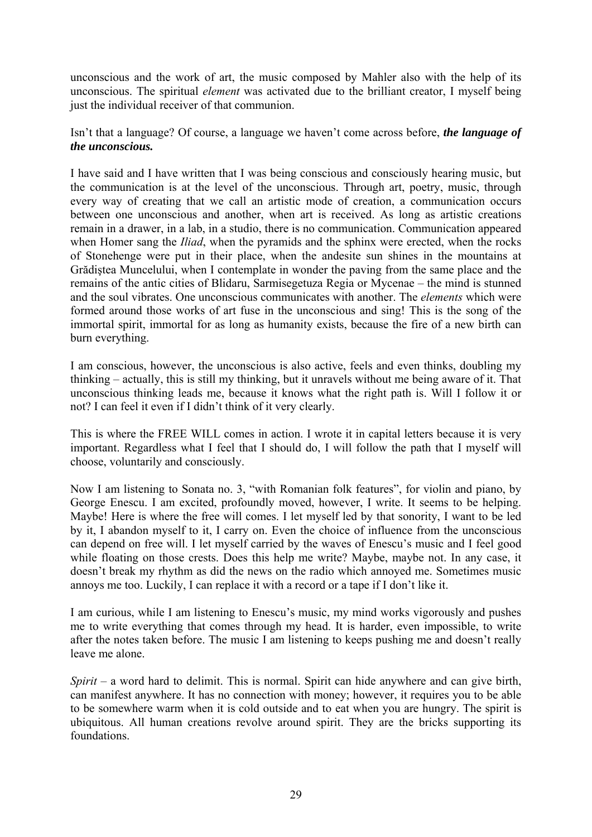unconscious and the work of art, the music composed by Mahler also with the help of its unconscious. The spiritual *element* was activated due to the brilliant creator, I myself being just the individual receiver of that communion.

Isn't that a language? Of course, a language we haven't come across before, *the language of the unconscious.* 

I have said and I have written that I was being conscious and consciously hearing music, but the communication is at the level of the unconscious. Through art, poetry, music, through every way of creating that we call an artistic mode of creation, a communication occurs between one unconscious and another, when art is received. As long as artistic creations remain in a drawer, in a lab, in a studio, there is no communication. Communication appeared when Homer sang the *Iliad*, when the pyramids and the sphinx were erected, when the rocks of Stonehenge were put in their place, when the andesite sun shines in the mountains at Grădiştea Muncelului, when I contemplate in wonder the paving from the same place and the remains of the antic cities of Blidaru, Sarmisegetuza Regia or Mycenae – the mind is stunned and the soul vibrates. One unconscious communicates with another. The *elements* which were formed around those works of art fuse in the unconscious and sing! This is the song of the immortal spirit, immortal for as long as humanity exists, because the fire of a new birth can burn everything.

I am conscious, however, the unconscious is also active, feels and even thinks, doubling my thinking – actually, this is still my thinking, but it unravels without me being aware of it. That unconscious thinking leads me, because it knows what the right path is. Will I follow it or not? I can feel it even if I didn't think of it very clearly.

This is where the FREE WILL comes in action. I wrote it in capital letters because it is very important. Regardless what I feel that I should do, I will follow the path that I myself will choose, voluntarily and consciously.

Now I am listening to Sonata no. 3, "with Romanian folk features", for violin and piano, by George Enescu. I am excited, profoundly moved, however, I write. It seems to be helping. Maybe! Here is where the free will comes. I let myself led by that sonority, I want to be led by it, I abandon myself to it, I carry on. Even the choice of influence from the unconscious can depend on free will. I let myself carried by the waves of Enescu's music and I feel good while floating on those crests. Does this help me write? Maybe, maybe not. In any case, it doesn't break my rhythm as did the news on the radio which annoyed me. Sometimes music annoys me too. Luckily, I can replace it with a record or a tape if I don't like it.

I am curious, while I am listening to Enescu's music, my mind works vigorously and pushes me to write everything that comes through my head. It is harder, even impossible, to write after the notes taken before. The music I am listening to keeps pushing me and doesn't really leave me alone.

*Spirit* – a word hard to delimit. This is normal. Spirit can hide anywhere and can give birth, can manifest anywhere. It has no connection with money; however, it requires you to be able to be somewhere warm when it is cold outside and to eat when you are hungry. The spirit is ubiquitous. All human creations revolve around spirit. They are the bricks supporting its foundations.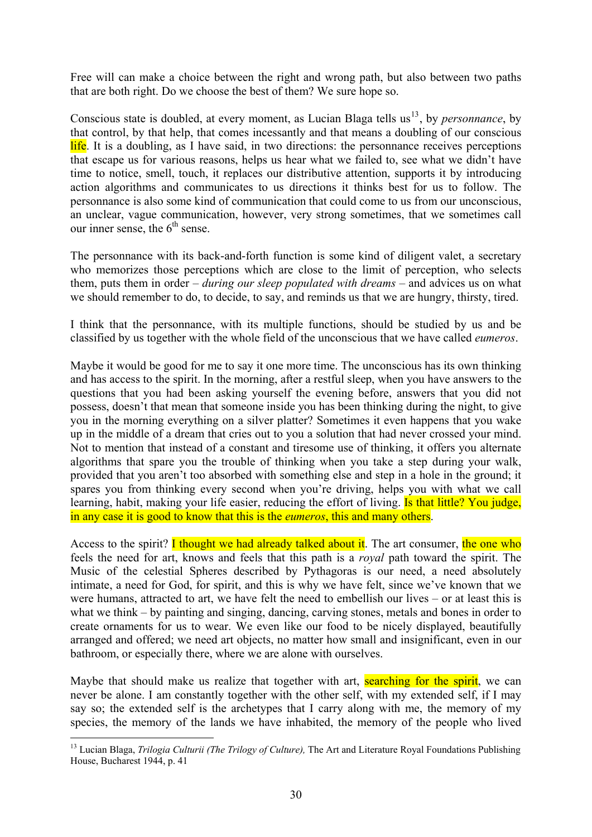Free will can make a choice between the right and wrong path, but also between two paths that are both right. Do we choose the best of them? We sure hope so.

Conscious state is doubled, at every moment, as Lucian Blaga tells us<sup>[13](#page-29-0)</sup>, by *personnance*, by that control, by that help, that comes incessantly and that means a doubling of our conscious life. It is a doubling, as I have said, in two directions: the personnance receives perceptions that escape us for various reasons, helps us hear what we failed to, see what we didn't have time to notice, smell, touch, it replaces our distributive attention, supports it by introducing action algorithms and communicates to us directions it thinks best for us to follow. The personnance is also some kind of communication that could come to us from our unconscious, an unclear, vague communication, however, very strong sometimes, that we sometimes call our inner sense, the  $6<sup>th</sup>$  sense.

The personnance with its back-and-forth function is some kind of diligent valet, a secretary who memorizes those perceptions which are close to the limit of perception, who selects them, puts them in order – *during our sleep populated with dreams* – and advices us on what we should remember to do, to decide, to say, and reminds us that we are hungry, thirsty, tired.

I think that the personnance, with its multiple functions, should be studied by us and be classified by us together with the whole field of the unconscious that we have called *eumeros*.

Maybe it would be good for me to say it one more time. The unconscious has its own thinking and has access to the spirit. In the morning, after a restful sleep, when you have answers to the questions that you had been asking yourself the evening before, answers that you did not possess, doesn't that mean that someone inside you has been thinking during the night, to give you in the morning everything on a silver platter? Sometimes it even happens that you wake up in the middle of a dream that cries out to you a solution that had never crossed your mind. Not to mention that instead of a constant and tiresome use of thinking, it offers you alternate algorithms that spare you the trouble of thinking when you take a step during your walk, provided that you aren't too absorbed with something else and step in a hole in the ground; it spares you from thinking every second when you're driving, helps you with what we call learning, habit, making your life easier, reducing the effort of living. Is that little? You judge, in any case it is good to know that this is the *eumeros*, this and many others.

Access to the spirit? I thought we had already talked about it. The art consumer, the one who feels the need for art, knows and feels that this path is a *royal* path toward the spirit. The Music of the celestial Spheres described by Pythagoras is our need, a need absolutely intimate, a need for God, for spirit, and this is why we have felt, since we've known that we were humans, attracted to art, we have felt the need to embellish our lives – or at least this is what we think – by painting and singing, dancing, carving stones, metals and bones in order to create ornaments for us to wear. We even like our food to be nicely displayed, beautifully arranged and offered; we need art objects, no matter how small and insignificant, even in our bathroom, or especially there, where we are alone with ourselves.

Maybe that should make us realize that together with art, searching for the spirit, we can never be alone. I am constantly together with the other self, with my extended self, if I may say so; the extended self is the archetypes that I carry along with me, the memory of my species, the memory of the lands we have inhabited, the memory of the people who lived

<span id="page-29-0"></span><sup>&</sup>lt;sup>13</sup> Lucian Blaga, *Trilogia Culturii (The Trilogy of Culture)*, The Art and Literature Royal Foundations Publishing House, Bucharest 1944, p. 41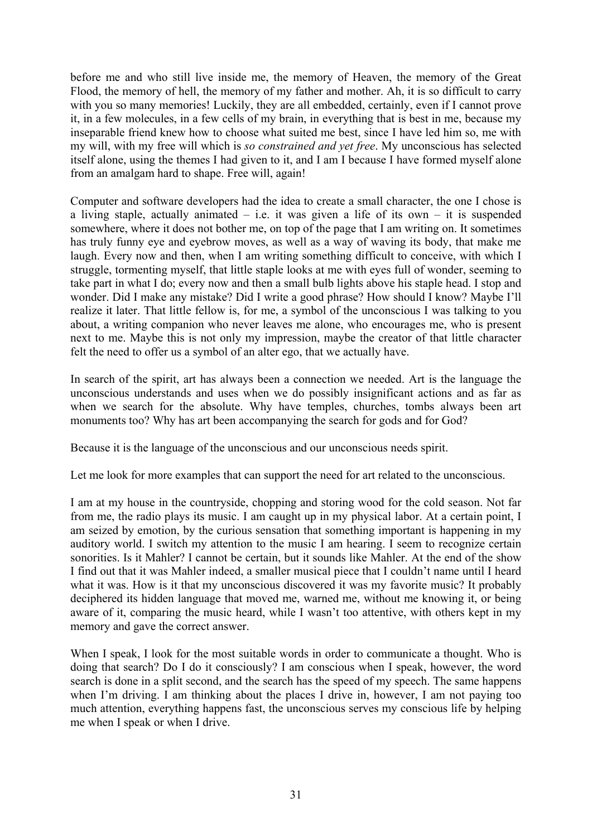before me and who still live inside me, the memory of Heaven, the memory of the Great Flood, the memory of hell, the memory of my father and mother. Ah, it is so difficult to carry with you so many memories! Luckily, they are all embedded, certainly, even if I cannot prove it, in a few molecules, in a few cells of my brain, in everything that is best in me, because my inseparable friend knew how to choose what suited me best, since I have led him so, me with my will, with my free will which is *so constrained and yet free*. My unconscious has selected itself alone, using the themes I had given to it, and I am I because I have formed myself alone from an amalgam hard to shape. Free will, again!

Computer and software developers had the idea to create a small character, the one I chose is a living staple, actually animated – i.e. it was given a life of its own – it is suspended somewhere, where it does not bother me, on top of the page that I am writing on. It sometimes has truly funny eye and eyebrow moves, as well as a way of waving its body, that make me laugh. Every now and then, when I am writing something difficult to conceive, with which I struggle, tormenting myself, that little staple looks at me with eyes full of wonder, seeming to take part in what I do; every now and then a small bulb lights above his staple head. I stop and wonder. Did I make any mistake? Did I write a good phrase? How should I know? Maybe I'll realize it later. That little fellow is, for me, a symbol of the unconscious I was talking to you about, a writing companion who never leaves me alone, who encourages me, who is present next to me. Maybe this is not only my impression, maybe the creator of that little character felt the need to offer us a symbol of an alter ego, that we actually have.

In search of the spirit, art has always been a connection we needed. Art is the language the unconscious understands and uses when we do possibly insignificant actions and as far as when we search for the absolute. Why have temples, churches, tombs always been art monuments too? Why has art been accompanying the search for gods and for God?

Because it is the language of the unconscious and our unconscious needs spirit.

Let me look for more examples that can support the need for art related to the unconscious.

I am at my house in the countryside, chopping and storing wood for the cold season. Not far from me, the radio plays its music. I am caught up in my physical labor. At a certain point, I am seized by emotion, by the curious sensation that something important is happening in my auditory world. I switch my attention to the music I am hearing. I seem to recognize certain sonorities. Is it Mahler? I cannot be certain, but it sounds like Mahler. At the end of the show I find out that it was Mahler indeed, a smaller musical piece that I couldn't name until I heard what it was. How is it that my unconscious discovered it was my favorite music? It probably deciphered its hidden language that moved me, warned me, without me knowing it, or being aware of it, comparing the music heard, while I wasn't too attentive, with others kept in my memory and gave the correct answer.

When I speak, I look for the most suitable words in order to communicate a thought. Who is doing that search? Do I do it consciously? I am conscious when I speak, however, the word search is done in a split second, and the search has the speed of my speech. The same happens when I'm driving. I am thinking about the places I drive in, however, I am not paying too much attention, everything happens fast, the unconscious serves my conscious life by helping me when I speak or when I drive.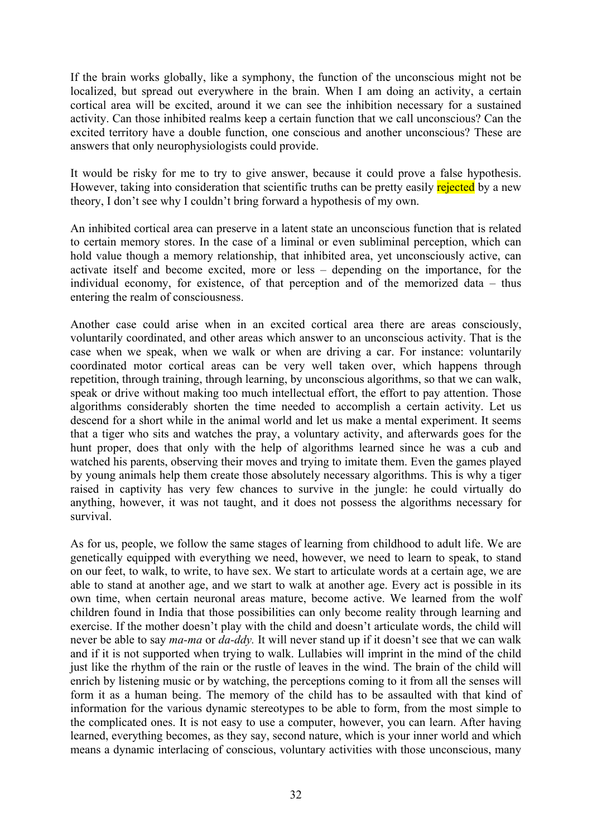If the brain works globally, like a symphony, the function of the unconscious might not be localized, but spread out everywhere in the brain. When I am doing an activity, a certain cortical area will be excited, around it we can see the inhibition necessary for a sustained activity. Can those inhibited realms keep a certain function that we call unconscious? Can the excited territory have a double function, one conscious and another unconscious? These are answers that only neurophysiologists could provide.

It would be risky for me to try to give answer, because it could prove a false hypothesis. However, taking into consideration that scientific truths can be pretty easily rejected by a new theory, I don't see why I couldn't bring forward a hypothesis of my own.

An inhibited cortical area can preserve in a latent state an unconscious function that is related to certain memory stores. In the case of a liminal or even subliminal perception, which can hold value though a memory relationship, that inhibited area, yet unconsciously active, can activate itself and become excited, more or less – depending on the importance, for the individual economy, for existence, of that perception and of the memorized data – thus entering the realm of consciousness.

Another case could arise when in an excited cortical area there are areas consciously, voluntarily coordinated, and other areas which answer to an unconscious activity. That is the case when we speak, when we walk or when are driving a car. For instance: voluntarily coordinated motor cortical areas can be very well taken over, which happens through repetition, through training, through learning, by unconscious algorithms, so that we can walk, speak or drive without making too much intellectual effort, the effort to pay attention. Those algorithms considerably shorten the time needed to accomplish a certain activity. Let us descend for a short while in the animal world and let us make a mental experiment. It seems that a tiger who sits and watches the pray, a voluntary activity, and afterwards goes for the hunt proper, does that only with the help of algorithms learned since he was a cub and watched his parents, observing their moves and trying to imitate them. Even the games played by young animals help them create those absolutely necessary algorithms. This is why a tiger raised in captivity has very few chances to survive in the jungle: he could virtually do anything, however, it was not taught, and it does not possess the algorithms necessary for survival.

As for us, people, we follow the same stages of learning from childhood to adult life. We are genetically equipped with everything we need, however, we need to learn to speak, to stand on our feet, to walk, to write, to have sex. We start to articulate words at a certain age, we are able to stand at another age, and we start to walk at another age. Every act is possible in its own time, when certain neuronal areas mature, become active. We learned from the wolf children found in India that those possibilities can only become reality through learning and exercise. If the mother doesn't play with the child and doesn't articulate words, the child will never be able to say *ma-ma* or *da-ddy.* It will never stand up if it doesn't see that we can walk and if it is not supported when trying to walk. Lullabies will imprint in the mind of the child just like the rhythm of the rain or the rustle of leaves in the wind. The brain of the child will enrich by listening music or by watching, the perceptions coming to it from all the senses will form it as a human being. The memory of the child has to be assaulted with that kind of information for the various dynamic stereotypes to be able to form, from the most simple to the complicated ones. It is not easy to use a computer, however, you can learn. After having learned, everything becomes, as they say, second nature, which is your inner world and which means a dynamic interlacing of conscious, voluntary activities with those unconscious, many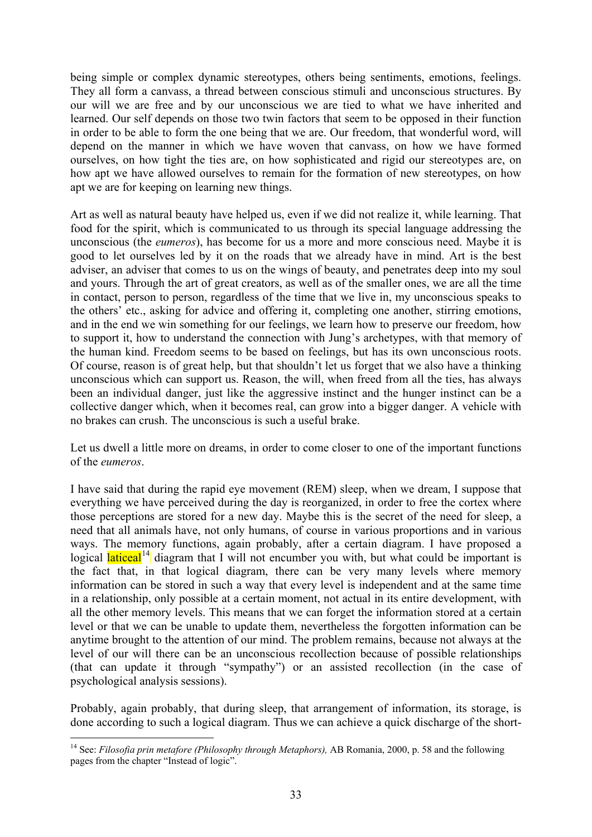being simple or complex dynamic stereotypes, others being sentiments, emotions, feelings. They all form a canvass, a thread between conscious stimuli and unconscious structures. By our will we are free and by our unconscious we are tied to what we have inherited and learned. Our self depends on those two twin factors that seem to be opposed in their function in order to be able to form the one being that we are. Our freedom, that wonderful word, will depend on the manner in which we have woven that canvass, on how we have formed ourselves, on how tight the ties are, on how sophisticated and rigid our stereotypes are, on how apt we have allowed ourselves to remain for the formation of new stereotypes, on how apt we are for keeping on learning new things.

Art as well as natural beauty have helped us, even if we did not realize it, while learning. That food for the spirit, which is communicated to us through its special language addressing the unconscious (the *eumeros*), has become for us a more and more conscious need. Maybe it is good to let ourselves led by it on the roads that we already have in mind. Art is the best adviser, an adviser that comes to us on the wings of beauty, and penetrates deep into my soul and yours. Through the art of great creators, as well as of the smaller ones, we are all the time in contact, person to person, regardless of the time that we live in, my unconscious speaks to the others' etc., asking for advice and offering it, completing one another, stirring emotions, and in the end we win something for our feelings, we learn how to preserve our freedom, how to support it, how to understand the connection with Jung's archetypes, with that memory of the human kind. Freedom seems to be based on feelings, but has its own unconscious roots. Of course, reason is of great help, but that shouldn't let us forget that we also have a thinking unconscious which can support us. Reason, the will, when freed from all the ties, has always been an individual danger, just like the aggressive instinct and the hunger instinct can be a collective danger which, when it becomes real, can grow into a bigger danger. A vehicle with no brakes can crush. The unconscious is such a useful brake.

Let us dwell a little more on dreams, in order to come closer to one of the important functions of the *eumeros*.

I have said that during the rapid eye movement (REM) sleep, when we dream, I suppose that everything we have perceived during the day is reorganized, in order to free the cortex where those perceptions are stored for a new day. Maybe this is the secret of the need for sleep, a need that all animals have, not only humans, of course in various proportions and in various ways. The memory functions, again probably, after a certain diagram. I have proposed a logical **laticeal**<sup>[14](#page-32-0)</sup> diagram that I will not encumber you with, but what could be important is the fact that, in that logical diagram, there can be very many levels where memory information can be stored in such a way that every level is independent and at the same time in a relationship, only possible at a certain moment, not actual in its entire development, with all the other memory levels. This means that we can forget the information stored at a certain level or that we can be unable to update them, nevertheless the forgotten information can be anytime brought to the attention of our mind. The problem remains, because not always at the level of our will there can be an unconscious recollection because of possible relationships (that can update it through "sympathy") or an assisted recollection (in the case of psychological analysis sessions).

Probably, again probably, that during sleep, that arrangement of information, its storage, is done according to such a logical diagram. Thus we can achieve a quick discharge of the short-

<span id="page-32-0"></span><sup>&</sup>lt;sup>14</sup> See: *Filosofia prin metafore (Philosophy through Metaphors)*, AB Romania, 2000, p. 58 and the following pages from the chapter "Instead of logic".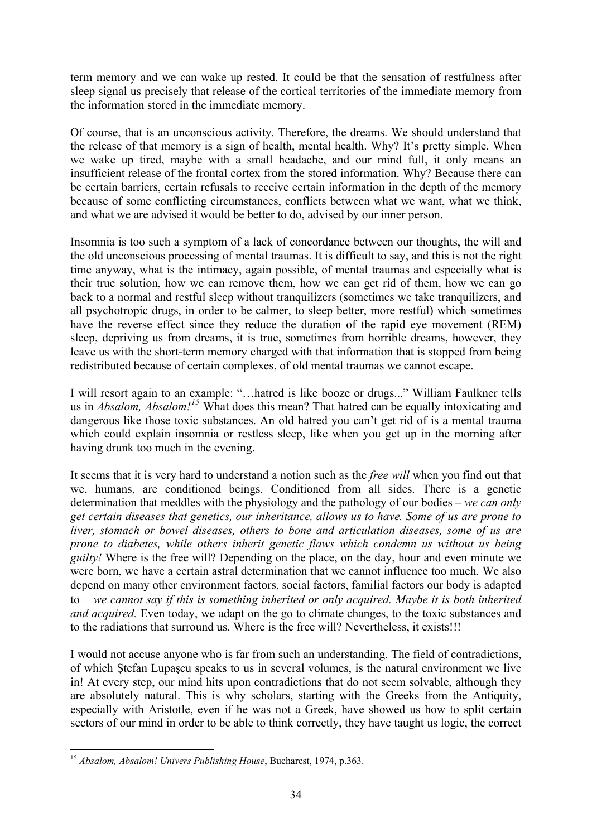term memory and we can wake up rested. It could be that the sensation of restfulness after sleep signal us precisely that release of the cortical territories of the immediate memory from the information stored in the immediate memory.

Of course, that is an unconscious activity. Therefore, the dreams. We should understand that the release of that memory is a sign of health, mental health. Why? It's pretty simple. When we wake up tired, maybe with a small headache, and our mind full, it only means an insufficient release of the frontal cortex from the stored information. Why? Because there can be certain barriers, certain refusals to receive certain information in the depth of the memory because of some conflicting circumstances, conflicts between what we want, what we think, and what we are advised it would be better to do, advised by our inner person.

Insomnia is too such a symptom of a lack of concordance between our thoughts, the will and the old unconscious processing of mental traumas. It is difficult to say, and this is not the right time anyway, what is the intimacy, again possible, of mental traumas and especially what is their true solution, how we can remove them, how we can get rid of them, how we can go back to a normal and restful sleep without tranquilizers (sometimes we take tranquilizers, and all psychotropic drugs, in order to be calmer, to sleep better, more restful) which sometimes have the reverse effect since they reduce the duration of the rapid eye movement (REM) sleep, depriving us from dreams, it is true, sometimes from horrible dreams, however, they leave us with the short-term memory charged with that information that is stopped from being redistributed because of certain complexes, of old mental traumas we cannot escape.

I will resort again to an example: "…hatred is like booze or drugs..." William Faulkner tells us in *Absalom, Absalom![15](#page-33-0)* What does this mean? That hatred can be equally intoxicating and dangerous like those toxic substances. An old hatred you can't get rid of is a mental trauma which could explain insomnia or restless sleep, like when you get up in the morning after having drunk too much in the evening.

It seems that it is very hard to understand a notion such as the *free will* when you find out that we, humans, are conditioned beings. Conditioned from all sides. There is a genetic determination that meddles with the physiology and the pathology of our bodies – *we can only get certain diseases that genetics, our inheritance, allows us to have. Some of us are prone to liver, stomach or bowel diseases, others to bone and articulation diseases, some of us are prone to diabetes, while others inherit genetic flaws which condemn us without us being guilty!* Where is the free will? Depending on the place, on the day, hour and even minute we were born, we have a certain astral determination that we cannot influence too much. We also depend on many other environment factors, social factors, familial factors our body is adapted to − *we cannot say if this is something inherited or only acquired. Maybe it is both inherited and acquired.* Even today, we adapt on the go to climate changes, to the toxic substances and to the radiations that surround us. Where is the free will? Nevertheless, it exists!!!

I would not accuse anyone who is far from such an understanding. The field of contradictions, of which Ştefan Lupaşcu speaks to us in several volumes, is the natural environment we live in! At every step, our mind hits upon contradictions that do not seem solvable, although they are absolutely natural. This is why scholars, starting with the Greeks from the Antiquity, especially with Aristotle, even if he was not a Greek, have showed us how to split certain sectors of our mind in order to be able to think correctly, they have taught us logic, the correct

<span id="page-33-0"></span><sup>1</sup> <sup>15</sup> *Absalom, Absalom! Univers Publishing House*, Bucharest, 1974, p.363.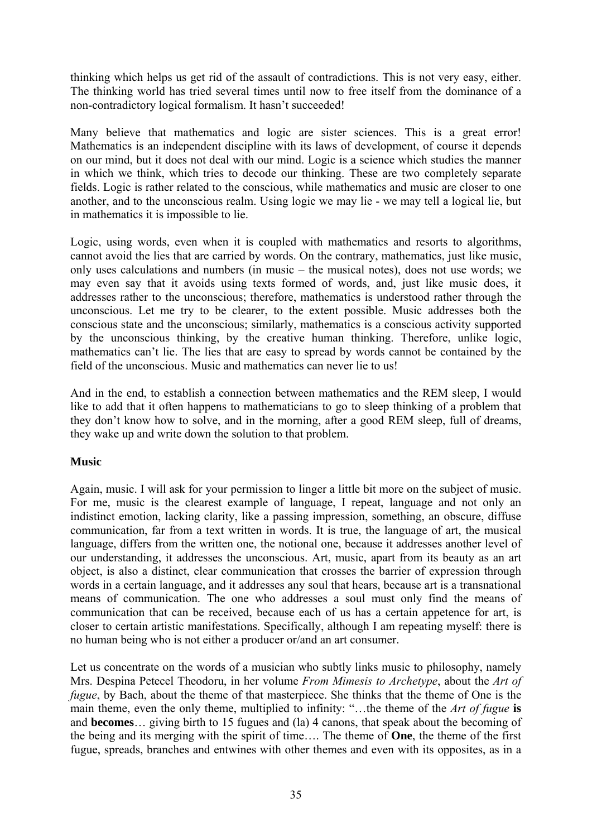thinking which helps us get rid of the assault of contradictions. This is not very easy, either. The thinking world has tried several times until now to free itself from the dominance of a non-contradictory logical formalism. It hasn't succeeded!

Many believe that mathematics and logic are sister sciences. This is a great error! Mathematics is an independent discipline with its laws of development, of course it depends on our mind, but it does not deal with our mind. Logic is a science which studies the manner in which we think, which tries to decode our thinking. These are two completely separate fields. Logic is rather related to the conscious, while mathematics and music are closer to one another, and to the unconscious realm. Using logic we may lie - we may tell a logical lie, but in mathematics it is impossible to lie.

Logic, using words, even when it is coupled with mathematics and resorts to algorithms, cannot avoid the lies that are carried by words. On the contrary, mathematics, just like music, only uses calculations and numbers (in music – the musical notes), does not use words; we may even say that it avoids using texts formed of words, and, just like music does, it addresses rather to the unconscious; therefore, mathematics is understood rather through the unconscious. Let me try to be clearer, to the extent possible. Music addresses both the conscious state and the unconscious; similarly, mathematics is a conscious activity supported by the unconscious thinking, by the creative human thinking. Therefore, unlike logic, mathematics can't lie. The lies that are easy to spread by words cannot be contained by the field of the unconscious. Music and mathematics can never lie to us!

And in the end, to establish a connection between mathematics and the REM sleep, I would like to add that it often happens to mathematicians to go to sleep thinking of a problem that they don't know how to solve, and in the morning, after a good REM sleep, full of dreams, they wake up and write down the solution to that problem.

# **Music**

Again, music. I will ask for your permission to linger a little bit more on the subject of music. For me, music is the clearest example of language, I repeat, language and not only an indistinct emotion, lacking clarity, like a passing impression, something, an obscure, diffuse communication, far from a text written in words. It is true, the language of art, the musical language, differs from the written one, the notional one, because it addresses another level of our understanding, it addresses the unconscious. Art, music, apart from its beauty as an art object, is also a distinct, clear communication that crosses the barrier of expression through words in a certain language, and it addresses any soul that hears, because art is a transnational means of communication. The one who addresses a soul must only find the means of communication that can be received, because each of us has a certain appetence for art, is closer to certain artistic manifestations. Specifically, although I am repeating myself: there is no human being who is not either a producer or/and an art consumer.

Let us concentrate on the words of a musician who subtly links music to philosophy, namely Mrs. Despina Petecel Theodoru, in her volume *From Mimesis to Archetype*, about the *Art of fugue*, by Bach, about the theme of that masterpiece. She thinks that the theme of One is the main theme, even the only theme, multiplied to infinity: "…the theme of the *Art of fugue* **is**  and **becomes**… giving birth to 15 fugues and (la) 4 canons, that speak about the becoming of the being and its merging with the spirit of time…. The theme of **One**, the theme of the first fugue, spreads, branches and entwines with other themes and even with its opposites, as in a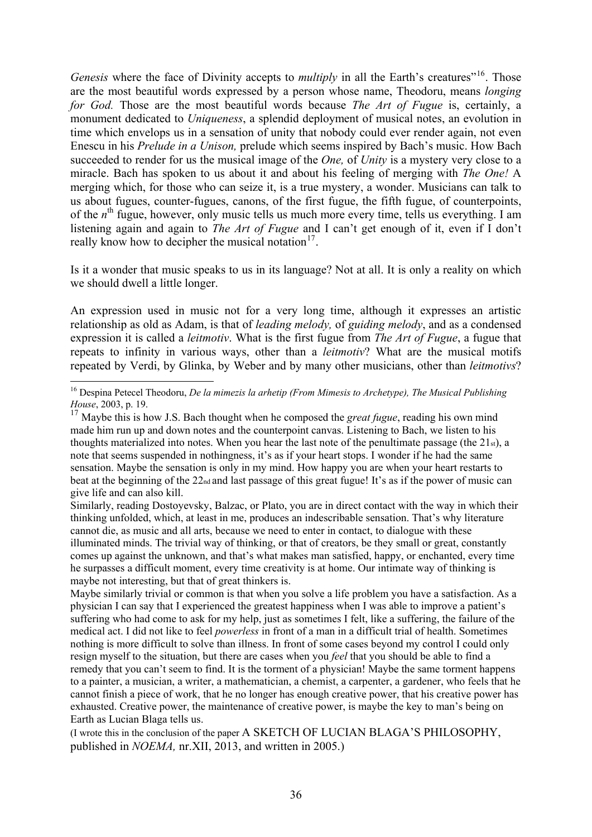*Genesis* where the face of Divinity accepts to *multiply* in all the Earth's creatures"<sup>[16](#page-35-0)</sup>. Those are the most beautiful words expressed by a person whose name, Theodoru, means *longing for God.* Those are the most beautiful words because *The Art of Fugue* is, certainly, a monument dedicated to *Uniqueness*, a splendid deployment of musical notes, an evolution in time which envelops us in a sensation of unity that nobody could ever render again, not even Enescu in his *Prelude in a Unison,* prelude which seems inspired by Bach's music. How Bach succeeded to render for us the musical image of the *One,* of *Unity* is a mystery very close to a miracle. Bach has spoken to us about it and about his feeling of merging with *The One!* A merging which, for those who can seize it, is a true mystery, a wonder. Musicians can talk to us about fugues, counter-fugues, canons, of the first fugue, the fifth fugue, of counterpoints, of the *n*<sup>th</sup> fugue, however, only music tells us much more every time, tells us everything. I am listening again and again to *The Art of Fugue* and I can't get enough of it, even if I don't really know how to decipher the musical notation $17$ .

Is it a wonder that music speaks to us in its language? Not at all. It is only a reality on which we should dwell a little longer.

An expression used in music not for a very long time, although it expresses an artistic relationship as old as Adam, is that of *leading melody,* of *guiding melody*, and as a condensed expression it is called a *leitmotiv*. What is the first fugue from *The Art of Fugue*, a fugue that repeats to infinity in various ways, other than a *leitmotiv*? What are the musical motifs repeated by Verdi, by Glinka, by Weber and by many other musicians, other than *leitmotivs*?

Similarly, reading Dostoyevsky, Balzac, or Plato, you are in direct contact with the way in which their thinking unfolded, which, at least in me, produces an indescribable sensation. That's why literature cannot die, as music and all arts, because we need to enter in contact, to dialogue with these illuminated minds. The trivial way of thinking, or that of creators, be they small or great, constantly comes up against the unknown, and that's what makes man satisfied, happy, or enchanted, every time he surpasses a difficult moment, every time creativity is at home. Our intimate way of thinking is maybe not interesting, but that of great thinkers is.

Maybe similarly trivial or common is that when you solve a life problem you have a satisfaction. As a physician I can say that I experienced the greatest happiness when I was able to improve a patient's suffering who had come to ask for my help, just as sometimes I felt, like a suffering, the failure of the medical act. I did not like to feel *powerless* in front of a man in a difficult trial of health. Sometimes nothing is more difficult to solve than illness. In front of some cases beyond my control I could only resign myself to the situation, but there are cases when you *feel* that you should be able to find a remedy that you can't seem to find. It is the torment of a physician! Maybe the same torment happens to a painter, a musician, a writer, a mathematician, a chemist, a carpenter, a gardener, who feels that he cannot finish a piece of work, that he no longer has enough creative power, that his creative power has exhausted. Creative power, the maintenance of creative power, is maybe the key to man's being on Earth as Lucian Blaga tells us.

(I wrote this in the conclusion of the paper A SKETCH OF LUCIAN BLAGA'S PHILOSOPHY, published in *NOEMA,* nr.XII, 2013, and written in 2005.)

<span id="page-35-0"></span><sup>1</sup> 16 Despina Petecel Theodoru, *De la mimezis la arhetip (From Mimesis to Archetype), The Musical Publishing House*, 2003, p. 19.

<span id="page-35-1"></span><sup>17</sup> Maybe this is how J.S. Bach thought when he composed the *great fugue*, reading his own mind made him run up and down notes and the counterpoint canvas. Listening to Bach, we listen to his thoughts materialized into notes. When you hear the last note of the penultimate passage (the  $21st$ ), a note that seems suspended in nothingness, it's as if your heart stops. I wonder if he had the same sensation. Maybe the sensation is only in my mind. How happy you are when your heart restarts to beat at the beginning of the 22nd and last passage of this great fugue! It's as if the power of music can give life and can also kill.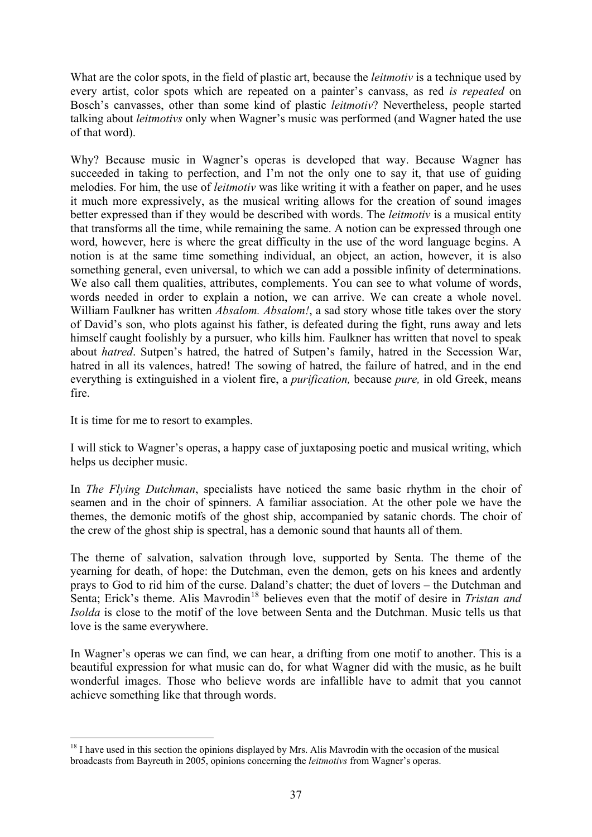What are the color spots, in the field of plastic art, because the *leitmotiv* is a technique used by every artist, color spots which are repeated on a painter's canvass, as red *is repeated* on Bosch's canvasses, other than some kind of plastic *leitmotiv*? Nevertheless, people started talking about *leitmotivs* only when Wagner's music was performed (and Wagner hated the use of that word).

Why? Because music in Wagner's operas is developed that way. Because Wagner has succeeded in taking to perfection, and I'm not the only one to say it, that use of guiding melodies. For him, the use of *leitmotiv* was like writing it with a feather on paper, and he uses it much more expressively, as the musical writing allows for the creation of sound images better expressed than if they would be described with words. The *leitmotiv* is a musical entity that transforms all the time, while remaining the same. A notion can be expressed through one word, however, here is where the great difficulty in the use of the word language begins. A notion is at the same time something individual, an object, an action, however, it is also something general, even universal, to which we can add a possible infinity of determinations. We also call them qualities, attributes, complements. You can see to what volume of words, words needed in order to explain a notion, we can arrive. We can create a whole novel. William Faulkner has written *Absalom. Absalom!*, a sad story whose title takes over the story of David's son, who plots against his father, is defeated during the fight, runs away and lets himself caught foolishly by a pursuer, who kills him. Faulkner has written that novel to speak about *hatred*. Sutpen's hatred, the hatred of Sutpen's family, hatred in the Secession War, hatred in all its valences, hatred! The sowing of hatred, the failure of hatred, and in the end everything is extinguished in a violent fire, a *purification,* because *pure,* in old Greek, means fire.

It is time for me to resort to examples.

1

I will stick to Wagner's operas, a happy case of juxtaposing poetic and musical writing, which helps us decipher music.

In *The Flying Dutchman*, specialists have noticed the same basic rhythm in the choir of seamen and in the choir of spinners. A familiar association. At the other pole we have the themes, the demonic motifs of the ghost ship, accompanied by satanic chords. The choir of the crew of the ghost ship is spectral, has a demonic sound that haunts all of them.

The theme of salvation, salvation through love, supported by Senta. The theme of the yearning for death, of hope: the Dutchman, even the demon, gets on his knees and ardently prays to God to rid him of the curse. Daland's chatter; the duet of lovers – the Dutchman and Senta; Erick's theme. Alis Mavrodin<sup>[18](#page-36-0)</sup> believes even that the motif of desire in *Tristan and Isolda* is close to the motif of the love between Senta and the Dutchman. Music tells us that love is the same everywhere.

In Wagner's operas we can find, we can hear, a drifting from one motif to another. This is a beautiful expression for what music can do, for what Wagner did with the music, as he built wonderful images. Those who believe words are infallible have to admit that you cannot achieve something like that through words.

<span id="page-36-0"></span><sup>&</sup>lt;sup>18</sup> I have used in this section the opinions displayed by Mrs. Alis Mavrodin with the occasion of the musical broadcasts from Bayreuth in 2005, opinions concerning the *leitmotivs* from Wagner's operas.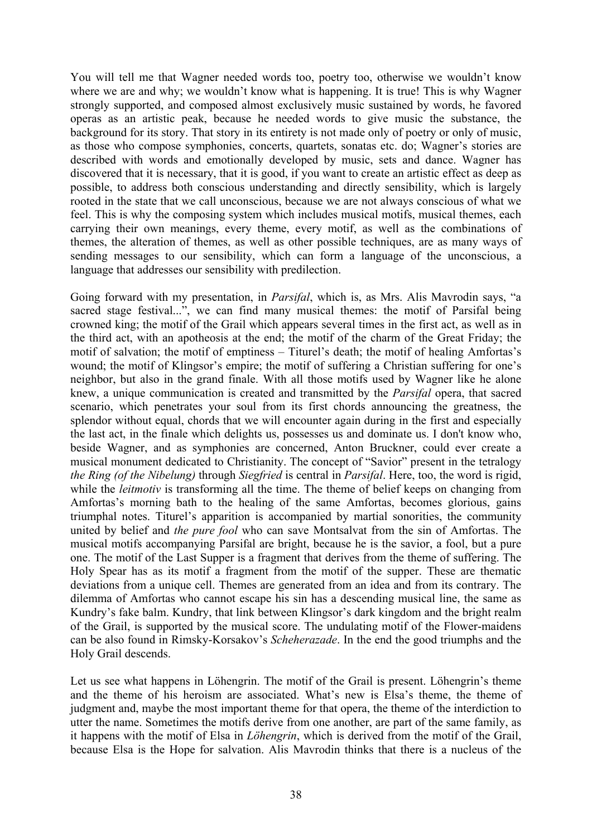You will tell me that Wagner needed words too, poetry too, otherwise we wouldn't know where we are and why; we wouldn't know what is happening. It is true! This is why Wagner strongly supported, and composed almost exclusively music sustained by words, he favored operas as an artistic peak, because he needed words to give music the substance, the background for its story. That story in its entirety is not made only of poetry or only of music, as those who compose symphonies, concerts, quartets, sonatas etc. do; Wagner's stories are described with words and emotionally developed by music, sets and dance. Wagner has discovered that it is necessary, that it is good, if you want to create an artistic effect as deep as possible, to address both conscious understanding and directly sensibility, which is largely rooted in the state that we call unconscious, because we are not always conscious of what we feel. This is why the composing system which includes musical motifs, musical themes, each carrying their own meanings, every theme, every motif, as well as the combinations of themes, the alteration of themes, as well as other possible techniques, are as many ways of sending messages to our sensibility, which can form a language of the unconscious, a language that addresses our sensibility with predilection.

Going forward with my presentation, in *Parsifal*, which is, as Mrs. Alis Mavrodin says, "a sacred stage festival...", we can find many musical themes: the motif of Parsifal being crowned king; the motif of the Grail which appears several times in the first act, as well as in the third act, with an apotheosis at the end; the motif of the charm of the Great Friday; the motif of salvation; the motif of emptiness – Titurel's death; the motif of healing Amfortas's wound; the motif of Klingsor's empire; the motif of suffering a Christian suffering for one's neighbor, but also in the grand finale. With all those motifs used by Wagner like he alone knew, a unique communication is created and transmitted by the *Parsifal* opera, that sacred scenario, which penetrates your soul from its first chords announcing the greatness, the splendor without equal, chords that we will encounter again during in the first and especially the last act, in the finale which delights us, possesses us and dominate us. I don't know who, beside Wagner, and as symphonies are concerned, Anton Bruckner, could ever create a musical monument dedicated to Christianity. The concept of "Savior" present in the tetralogy *the Ring (of the Nibelung)* through *Siegfried* is central in *Parsifal*. Here, too, the word is rigid, while the *leitmotiv* is transforming all the time. The theme of belief keeps on changing from Amfortas's morning bath to the healing of the same Amfortas, becomes glorious, gains triumphal notes. Titurel's apparition is accompanied by martial sonorities, the community united by belief and *the pure fool* who can save Montsalvat from the sin of Amfortas. The musical motifs accompanying Parsifal are bright, because he is the savior, a fool, but a pure one. The motif of the Last Supper is a fragment that derives from the theme of suffering. The Holy Spear has as its motif a fragment from the motif of the supper. These are thematic deviations from a unique cell. Themes are generated from an idea and from its contrary. The dilemma of Amfortas who cannot escape his sin has a descending musical line, the same as Kundry's fake balm. Kundry, that link between Klingsor's dark kingdom and the bright realm of the Grail, is supported by the musical score. The undulating motif of the Flower-maidens can be also found in Rimsky-Korsakov's *Scheherazade*. In the end the good triumphs and the Holy Grail descends.

Let us see what happens in Löhengrin. The motif of the Grail is present. Löhengrin's theme and the theme of his heroism are associated. What's new is Elsa's theme, the theme of judgment and, maybe the most important theme for that opera, the theme of the interdiction to utter the name. Sometimes the motifs derive from one another, are part of the same family, as it happens with the motif of Elsa in *Löhengrin*, which is derived from the motif of the Grail, because Elsa is the Hope for salvation. Alis Mavrodin thinks that there is a nucleus of the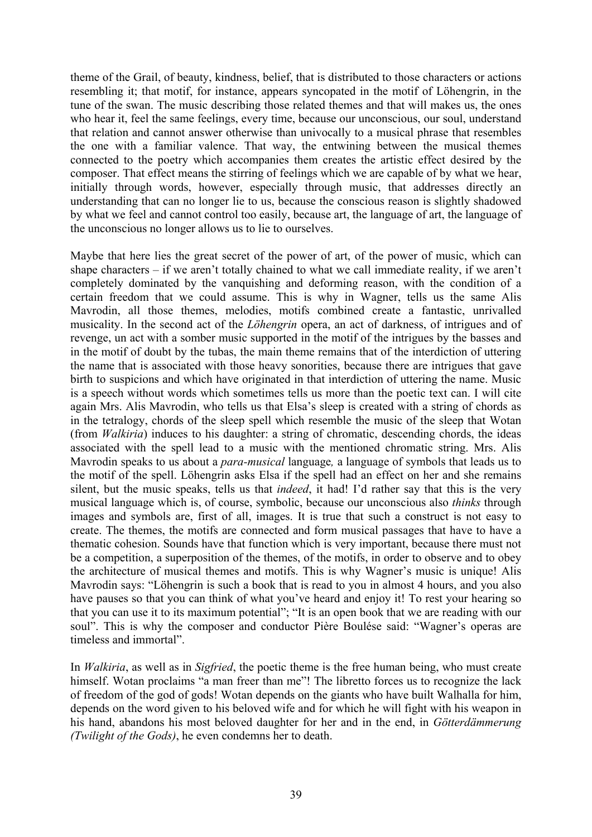theme of the Grail, of beauty, kindness, belief, that is distributed to those characters or actions resembling it; that motif, for instance, appears syncopated in the motif of Löhengrin, in the tune of the swan. The music describing those related themes and that will makes us, the ones who hear it, feel the same feelings, every time, because our unconscious, our soul, understand that relation and cannot answer otherwise than univocally to a musical phrase that resembles the one with a familiar valence. That way, the entwining between the musical themes connected to the poetry which accompanies them creates the artistic effect desired by the composer. That effect means the stirring of feelings which we are capable of by what we hear, initially through words, however, especially through music, that addresses directly an understanding that can no longer lie to us, because the conscious reason is slightly shadowed by what we feel and cannot control too easily, because art, the language of art, the language of the unconscious no longer allows us to lie to ourselves.

Maybe that here lies the great secret of the power of art, of the power of music, which can shape characters – if we aren't totally chained to what we call immediate reality, if we aren't completely dominated by the vanquishing and deforming reason, with the condition of a certain freedom that we could assume. This is why in Wagner, tells us the same Alis Mavrodin, all those themes, melodies, motifs combined create a fantastic, unrivalled musicality. In the second act of the *Löhengrin* opera, an act of darkness, of intrigues and of revenge, un act with a somber music supported in the motif of the intrigues by the basses and in the motif of doubt by the tubas, the main theme remains that of the interdiction of uttering the name that is associated with those heavy sonorities, because there are intrigues that gave birth to suspicions and which have originated in that interdiction of uttering the name. Music is a speech without words which sometimes tells us more than the poetic text can. I will cite again Mrs. Alis Mavrodin, who tells us that Elsa's sleep is created with a string of chords as in the tetralogy, chords of the sleep spell which resemble the music of the sleep that Wotan (from *Walkiria*) induces to his daughter: a string of chromatic, descending chords, the ideas associated with the spell lead to a music with the mentioned chromatic string. Mrs. Alis Mavrodin speaks to us about a *para-musical* language*,* a language of symbols that leads us to the motif of the spell. Löhengrin asks Elsa if the spell had an effect on her and she remains silent, but the music speaks, tells us that *indeed*, it had! I'd rather say that this is the very musical language which is, of course, symbolic, because our unconscious also *thinks* through images and symbols are, first of all, images. It is true that such a construct is not easy to create. The themes, the motifs are connected and form musical passages that have to have a thematic cohesion. Sounds have that function which is very important, because there must not be a competition, a superposition of the themes, of the motifs, in order to observe and to obey the architecture of musical themes and motifs. This is why Wagner's music is unique! Alis Mavrodin says: "Löhengrin is such a book that is read to you in almost 4 hours, and you also have pauses so that you can think of what you've heard and enjoy it! To rest your hearing so that you can use it to its maximum potential"; "It is an open book that we are reading with our soul". This is why the composer and conductor Pière Boulése said: "Wagner's operas are timeless and immortal".

In *Walkiria*, as well as in *Sigfried*, the poetic theme is the free human being, who must create himself. Wotan proclaims "a man freer than me"! The libretto forces us to recognize the lack of freedom of the god of gods! Wotan depends on the giants who have built Walhalla for him, depends on the word given to his beloved wife and for which he will fight with his weapon in his hand, abandons his most beloved daughter for her and in the end, in *Götterdämmerung (Twilight of the Gods)*, he even condemns her to death.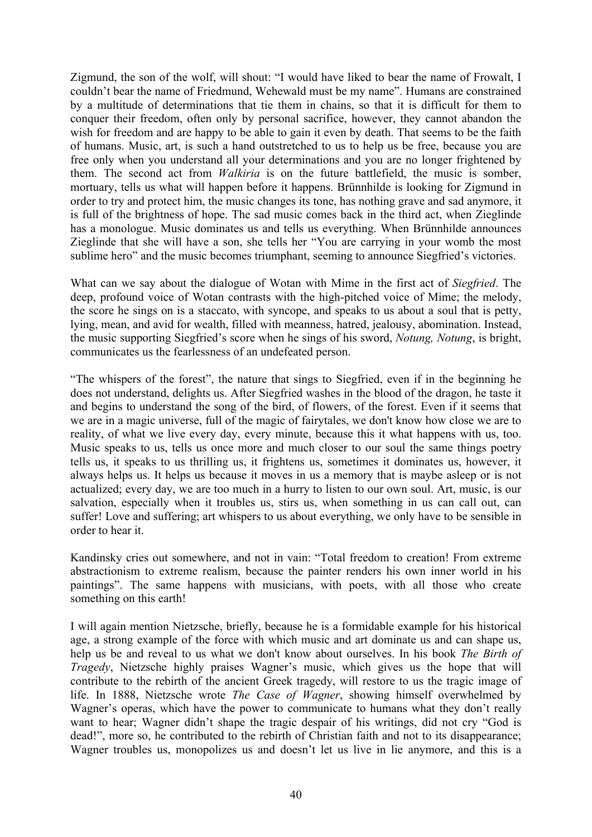Zigmund, the son of the wolf, will shout: "I would have liked to bear the name of Frowalt, I couldn't bear the name of Friedmund, Wehewald must be my name". Humans are constrained by a multitude of determinations that tie them in chains, so that it is difficult for them to conquer their freedom, often only by personal sacrifice, however, they cannot abandon the wish for freedom and are happy to be able to gain it even by death. That seems to be the faith of humans. Music, art, is such a hand outstretched to us to help us be free, because you are free only when you understand all your determinations and you are no longer frightened by them. The second act from *Walkiria* is on the future battlefield, the music is somber, mortuary, tells us what will happen before it happens. Brünnhilde is looking for Zigmund in order to try and protect him, the music changes its tone, has nothing grave and sad anymore, it is full of the brightness of hope. The sad music comes back in the third act, when Zieglinde has a monologue. Music dominates us and tells us everything. When Brünnhilde announces Zieglinde that she will have a son, she tells her "You are carrying in your womb the most sublime hero" and the music becomes triumphant, seeming to announce Siegfried's victories.

What can we say about the dialogue of Wotan with Mime in the first act of *Siegfried*. The deep, profound voice of Wotan contrasts with the high-pitched voice of Mime; the melody, the score he sings on is a staccato, with syncope, and speaks to us about a soul that is petty, lying, mean, and avid for wealth, filled with meanness, hatred, jealousy, abomination. Instead, the music supporting Siegfried's score when he sings of his sword, *Notung, Notung*, is bright, communicates us the fearlessness of an undefeated person.

"The whispers of the forest", the nature that sings to Siegfried, even if in the beginning he does not understand, delights us. After Siegfried washes in the blood of the dragon, he taste it and begins to understand the song of the bird, of flowers, of the forest. Even if it seems that we are in a magic universe, full of the magic of fairytales, we don't know how close we are to reality, of what we live every day, every minute, because this it what happens with us, too. Music speaks to us, tells us once more and much closer to our soul the same things poetry tells us, it speaks to us thrilling us, it frightens us, sometimes it dominates us, however, it always helps us. It helps us because it moves in us a memory that is maybe asleep or is not actualized; every day, we are too much in a hurry to listen to our own soul. Art, music, is our salvation, especially when it troubles us, stirs us, when something in us can call out, can suffer! Love and suffering; art whispers to us about everything, we only have to be sensible in order to hear it.

Kandinsky cries out somewhere, and not in vain: "Total freedom to creation! From extreme abstractionism to extreme realism, because the painter renders his own inner world in his paintings". The same happens with musicians, with poets, with all those who create something on this earth!

I will again mention Nietzsche, briefly, because he is a formidable example for his historical age, a strong example of the force with which music and art dominate us and can shape us, help us be and reveal to us what we don't know about ourselves. In his book *The Birth of Tragedy*, Nietzsche highly praises Wagner's music, which gives us the hope that will contribute to the rebirth of the ancient Greek tragedy, will restore to us the tragic image of life. In 1888, Nietzsche wrote *The Case of Wagner*, showing himself overwhelmed by Wagner's operas, which have the power to communicate to humans what they don't really want to hear; Wagner didn't shape the tragic despair of his writings, did not cry "God is dead!", more so, he contributed to the rebirth of Christian faith and not to its disappearance; Wagner troubles us, monopolizes us and doesn't let us live in lie anymore, and this is a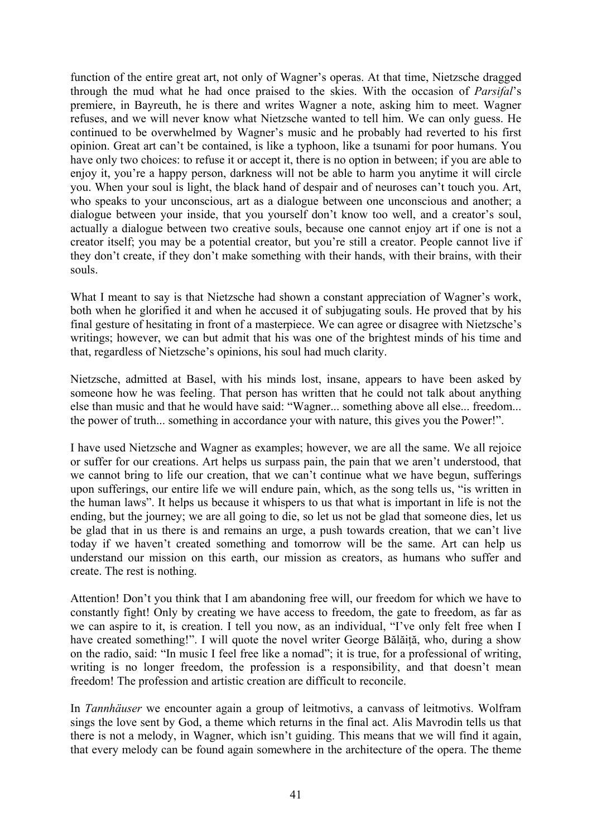function of the entire great art, not only of Wagner's operas. At that time, Nietzsche dragged through the mud what he had once praised to the skies. With the occasion of *Parsifal*'s premiere, in Bayreuth, he is there and writes Wagner a note, asking him to meet. Wagner refuses, and we will never know what Nietzsche wanted to tell him. We can only guess. He continued to be overwhelmed by Wagner's music and he probably had reverted to his first opinion. Great art can't be contained, is like a typhoon, like a tsunami for poor humans. You have only two choices: to refuse it or accept it, there is no option in between; if you are able to enjoy it, you're a happy person, darkness will not be able to harm you anytime it will circle you. When your soul is light, the black hand of despair and of neuroses can't touch you. Art, who speaks to your unconscious, art as a dialogue between one unconscious and another; a dialogue between your inside, that you yourself don't know too well, and a creator's soul, actually a dialogue between two creative souls, because one cannot enjoy art if one is not a creator itself; you may be a potential creator, but you're still a creator. People cannot live if they don't create, if they don't make something with their hands, with their brains, with their souls.

What I meant to say is that Nietzsche had shown a constant appreciation of Wagner's work, both when he glorified it and when he accused it of subjugating souls. He proved that by his final gesture of hesitating in front of a masterpiece. We can agree or disagree with Nietzsche's writings; however, we can but admit that his was one of the brightest minds of his time and that, regardless of Nietzsche's opinions, his soul had much clarity.

Nietzsche, admitted at Basel, with his minds lost, insane, appears to have been asked by someone how he was feeling. That person has written that he could not talk about anything else than music and that he would have said: "Wagner... something above all else... freedom... the power of truth... something in accordance your with nature, this gives you the Power!".

I have used Nietzsche and Wagner as examples; however, we are all the same. We all rejoice or suffer for our creations. Art helps us surpass pain, the pain that we aren't understood, that we cannot bring to life our creation, that we can't continue what we have begun, sufferings upon sufferings, our entire life we will endure pain, which, as the song tells us, "is written in the human laws". It helps us because it whispers to us that what is important in life is not the ending, but the journey; we are all going to die, so let us not be glad that someone dies, let us be glad that in us there is and remains an urge, a push towards creation, that we can't live today if we haven't created something and tomorrow will be the same. Art can help us understand our mission on this earth, our mission as creators, as humans who suffer and create. The rest is nothing.

Attention! Don't you think that I am abandoning free will, our freedom for which we have to constantly fight! Only by creating we have access to freedom, the gate to freedom, as far as we can aspire to it, is creation. I tell you now, as an individual, "I've only felt free when I have created something!". I will quote the novel writer George Bălăită, who, during a show on the radio, said: "In music I feel free like a nomad"; it is true, for a professional of writing, writing is no longer freedom, the profession is a responsibility, and that doesn't mean freedom! The profession and artistic creation are difficult to reconcile.

In *Tannhäuser* we encounter again a group of leitmotivs, a canvass of leitmotivs. Wolfram sings the love sent by God, a theme which returns in the final act. Alis Mavrodin tells us that there is not a melody, in Wagner, which isn't guiding. This means that we will find it again, that every melody can be found again somewhere in the architecture of the opera. The theme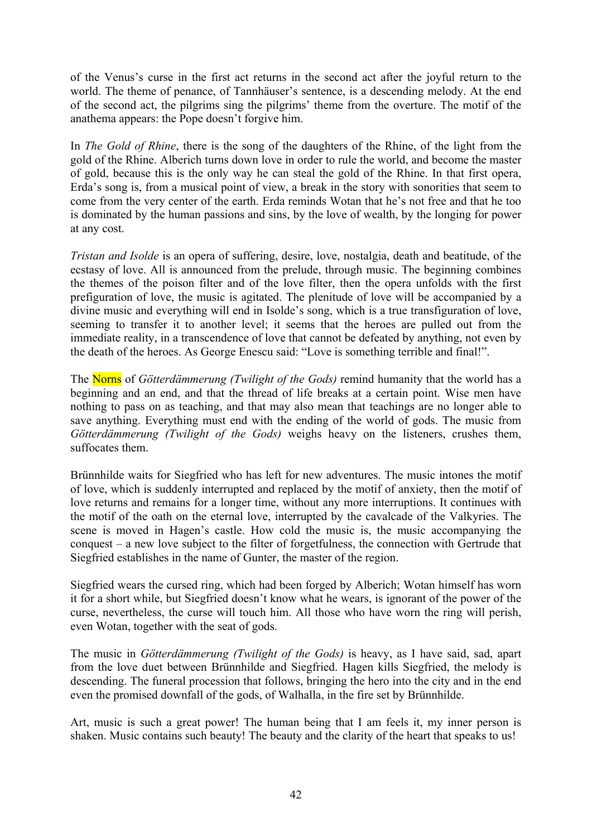of the Venus's curse in the first act returns in the second act after the joyful return to the world. The theme of penance, of Tannhäuser's sentence, is a descending melody. At the end of the second act, the pilgrims sing the pilgrims' theme from the overture. The motif of the anathema appears: the Pope doesn't forgive him.

In *The Gold of Rhine*, there is the song of the daughters of the Rhine, of the light from the gold of the Rhine. Alberich turns down love in order to rule the world, and become the master of gold, because this is the only way he can steal the gold of the Rhine. In that first opera, Erda's song is, from a musical point of view, a break in the story with sonorities that seem to come from the very center of the earth. Erda reminds Wotan that he's not free and that he too is dominated by the human passions and sins, by the love of wealth, by the longing for power at any cost.

*Tristan and Isolde* is an opera of suffering, desire, love, nostalgia, death and beatitude, of the ecstasy of love. All is announced from the prelude, through music. The beginning combines the themes of the poison filter and of the love filter, then the opera unfolds with the first prefiguration of love, the music is agitated. The plenitude of love will be accompanied by a divine music and everything will end in Isolde's song, which is a true transfiguration of love, seeming to transfer it to another level; it seems that the heroes are pulled out from the immediate reality, in a transcendence of love that cannot be defeated by anything, not even by the death of the heroes. As George Enescu said: "Love is something terrible and final!".

The Norns of *Götterdämmerung (Twilight of the Gods)* remind humanity that the world has a beginning and an end, and that the thread of life breaks at a certain point. Wise men have nothing to pass on as teaching, and that may also mean that teachings are no longer able to save anything. Everything must end with the ending of the world of gods. The music from *Götterdämmerung (Twilight of the Gods)* weighs heavy on the listeners, crushes them, suffocates them.

Brünnhilde waits for Siegfried who has left for new adventures. The music intones the motif of love, which is suddenly interrupted and replaced by the motif of anxiety, then the motif of love returns and remains for a longer time, without any more interruptions. It continues with the motif of the oath on the eternal love, interrupted by the cavalcade of the Valkyries. The scene is moved in Hagen's castle. How cold the music is, the music accompanying the conquest – a new love subject to the filter of forgetfulness, the connection with Gertrude that Siegfried establishes in the name of Gunter, the master of the region.

Siegfried wears the cursed ring, which had been forged by Alberich; Wotan himself has worn it for a short while, but Siegfried doesn't know what he wears, is ignorant of the power of the curse, nevertheless, the curse will touch him. All those who have worn the ring will perish, even Wotan, together with the seat of gods.

The music in *Götterdämmerung (Twilight of the Gods)* is heavy, as I have said, sad, apart from the love duet between Brünnhilde and Siegfried. Hagen kills Siegfried, the melody is descending. The funeral procession that follows, bringing the hero into the city and in the end even the promised downfall of the gods, of Walhalla, in the fire set by Brünnhilde.

Art, music is such a great power! The human being that I am feels it, my inner person is shaken. Music contains such beauty! The beauty and the clarity of the heart that speaks to us!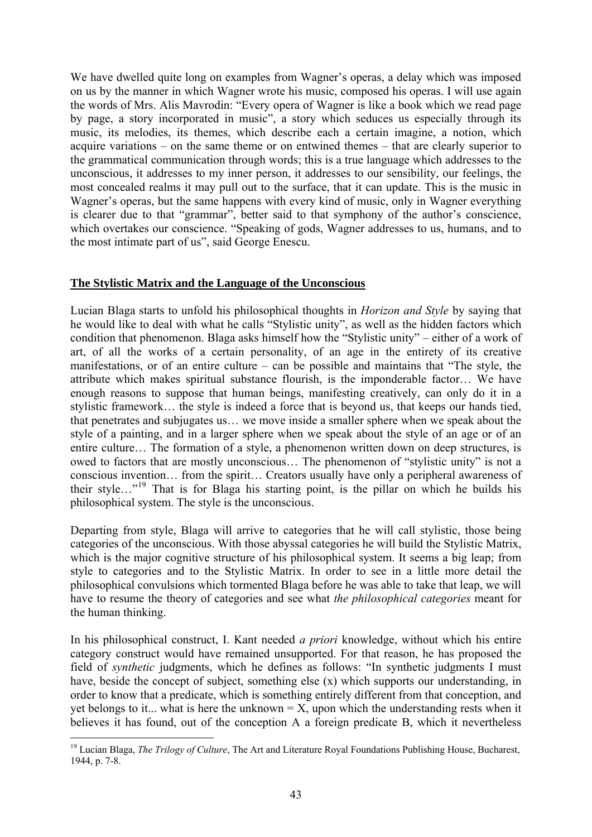We have dwelled quite long on examples from Wagner's operas, a delay which was imposed on us by the manner in which Wagner wrote his music, composed his operas. I will use again the words of Mrs. Alis Mavrodin: "Every opera of Wagner is like a book which we read page by page, a story incorporated in music", a story which seduces us especially through its music, its melodies, its themes, which describe each a certain imagine, a notion, which acquire variations – on the same theme or on entwined themes – that are clearly superior to the grammatical communication through words; this is a true language which addresses to the unconscious, it addresses to my inner person, it addresses to our sensibility, our feelings, the most concealed realms it may pull out to the surface, that it can update. This is the music in Wagner's operas, but the same happens with every kind of music, only in Wagner everything is clearer due to that "grammar", better said to that symphony of the author's conscience, which overtakes our conscience. "Speaking of gods, Wagner addresses to us, humans, and to the most intimate part of us", said George Enescu.

### **The Stylistic Matrix and the Language of the Unconscious**

Lucian Blaga starts to unfold his philosophical thoughts in *Horizon and Style* by saying that he would like to deal with what he calls "Stylistic unity", as well as the hidden factors which condition that phenomenon. Blaga asks himself how the "Stylistic unity" – either of a work of art, of all the works of a certain personality, of an age in the entirety of its creative manifestations, or of an entire culture – can be possible and maintains that "The style, the attribute which makes spiritual substance flourish, is the imponderable factor… We have enough reasons to suppose that human beings, manifesting creatively, can only do it in a stylistic framework… the style is indeed a force that is beyond us, that keeps our hands tied, that penetrates and subjugates us… we move inside a smaller sphere when we speak about the style of a painting, and in a larger sphere when we speak about the style of an age or of an entire culture… The formation of a style, a phenomenon written down on deep structures, is owed to factors that are mostly unconscious… The phenomenon of "stylistic unity" is not a conscious invention… from the spirit… Creators usually have only a peripheral awareness of their style…"[19](#page-42-0) That is for Blaga his starting point, is the pillar on which he builds his philosophical system. The style is the unconscious.

Departing from style, Blaga will arrive to categories that he will call stylistic, those being categories of the unconscious. With those abyssal categories he will build the Stylistic Matrix, which is the major cognitive structure of his philosophical system. It seems a big leap; from style to categories and to the Stylistic Matrix. In order to see in a little more detail the philosophical convulsions which tormented Blaga before he was able to take that leap, we will have to resume the theory of categories and see what *the philosophical categories* meant for the human thinking.

In his philosophical construct, I. Kant needed *a priori* knowledge, without which his entire category construct would have remained unsupported. For that reason, he has proposed the field of *synthetic* judgments, which he defines as follows: "In synthetic judgments I must have, beside the concept of subject, something else (x) which supports our understanding, in order to know that a predicate, which is something entirely different from that conception, and yet belongs to it... what is here the unknown  $= X$ , upon which the understanding rests when it believes it has found, out of the conception A a foreign predicate B, which it nevertheless

<span id="page-42-0"></span><sup>1</sup> <sup>19</sup> Lucian Blaga, *The Trilogy of Culture*, The Art and Literature Royal Foundations Publishing House, Bucharest, 1944, p. 7-8.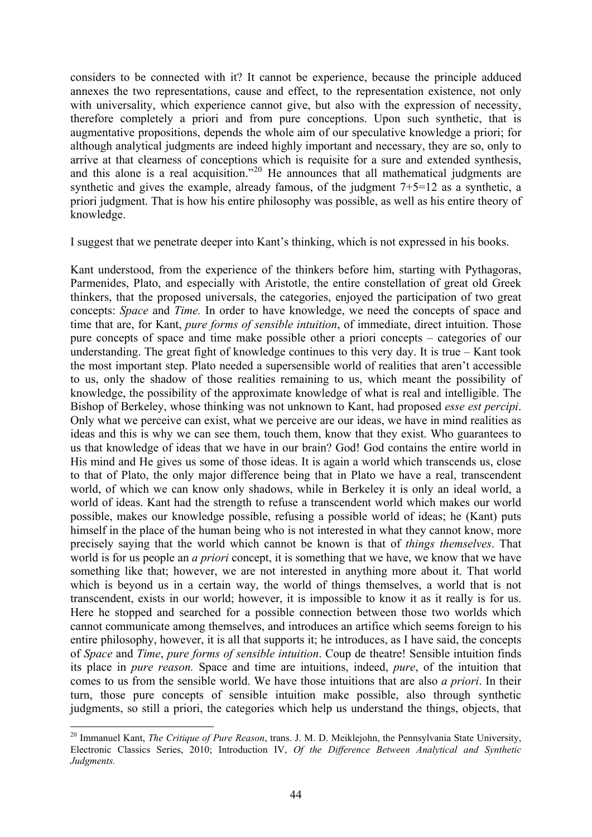considers to be connected with it? It cannot be experience, because the principle adduced annexes the two representations, cause and effect, to the representation existence, not only with universality, which experience cannot give, but also with the expression of necessity, therefore completely a priori and from pure conceptions. Upon such synthetic, that is augmentative propositions, depends the whole aim of our speculative knowledge a priori; for although analytical judgments are indeed highly important and necessary, they are so, only to arrive at that clearness of conceptions which is requisite for a sure and extended synthesis, and this alone is a real acquisition."<sup>[20](#page-43-0)</sup> He announces that all mathematical judgments are synthetic and gives the example, already famous, of the judgment 7+5=12 as a synthetic, a priori judgment. That is how his entire philosophy was possible, as well as his entire theory of knowledge.

I suggest that we penetrate deeper into Kant's thinking, which is not expressed in his books.

Kant understood, from the experience of the thinkers before him, starting with Pythagoras, Parmenides, Plato, and especially with Aristotle, the entire constellation of great old Greek thinkers, that the proposed universals, the categories, enjoyed the participation of two great concepts: *Space* and *Time.* In order to have knowledge, we need the concepts of space and time that are, for Kant, *pure forms of sensible intuition*, of immediate, direct intuition. Those pure concepts of space and time make possible other a priori concepts – categories of our understanding. The great fight of knowledge continues to this very day. It is true – Kant took the most important step. Plato needed a supersensible world of realities that aren't accessible to us, only the shadow of those realities remaining to us, which meant the possibility of knowledge, the possibility of the approximate knowledge of what is real and intelligible. The Bishop of Berkeley, whose thinking was not unknown to Kant, had proposed *esse est percipi*. Only what we perceive can exist, what we perceive are our ideas, we have in mind realities as ideas and this is why we can see them, touch them, know that they exist. Who guarantees to us that knowledge of ideas that we have in our brain? God! God contains the entire world in His mind and He gives us some of those ideas. It is again a world which transcends us, close to that of Plato, the only major difference being that in Plato we have a real, transcendent world, of which we can know only shadows, while in Berkeley it is only an ideal world, a world of ideas. Kant had the strength to refuse a transcendent world which makes our world possible, makes our knowledge possible, refusing a possible world of ideas; he (Kant) puts himself in the place of the human being who is not interested in what they cannot know, more precisely saying that the world which cannot be known is that of *things themselves*. That world is for us people an *a priori* concept, it is something that we have, we know that we have something like that; however, we are not interested in anything more about it. That world which is beyond us in a certain way, the world of things themselves, a world that is not transcendent, exists in our world; however, it is impossible to know it as it really is for us. Here he stopped and searched for a possible connection between those two worlds which cannot communicate among themselves, and introduces an artifice which seems foreign to his entire philosophy, however, it is all that supports it; he introduces, as I have said, the concepts of *Space* and *Time*, *pure forms of sensible intuition*. Coup de theatre! Sensible intuition finds its place in *pure reason.* Space and time are intuitions, indeed, *pure*, of the intuition that comes to us from the sensible world. We have those intuitions that are also *a priori*. In their turn, those pure concepts of sensible intuition make possible, also through synthetic judgments, so still a priori, the categories which help us understand the things, objects, that

<span id="page-43-0"></span><sup>20</sup> Immanuel Kant, *The Critique of Pure Reason*, trans. J. M. D. Meiklejohn, the Pennsylvania State University, Electronic Classics Series, 2010; Introduction IV, *Of the Difference Between Analytical and Synthetic Judgments.*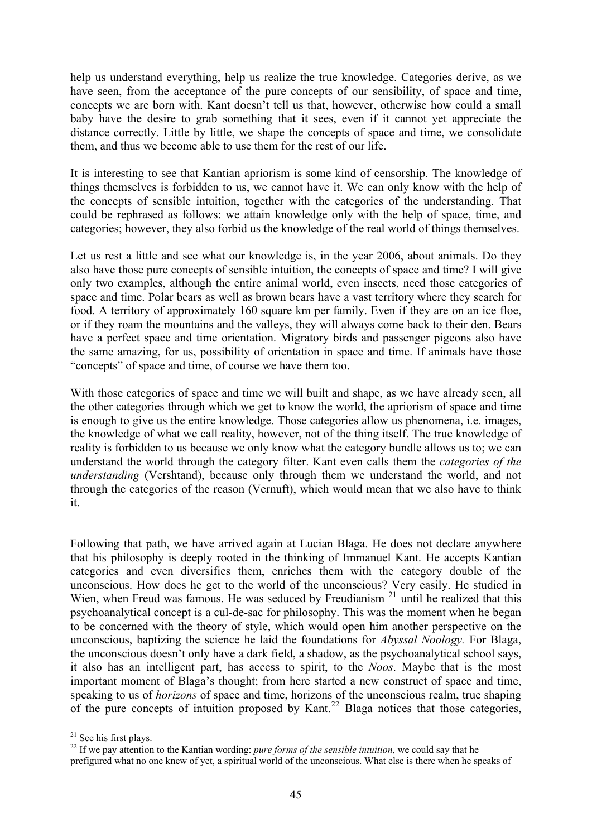help us understand everything, help us realize the true knowledge. Categories derive, as we have seen, from the acceptance of the pure concepts of our sensibility, of space and time, concepts we are born with. Kant doesn't tell us that, however, otherwise how could a small baby have the desire to grab something that it sees, even if it cannot yet appreciate the distance correctly. Little by little, we shape the concepts of space and time, we consolidate them, and thus we become able to use them for the rest of our life.

It is interesting to see that Kantian apriorism is some kind of censorship. The knowledge of things themselves is forbidden to us, we cannot have it. We can only know with the help of the concepts of sensible intuition, together with the categories of the understanding. That could be rephrased as follows: we attain knowledge only with the help of space, time, and categories; however, they also forbid us the knowledge of the real world of things themselves.

Let us rest a little and see what our knowledge is, in the year 2006, about animals. Do they also have those pure concepts of sensible intuition, the concepts of space and time? I will give only two examples, although the entire animal world, even insects, need those categories of space and time. Polar bears as well as brown bears have a vast territory where they search for food. A territory of approximately 160 square km per family. Even if they are on an ice floe, or if they roam the mountains and the valleys, they will always come back to their den. Bears have a perfect space and time orientation. Migratory birds and passenger pigeons also have the same amazing, for us, possibility of orientation in space and time. If animals have those "concepts" of space and time, of course we have them too.

With those categories of space and time we will built and shape, as we have already seen, all the other categories through which we get to know the world, the apriorism of space and time is enough to give us the entire knowledge. Those categories allow us phenomena, i.e. images, the knowledge of what we call reality, however, not of the thing itself. The true knowledge of reality is forbidden to us because we only know what the category bundle allows us to; we can understand the world through the category filter. Kant even calls them the *categories of the understanding* (Vershtand), because only through them we understand the world, and not through the categories of the reason (Vernuft), which would mean that we also have to think it.

Following that path, we have arrived again at Lucian Blaga. He does not declare anywhere that his philosophy is deeply rooted in the thinking of Immanuel Kant. He accepts Kantian categories and even diversifies them, enriches them with the category double of the unconscious. How does he get to the world of the unconscious? Very easily. He studied in Wien, when Freud was famous. He was seduced by Freudianism  $21$  until he realized that this psychoanalytical concept is a cul-de-sac for philosophy. This was the moment when he began to be concerned with the theory of style, which would open him another perspective on the unconscious, baptizing the science he laid the foundations for *Abyssal Noology.* For Blaga, the unconscious doesn't only have a dark field, a shadow, as the psychoanalytical school says, it also has an intelligent part, has access to spirit, to the *Noos*. Maybe that is the most important moment of Blaga's thought; from here started a new construct of space and time, speaking to us of *horizons* of space and time, horizons of the unconscious realm, true shaping of the pure concepts of intuition proposed by Kant.<sup>[22](#page-44-1)</sup> Blaga notices that those categories,

 $21$  See his first plays.

<span id="page-44-1"></span><span id="page-44-0"></span><sup>&</sup>lt;sup>22</sup> If we pay attention to the Kantian wording: *pure forms of the sensible intuition*, we could say that he prefigured what no one knew of yet, a spiritual world of the unconscious. What else is there when he speaks of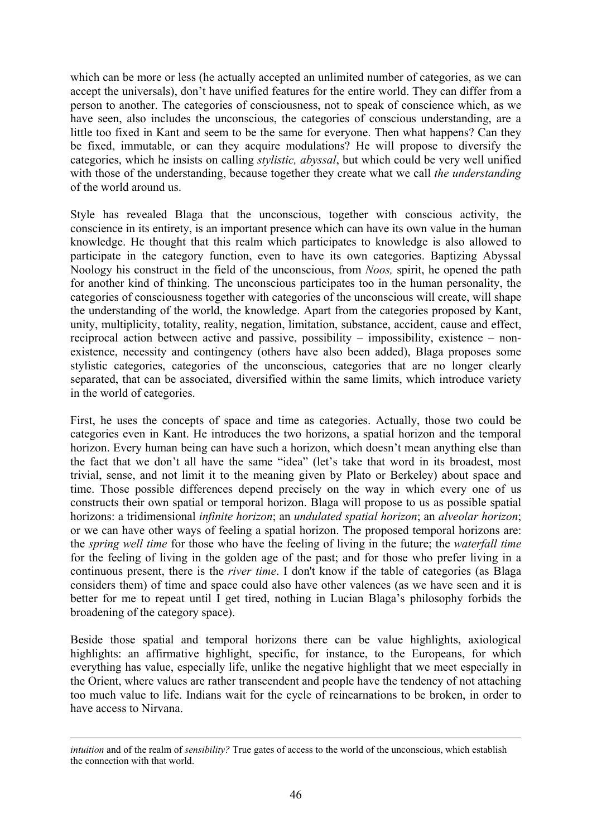which can be more or less (he actually accepted an unlimited number of categories, as we can accept the universals), don't have unified features for the entire world. They can differ from a person to another. The categories of consciousness, not to speak of conscience which, as we have seen, also includes the unconscious, the categories of conscious understanding, are a little too fixed in Kant and seem to be the same for everyone. Then what happens? Can they be fixed, immutable, or can they acquire modulations? He will propose to diversify the categories, which he insists on calling *stylistic, abyssal*, but which could be very well unified with those of the understanding, because together they create what we call *the understanding*  of the world around us.

Style has revealed Blaga that the unconscious, together with conscious activity, the conscience in its entirety, is an important presence which can have its own value in the human knowledge. He thought that this realm which participates to knowledge is also allowed to participate in the category function, even to have its own categories. Baptizing Abyssal Noology his construct in the field of the unconscious, from *Noos,* spirit, he opened the path for another kind of thinking. The unconscious participates too in the human personality, the categories of consciousness together with categories of the unconscious will create, will shape the understanding of the world, the knowledge. Apart from the categories proposed by Kant, unity, multiplicity, totality, reality, negation, limitation, substance, accident, cause and effect, reciprocal action between active and passive, possibility – impossibility, existence – nonexistence, necessity and contingency (others have also been added), Blaga proposes some stylistic categories, categories of the unconscious, categories that are no longer clearly separated, that can be associated, diversified within the same limits, which introduce variety in the world of categories.

First, he uses the concepts of space and time as categories. Actually, those two could be categories even in Kant. He introduces the two horizons, a spatial horizon and the temporal horizon. Every human being can have such a horizon, which doesn't mean anything else than the fact that we don't all have the same "idea" (let's take that word in its broadest, most trivial, sense, and not limit it to the meaning given by Plato or Berkeley) about space and time. Those possible differences depend precisely on the way in which every one of us constructs their own spatial or temporal horizon. Blaga will propose to us as possible spatial horizons: a tridimensional *infinite horizon*; an *undulated spatial horizon*; an *alveolar horizon*; or we can have other ways of feeling a spatial horizon. The proposed temporal horizons are: the *spring well time* for those who have the feeling of living in the future; the *waterfall time*  for the feeling of living in the golden age of the past; and for those who prefer living in a continuous present, there is the *river time*. I don't know if the table of categories (as Blaga considers them) of time and space could also have other valences (as we have seen and it is better for me to repeat until I get tired, nothing in Lucian Blaga's philosophy forbids the broadening of the category space).

Beside those spatial and temporal horizons there can be value highlights, axiological highlights: an affirmative highlight, specific, for instance, to the Europeans, for which everything has value, especially life, unlike the negative highlight that we meet especially in the Orient, where values are rather transcendent and people have the tendency of not attaching too much value to life. Indians wait for the cycle of reincarnations to be broken, in order to have access to Nirvana.

*intuition* and of the realm of *sensibility?* True gates of access to the world of the unconscious, which establish the connection with that world.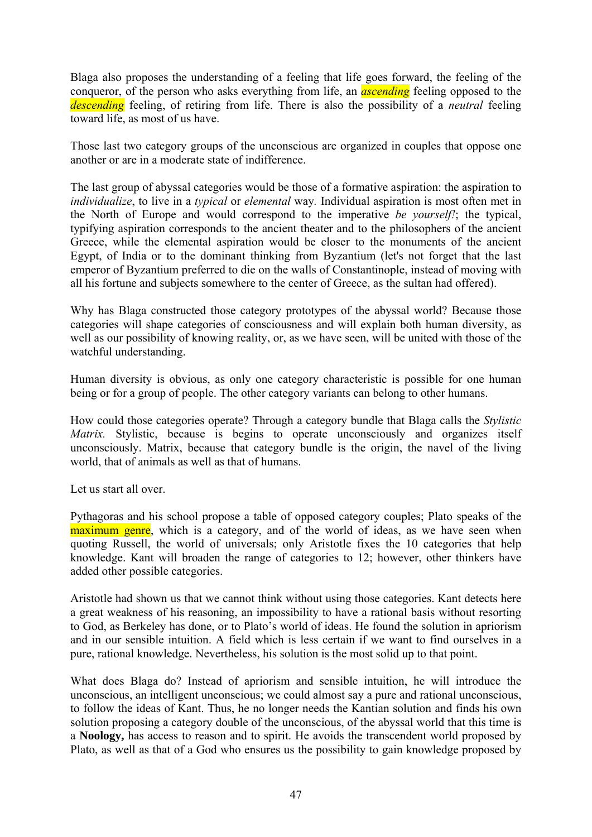Blaga also proposes the understanding of a feeling that life goes forward, the feeling of the conqueror, of the person who asks everything from life, an *ascending* feeling opposed to the *descending* feeling, of retiring from life. There is also the possibility of a *neutral* feeling toward life, as most of us have.

Those last two category groups of the unconscious are organized in couples that oppose one another or are in a moderate state of indifference.

The last group of abyssal categories would be those of a formative aspiration: the aspiration to *individualize*, to live in a *typical* or *elemental* way*.* Individual aspiration is most often met in the North of Europe and would correspond to the imperative *be yourself!*; the typical, typifying aspiration corresponds to the ancient theater and to the philosophers of the ancient Greece, while the elemental aspiration would be closer to the monuments of the ancient Egypt, of India or to the dominant thinking from Byzantium (let's not forget that the last emperor of Byzantium preferred to die on the walls of Constantinople, instead of moving with all his fortune and subjects somewhere to the center of Greece, as the sultan had offered).

Why has Blaga constructed those category prototypes of the abyssal world? Because those categories will shape categories of consciousness and will explain both human diversity, as well as our possibility of knowing reality, or, as we have seen, will be united with those of the watchful understanding.

Human diversity is obvious, as only one category characteristic is possible for one human being or for a group of people. The other category variants can belong to other humans.

How could those categories operate? Through a category bundle that Blaga calls the *Stylistic Matrix.* Stylistic, because is begins to operate unconsciously and organizes itself unconsciously. Matrix, because that category bundle is the origin, the navel of the living world, that of animals as well as that of humans.

Let us start all over.

Pythagoras and his school propose a table of opposed category couples; Plato speaks of the maximum genre, which is a category, and of the world of ideas, as we have seen when quoting Russell, the world of universals; only Aristotle fixes the 10 categories that help knowledge. Kant will broaden the range of categories to 12; however, other thinkers have added other possible categories.

Aristotle had shown us that we cannot think without using those categories. Kant detects here a great weakness of his reasoning, an impossibility to have a rational basis without resorting to God, as Berkeley has done, or to Plato's world of ideas. He found the solution in apriorism and in our sensible intuition. A field which is less certain if we want to find ourselves in a pure, rational knowledge. Nevertheless, his solution is the most solid up to that point.

What does Blaga do? Instead of apriorism and sensible intuition, he will introduce the unconscious, an intelligent unconscious; we could almost say a pure and rational unconscious, to follow the ideas of Kant. Thus, he no longer needs the Kantian solution and finds his own solution proposing a category double of the unconscious, of the abyssal world that this time is a **Noology,** has access to reason and to spirit. He avoids the transcendent world proposed by Plato, as well as that of a God who ensures us the possibility to gain knowledge proposed by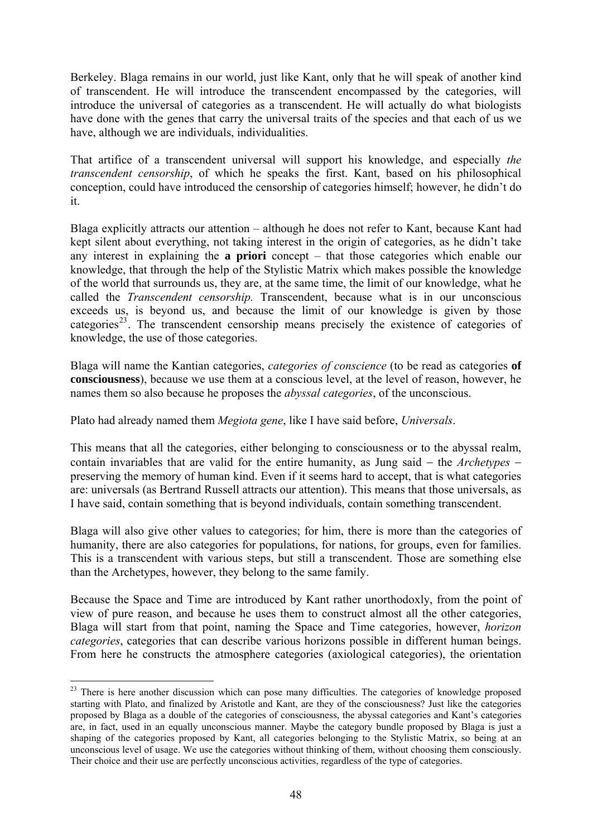Berkeley. Blaga remains in our world, just like Kant, only that he will speak of another kind of transcendent. He will introduce the transcendent encompassed by the categories, will introduce the universal of categories as a transcendent. He will actually do what biologists have done with the genes that carry the universal traits of the species and that each of us we have, although we are individuals, individualities.

That artifice of a transcendent universal will support his knowledge, and especially *the transcendent censorship*, of which he speaks the first. Kant, based on his philosophical conception, could have introduced the censorship of categories himself; however, he didn't do it.

Blaga explicitly attracts our attention – although he does not refer to Kant, because Kant had kept silent about everything, not taking interest in the origin of categories, as he didn't take any interest in explaining the **a priori** concept – that those categories which enable our knowledge, that through the help of the Stylistic Matrix which makes possible the knowledge of the world that surrounds us, they are, at the same time, the limit of our knowledge, what he called the *Transcendent censorship.* Transcendent, because what is in our unconscious exceeds us, is beyond us, and because the limit of our knowledge is given by those categories<sup>[23](#page-47-0)</sup>. The transcendent censorship means precisely the existence of categories of knowledge, the use of those categories.

Blaga will name the Kantian categories, *categories of conscience* (to be read as categories **of consciousness**), because we use them at a conscious level, at the level of reason, however, he names them so also because he proposes the *abyssal categories*, of the unconscious.

Plato had already named them *Megiota gene*, like I have said before, *Universals*.

This means that all the categories, either belonging to consciousness or to the abyssal realm, contain invariables that are valid for the entire humanity, as Jung said − the *Archetypes* − preserving the memory of human kind. Even if it seems hard to accept, that is what categories are: universals (as Bertrand Russell attracts our attention). This means that those universals, as I have said, contain something that is beyond individuals, contain something transcendent.

Blaga will also give other values to categories; for him, there is more than the categories of humanity, there are also categories for populations, for nations, for groups, even for families. This is a transcendent with various steps, but still a transcendent. Those are something else than the Archetypes, however, they belong to the same family.

Because the Space and Time are introduced by Kant rather unorthodoxly, from the point of view of pure reason, and because he uses them to construct almost all the other categories, Blaga will start from that point, naming the Space and Time categories, however, *horizon categories*, categories that can describe various horizons possible in different human beings. From here he constructs the atmosphere categories (axiological categories), the orientation

<span id="page-47-0"></span><sup>&</sup>lt;sup>23</sup> There is here another discussion which can pose many difficulties. The categories of knowledge proposed starting with Plato, and finalized by Aristotle and Kant, are they of the consciousness? Just like the categories proposed by Blaga as a double of the categories of consciousness, the abyssal categories and Kant's categories are, in fact, used in an equally unconscious manner. Maybe the category bundle proposed by Blaga is just a shaping of the categories proposed by Kant, all categories belonging to the Stylistic Matrix, so being at an unconscious level of usage. We use the categories without thinking of them, without choosing them consciously. Their choice and their use are perfectly unconscious activities, regardless of the type of categories.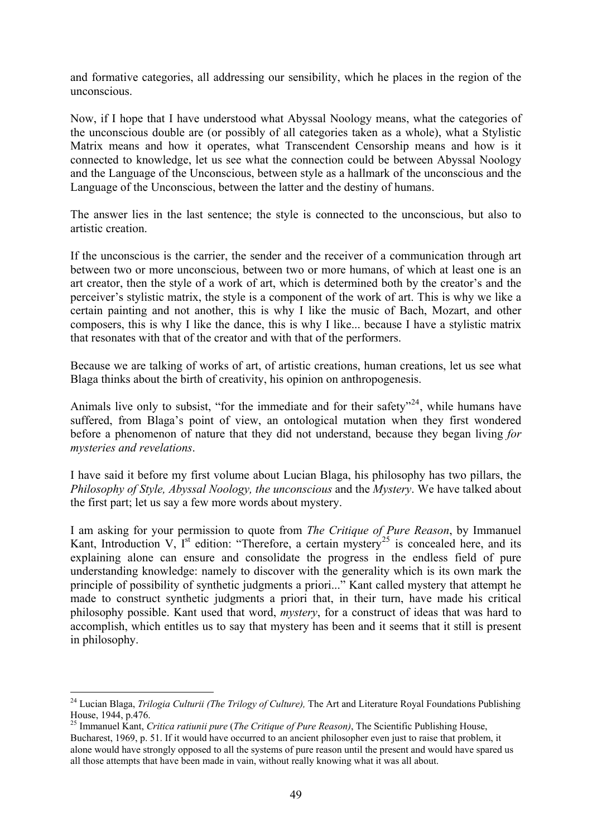and formative categories, all addressing our sensibility, which he places in the region of the unconscious.

Now, if I hope that I have understood what Abyssal Noology means, what the categories of the unconscious double are (or possibly of all categories taken as a whole), what a Stylistic Matrix means and how it operates, what Transcendent Censorship means and how is it connected to knowledge, let us see what the connection could be between Abyssal Noology and the Language of the Unconscious, between style as a hallmark of the unconscious and the Language of the Unconscious, between the latter and the destiny of humans.

The answer lies in the last sentence; the style is connected to the unconscious, but also to artistic creation.

If the unconscious is the carrier, the sender and the receiver of a communication through art between two or more unconscious, between two or more humans, of which at least one is an art creator, then the style of a work of art, which is determined both by the creator's and the perceiver's stylistic matrix, the style is a component of the work of art. This is why we like a certain painting and not another, this is why I like the music of Bach, Mozart, and other composers, this is why I like the dance, this is why I like... because I have a stylistic matrix that resonates with that of the creator and with that of the performers.

Because we are talking of works of art, of artistic creations, human creations, let us see what Blaga thinks about the birth of creativity, his opinion on anthropogenesis.

Animals live only to subsist, "for the immediate and for their safety"<sup>[24](#page-48-0)</sup>, while humans have suffered, from Blaga's point of view, an ontological mutation when they first wondered before a phenomenon of nature that they did not understand, because they began living *for mysteries and revelations*.

I have said it before my first volume about Lucian Blaga, his philosophy has two pillars, the *Philosophy of Style, Abyssal Noology, the unconscious* and the *Mystery*. We have talked about the first part; let us say a few more words about mystery.

I am asking for your permission to quote from *The Critique of Pure Reason*, by Immanuel Kant, Introduction V,  $I^{st}$  edition: "Therefore, a certain mystery<sup>[25](#page-48-1)</sup> is concealed here, and its explaining alone can ensure and consolidate the progress in the endless field of pure understanding knowledge: namely to discover with the generality which is its own mark the principle of possibility of synthetic judgments a priori..." Kant called mystery that attempt he made to construct synthetic judgments a priori that, in their turn, have made his critical philosophy possible. Kant used that word, *mystery*, for a construct of ideas that was hard to accomplish, which entitles us to say that mystery has been and it seems that it still is present in philosophy.

<span id="page-48-0"></span><sup>&</sup>lt;sup>24</sup> Lucian Blaga, *Trilogia Culturii (The Trilogy of Culture)*, The Art and Literature Royal Foundations Publishing House, 1944, p.476.

<span id="page-48-1"></span><sup>25</sup> Immanuel Kant, *Critica ratiunii pure* (*The Critique of Pure Reason)*, The Scientific Publishing House, Bucharest, 1969, p. 51. If it would have occurred to an ancient philosopher even just to raise that problem, it alone would have strongly opposed to all the systems of pure reason until the present and would have spared us all those attempts that have been made in vain, without really knowing what it was all about.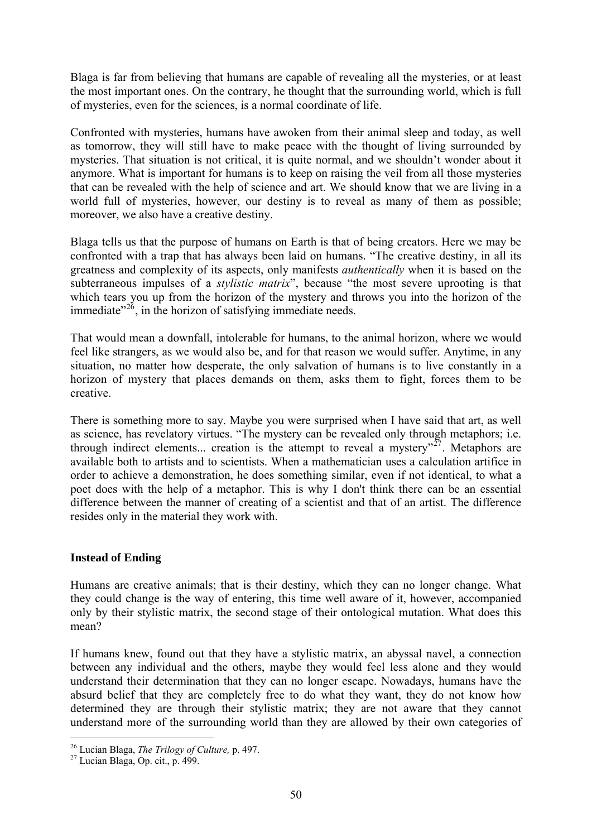Blaga is far from believing that humans are capable of revealing all the mysteries, or at least the most important ones. On the contrary, he thought that the surrounding world, which is full of mysteries, even for the sciences, is a normal coordinate of life.

Confronted with mysteries, humans have awoken from their animal sleep and today, as well as tomorrow, they will still have to make peace with the thought of living surrounded by mysteries. That situation is not critical, it is quite normal, and we shouldn't wonder about it anymore. What is important for humans is to keep on raising the veil from all those mysteries that can be revealed with the help of science and art. We should know that we are living in a world full of mysteries, however, our destiny is to reveal as many of them as possible; moreover, we also have a creative destiny.

Blaga tells us that the purpose of humans on Earth is that of being creators. Here we may be confronted with a trap that has always been laid on humans. "The creative destiny, in all its greatness and complexity of its aspects, only manifests *authentically* when it is based on the subterraneous impulses of a *stylistic matrix*", because "the most severe uprooting is that which tears you up from the horizon of the mystery and throws you into the horizon of the immediate $^{326}$  $^{326}$  $^{326}$ , in the horizon of satisfying immediate needs.

That would mean a downfall, intolerable for humans, to the animal horizon, where we would feel like strangers, as we would also be, and for that reason we would suffer. Anytime, in any situation, no matter how desperate, the only salvation of humans is to live constantly in a horizon of mystery that places demands on them, asks them to fight, forces them to be creative.

There is something more to say. Maybe you were surprised when I have said that art, as well as science, has revelatory virtues. "The mystery can be revealed only through metaphors; i.e. through indirect elements... creation is the attempt to reveal a mystery"<sup>[27](#page-49-1)</sup>. Metaphors are available both to artists and to scientists. When a mathematician uses a calculation artifice in order to achieve a demonstration, he does something similar, even if not identical, to what a poet does with the help of a metaphor. This is why I don't think there can be an essential difference between the manner of creating of a scientist and that of an artist. The difference resides only in the material they work with.

# **Instead of Ending**

Humans are creative animals; that is their destiny, which they can no longer change. What they could change is the way of entering, this time well aware of it, however, accompanied only by their stylistic matrix, the second stage of their ontological mutation. What does this mean?

If humans knew, found out that they have a stylistic matrix, an abyssal navel, a connection between any individual and the others, maybe they would feel less alone and they would understand their determination that they can no longer escape. Nowadays, humans have the absurd belief that they are completely free to do what they want, they do not know how determined they are through their stylistic matrix; they are not aware that they cannot understand more of the surrounding world than they are allowed by their own categories of

<span id="page-49-1"></span><span id="page-49-0"></span><sup>26</sup> Lucian Blaga, *The Trilogy of Culture,* p. 497. 27 Lucian Blaga, Op. cit., p. 499.